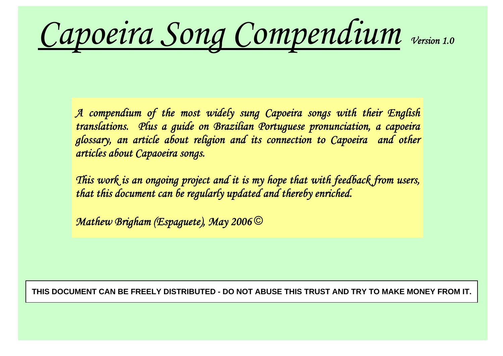*Capoeira Song Compendium Version 1.0*

*A compendium of the most widely sung Capoeira songs with their English translations. Plus a guide on Brazilian Portuguese pronunciation, a capoeira glossary, an article about religion and its connection to Capoeira and other articles about Capaoeira songs.* 

*This work is an ongoing project and it is my hope that with feedback from users, that this document can be regularly updated and thereby enriched.* 

*Mathew Brigham (Espaguete), May 2006* ©

**THIS DOCUMENT CAN BE FREELY DISTRIBUTED - DO NOT ABUSE THIS TRUST AND TRY TO MAKE MONEY FROM IT.**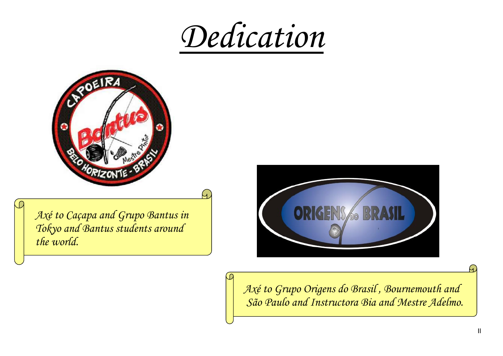*Dedication*

G



*Axé to Caçapa and Grupo Bantus in Tokyo and Bantus students around the world.* 

 $\bigcirc$ 



*Axé to Grupo Origens do Brasil , Bournemouth and São Paulo and Instructora Bia and Mestre Adelmo.*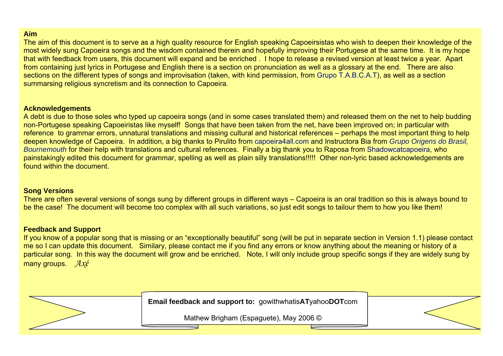### **Aim**

The aim of this document is to serve as a high quality resource for English speaking Capoeirsistas who wish to deepen their knowledge of the most widely sung Capoeira songs and the wisdom contained therein and hopefully improving their Portugese at the same time. It is my hope that with feedback from users, this document will expand and be enriched . I hope to release a revised version at least twice a year. Apart from containing just lyrics in Portugese and English there is a section on pronunciation as well as a glossary at the end. There are also sections on the different types of songs and improvisation (taken, with kind permission, from Grupo T.A.B.C.A.T), as well as a section summarsing religious syncretism and its connection to Capoeira.

#### **Acknowledgements**

A debt is due to those soles who typed up capoeira songs (and in some cases translated them) and released them on the net to help budding non-Portugese speaking Capoeiristas like myself! Songs that have been taken from the net, have been improved on; in particular with reference to grammar errors, unnatural translations and missing cultural and historical references – perhaps the most important thing to help deepen knowledge of Capoeira. In addition, a big thanks to Pirulito from capoeira4all.com and Instructora Bia from *Grupo Origens do Brasil, Bournemouth* for their help with translations and cultural references. Finally a big thank you to Raposa from Shadowcatcapoeira, who painstakingly edited this document for grammar, spelling as well as plain silly translations!!!!! Other non-lyric based acknowledgements are found within the document.

### **Song Versions**

There are often several versions of songs sung by different groups in different ways – Capoeira is an oral tradition so this is always bound to be the case! The document will become too complex with all such variations, so just edit songs to tailour them to how you like them!

### **Feedback and Support**

If you know of a popular song that is missing or an "exceptionally beautiful" song (will be put in separate section in Version 1.1) please contact me so I can update this document. Similary, please contact me if you find any errors or know anything about the meaning or history of a particular song. In this way the document will grow and be enriched. Note, I will only include group specific songs if they are widely sung by many groups. *Axé*

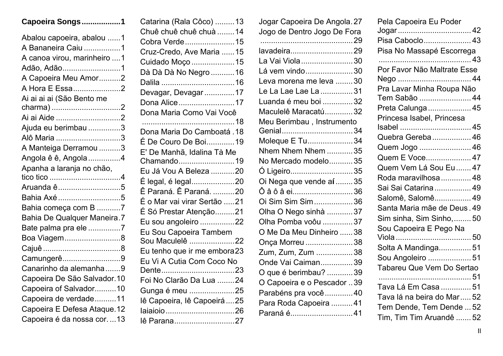|  |  | Capoeira Songs 1 |  |
|--|--|------------------|--|
|--|--|------------------|--|

| Abalou capoeira, abalou 1   |
|-----------------------------|
| A Bananeira Caiu 1          |
| A canoa virou, marinheiro 1 |
| Adão, Adão1                 |
| A Capoeira Meu Amor2        |
| A Hora E Essa2              |
| Ai ai ai ai (São Bento me   |
| charma) 2                   |
| Ai ai Aide 2                |
| Ajuda eu berimbau 3         |
| Alô Maria 3                 |
| A Manteiga Derramou 3       |
| Angola ê ê, Angola 4        |
| Apanha a laranja no chão,   |
|                             |
| Aruanda ê 5                 |
| Bahia Axé 5                 |
| Bahia começa com B 7        |
| Bahia De Qualquer Maneira.7 |
| Bate palma pra ele 7        |
| Boa Viagem8                 |
|                             |
| Camungerê9                  |
| Canarinho da alemanha9      |
| Capoeira De São Salvador.10 |
| Capoeira of Salvador10      |
| Capoeira de verdade11       |
| Capoeira E Defesa Ataque.12 |
| Capoeira é da nossa cor13   |

| Catarina (Rala Côco) 13      |
|------------------------------|
| Chuê chuê chuê chuà  14      |
| Cobra Verde15                |
| Cruz-Credo, Ave Maria  15    |
| Cuidado Moço 15              |
| Dà Dà Dà No Negro 16         |
|                              |
| Devagar, Devagar17           |
| Dona Alice17                 |
| Dona Maria Como Vai Você     |
|                              |
|                              |
| É De Couro De Boi19          |
| E' De Manhã, Idalina Tà Me   |
| Chamando19                   |
| Eu Já Vou A Beleza 20        |
| É legal, é legal20           |
| Ê Paraná. Ê Paraná. 20       |
| É o Mar vai virar Sertão 21  |
| É Só Prestar Atenção21       |
| Eu sou angoleiro 22          |
| Eu Sou Capoeira Tambem       |
| Sou Maculelê 22              |
| Eu tenho que ir me embora23  |
| Eu Vi A Cutia Com Coco No    |
|                              |
| Foi No Clarão Da Lua 24      |
| Gunga é meu 25               |
| lê Capoeira, lê Capoeirá  25 |
|                              |
| lê Parana27                  |

| Jogar Capoeira De Angola. 27 |  |
|------------------------------|--|
| Jogo de Dentro Jogo De Fora  |  |
|                              |  |
| lavadeira29                  |  |
| La Vai Viola 30              |  |
| Lá vem vindo30               |  |
| Leva morena me leva 30       |  |
| Le La Lae Lae La 31          |  |
| Luanda é meu boi 32          |  |
| Maculelê Maracatú32          |  |
| Meu Berimbau, Instrumento    |  |
|                              |  |
| Moleque E Tu34               |  |
| Nhem Nhem Nhem 35            |  |
| No Mercado modelo35          |  |
| O Ligeiro35                  |  |
| Oi Nega que vende aí 35      |  |
| Ô â ô â ei36                 |  |
| Oi Sim Sim Sim36             |  |
| Olha O Nego sinhà 37         |  |
| Olha Pomba voôu 37           |  |
| O Me Da Meu Dinheiro  38     |  |
| Onça Morreu 38               |  |
| Zum, Zum, Zum 38             |  |
| Onde Vai Caiman39            |  |
| O que é berimbau? 39         |  |
| O Capoeira e o Pescador 39   |  |
| Parabéns pra você  40        |  |
| Para Roda Capoeira 41        |  |
| Paraná é41                   |  |
|                              |  |

| Pela Capoeira Eu Poder      |
|-----------------------------|
|                             |
| Pisa Caboclo 43             |
| Pisa No Massapé Escorrega   |
|                             |
| Por Favor Não Maltrate Esse |
|                             |
| Pra Lavar Minha Roupa Não   |
| Tem Sabão  44               |
| Preta Calunga  45           |
| Princesa Isabel, Princesa   |
|                             |
| Quebra Gereba 46            |
| Quem Jogo  46               |
| Quem E Voce 47              |
| Quem Vem Lá Sou Eu  47      |
| Roda maravilhosa 48         |
| Sai Sai Catarina  49        |
| Salomê, Salomê 49           |
| Santa Maria mãe de Deus. 49 |
| Sim sinha, Sim Sinho,  50   |
| Sou Capoeira E Pego Na      |
|                             |
| Solta A Mandinga51          |
| Sou Angoleiro 51            |
| Tabareu Que Vem Do Sertao   |
|                             |
| Tava Lá Em Casa  51         |
| Tava lá na beira do Mar  52 |
| Tem Dende, Tem Dende  52    |
| Tim, Tim Tim Aruandê  52    |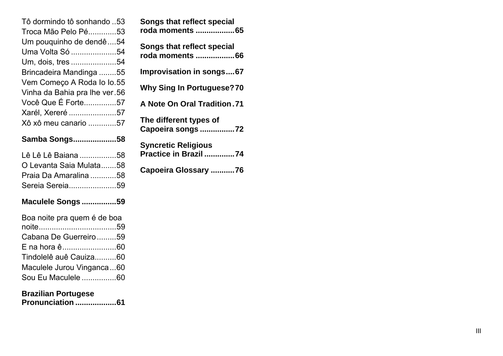| Samba Songs58                 |
|-------------------------------|
| Xô xô meu canario 57          |
| Xarél, Xereré 57              |
| Você Que É Forte57            |
| Vinha da Bahia pra lhe ver.56 |
| Vem Começo A Roda lo lo.55    |
| Brincadeira Mandinga 55       |
| Um, dois, tres 54             |
| Uma Volta Só 54               |
| Um pouquinho de dendê 54      |
| Troca Mão Pelo Pé53           |
| Tô dormindo tô sonhando 53    |

| Lê Lê Lê Baiana 58      |  |
|-------------------------|--|
| O Levanta Saia Mulata58 |  |
| Praia Da Amaralina 58   |  |

|  | Maculele Songs 59 |  |
|--|-------------------|--|
|  |                   |  |

Sereia Sereia......................59

| Boa noite pra quem é de boa |  |
|-----------------------------|--|
|                             |  |
| Cabana De Guerreiro 59      |  |
|                             |  |
| Tindolelê auê Cauiza60      |  |
| Maculele Jurou Vinganca60   |  |
| Sou Eu Maculele 60          |  |

## **Brazilian Portugese**

**Pronunciation ...................61**

| <b>Songs that reflect special</b><br>roda moments 65 |
|------------------------------------------------------|
| <b>Songs that reflect special</b><br>roda moments 66 |
| <b>Improvisation in songs67</b>                      |
| <b>Why Sing In Portuguese?70</b>                     |
| <b>A Note On Oral Tradition.71</b>                   |
| The different types of<br>Capoeira songs 72          |
| <b>Syncretic Religious</b><br>Practice in Brazil 74  |
| Capoeira Glossary 76                                 |
|                                                      |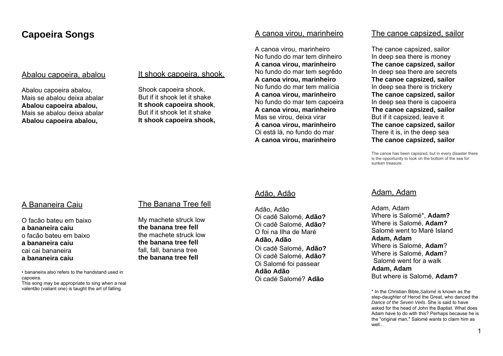# **Capoeira Songs**

### Abalou capoeira, abalou

Abalou capoeira abalou, Mais se abalou deixa abalar **Abalou capoeira abalou,**  Mais se abalou deixa abalar **Abalou capoeira abalou,** 

### It shook capoeira, shook.

Shook capoeira shook, But if it shook let it shake **It shook capoeira shook**, But if it shook let it shake **It shook capoeira shook,** 

#### A canoa virou, marinheiro

A canoa virou, marinheiro No fundo do mar tem dinheiro **A canoa virou, marinheiro**  No fundo do mar tem segrêdo **A canoa virou, marinheiro**  No fundo do mar tem malícia **A canoa virou, marinheiro**  No fundo do mar tem capoeira **A canoa virou, marinheiro**  Mas se virou, deixa virar **A canoa virou, marinheiro**  Oi está lá, no fundo do mar **A canoa virou, marinheiro** 

#### The canoe capsized, sailor

The canoe capsized, sailor In deep sea there is money **The canoe capsized, sailor**  In deep sea there are secrets **The canoe capsized, sailor**  In deep sea there is trickery **The canoe capsized, sailor**  In deep sea there is capoeira **The canoe capsized, sailor**  But if it capsized, leave it **The canoe capsized, sailor**  There it is, in the deep sea **The canoe capsized, sailor** 

The canoe has been capsized, but in every disaster there is the opportunity to look on the bottom of the sea for sunken treasure.

### A Bananeira Caiu

O facão bateu em baixo **a bananeira caiu**o facão bateu em baixo **a bananeira caiu**cai cai bananeira **a bananeira caiu** 

• bananeira also refers to the handstand used in capoeira.

This song may be appropriate to sing when a real valentão (valiant one) is taught the art of falling.

### The Banana Tree fell

My machete struck low **the banana tree fell**the machete struck low **the banana tree fell**fall, fall, banana tree **the banana tree fell** 

## Adão, Adão

Adão, Adão Oi cadê Salomé, **Adão?** Oi cadê Salomé, **Adão?** O foi na Ilha de Maré **Adão, Adão**  Oi cadê Salomé, **Adão?** Oi cadê Salomé, **Adão?** Oi Salomé foi passear **Adão Adão** Oi cadé Salomé? **Adão**

### Adam, Adam

Adam, Adam Where is Salomé\*, **Adam?** Where is Salomé, **Adam?** Salomé went to Maré Island **Adam, Adam**  Where is Salomé, **Adam**? Where is Salomé, **Adam**? Salomé went for a walk **Adam, Adam**  But where is Salomé, **Adam?** 

\* In the Christian Bible,*Salomé* is known as the step-daughter of Herod the Great, who danced the *Dance of the Seven Veils*. She is said to have asked for the head of John the Baptist. What does Adam have to do with this? Perhaps because he is the "original man," Salomé wants to claim him as well...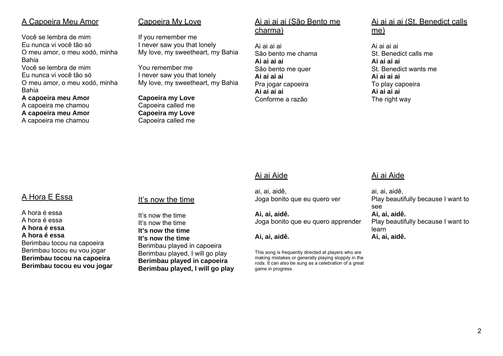## A Capoeira Meu Amor

Você se lembra de mim Eu nunca vi você tão só O meu amor, o meu xodó, minha Bahia Você se lembra de mim Eu nunca vi você tão só O meu amor, o meu xodó, minha Bahia **A capoeira meu Amor**

A capoeira me chamou **A capoeira meu Amor** A capoeira me chamou

### Capoeira My Love

If you remember me I never saw you that lonely My love, my sweetheart, my Bahia

You remember me I never saw you that lonely My love, my sweetheart, my Bahia

**Capoeira my Love** Capoeira called me **Capoeira my Love** Capoeira called me

## Ai ai ai ai (São Bento me charma)

Ai ai ai ai São bento me chama **Ai ai ai ai** São bento me quer **Ai ai ai ai** Pra jogar capoeira **Ai ai ai ai** Conforme a razão

Ai ai ai ai (St. Benedict calls me)

Ai ai ai ai St. Benedict calls me **Ai ai ai ai** St. Benedict wants me **Ai ai ai ai** To play capoeira **Ai ai ai ai** The right way

# Ai ai Aide

ai, ai, aidê, Joga bonito que eu quero ver

**Ai, ai, aidê.**  Joga bonito que eu quero apprender

**Ai, ai, aidê.** 

This song is frequently directed at players who are making mistakes or generally playing sloppily in the *roda*. It can also be sung as a celebration of a great game in progress.

## Ai ai Aide

ai, ai, aidê, Play beautifully because I want to see **Ai, ai, aidê.**  Play beautifully because I want to learn**Ai, ai, aidê.**

# A Hora E Essa

A hora é essa A hora é essa **A hora é essa A hora é essa** Berimbau tocou na capoeira Berimbau tocou eu vou jogar **Berimbau tocou na capoeira Berimbau tocou eu vou jogar** 

### It's now the time

It's now the time It's now the time **It's now the time It's now the time** Berimbau played in capoeira Berimbau played, I will go play **Berimbau played in capoeira Berimbau played, I will go play**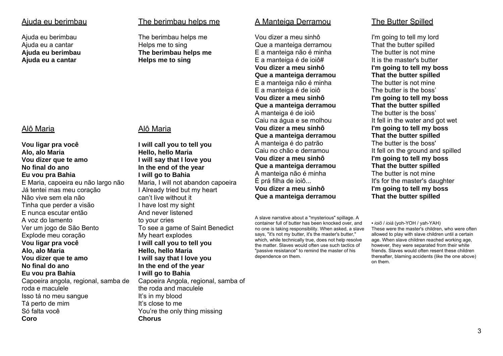### Ajuda eu berimbau

Ajuda eu berimbau Ajuda eu a cantar **Ajuda eu berimbau Ajuda eu a cantar** 

### Alô Maria

**Vou ligar pra você Alo, alo Maria Vou dizer que te amo No final do ano Eu vou pra Bahia** E Maria, capoeira eu não largo não Já tentei mas meu coração Não vive sem ela não Tinha que perder a visão E nunca escutar então A voz do lamento Ver um jogo de São Bento Explode meu coração **Vou ligar pra você Alo, alo Maria Vou dizer que te amo No final do ano Eu vou pra Bahia**  Capoeira angola, regional, samba de roda e maculele Isso tá no meu sangue Tá perto de mim Só falta você **Coro**

## The berimbau helps me

The berimbau helps me Helps me to sing **The berimbau helps me Helps me to sing** 

## Alô Maria

**I will call you to tell you Hello, hello Maria I will say that I love you In the end of the year I will go to Bahia** Maria, I will not abandon capoeira I Already tried but my heart can't live without it I have lost my sight And never listened to your cries To see a game of Saint Benedict My heart explodes **I will call you to tell you Hello, hello Maria I will say that I love you In the end of the year I will go to Bahia**  Capoeira Angola, regional, samba of the roda and maculele It's in my blood It's close to me You're the only thing missing **Chorus**

### A Manteiga Derramou

Vou dizer a meu sinhô Que a manteiga derramou E a manteiga não é minha E a manteiga é de ioiô# **Vou dizer a meu sinhô Que a manteiga derramou**  E a manteiga não é minha E a manteiga é de ioiô **Vou dizer a meu sinhô Que a manteiga derramou**  A manteiga é de ioiô Caiu na água e se molhou **Vou dizer a meu sinhô Que a manteiga derramou**  A manteiga é do patrão Caiu no chão e derramou **Vou dizer a meu sinhô Que a manteiga derramou**  A manteiga não é minha É prá filha de ioiô... **Vou dizer a meu sinhô Que a manteiga derramou** 

A slave narrative about a "mysterious" spillage. A container full of butter has been knocked over, and no one is taking responsibility. When asked, a slave says, "it's not my butter, it's the master's butter," which, while technically true, does not help resolve the matter. Slaves would often use such tactics of "passive resistance" to remind the master of his dependence on them.

## The Butter Spilled

I'm going to tell my lord That the butter spilled The butter is not mine It is the master's butter **I'm going to tell my boss That the butter spilled** The butter is not mine The butter is the boss' **I'm going to tell my boss That the butter spilled** The butter is the boss' It fell in the water and got wet **I'm going to tell my boss That the butter spilled** The butter is the boss' It fell on the ground and spilled **I'm going to tell my boss That the butter spilled** The butter is not mine It's for the master's daughter **I'm going to tell my boss That the butter spilled** 

*• ioiô* / *ioiá* (yoh-YOH / yah-YAH) These were the master's children, who were often allowed to play with slave children until a certain age. When slave children reached working age, however, they were separated from their white friends. Slaves would often resent these children thereafter, blaming accidents (like the one above) on them.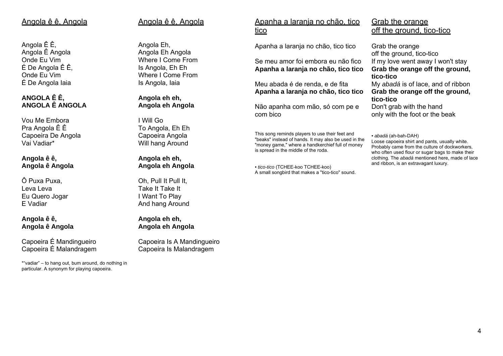## Angola ê ê, Angola

Angola Ê Ê, Angola Ê Angola Onde Eu Vim É De Angola Ê Ê, Onde Eu Vim É De Angola Iaia

## **ANGOLA Ê Ê, ANGOLA Ê ANGOLA**

Vou Me Embora Pra Angola Ê Ê Capoeira De Angola Vai Vadiar\*

#### **Angola ê ê, Angola ê Angola**

Ô Puxa Puxa, Leva LevaEu Quero Jogar E Vadiar

#### **Angola ê ê, Angola ê Angola**

Capoeira É Mandingueiro Capoeira É Malandragem

\*"vadiar" – to hang out, bum around, do nothing in particular. A synonym for playing capoeira.

# Angola ê ê, Angola

Angola Eh, Angola Eh Angola Where I Come From Is Angola, Eh Eh Where I Come From Is Angola, Iaia

#### **Angola eh eh, Angola eh Angola**

I Will Go To Angola, Eh Eh Capoeira Angola Will hang Around

#### **Angola eh eh, Angola eh Angola**

Oh, Pull It Pull It, Take It Take It I Want To Play And hang Around

**Angola eh eh, Angola eh Angola**

Capoeira Is A Mandingueiro Capoeira Is Malandragem

## Apanha a laranja no chão, tico <u>tico</u>

Apanha a laranja no chão, tico tico

Se meu amor foi embora eu não fico **Apanha a laranja no chão, tico tico** 

Meu abada é de renda, e de fita **Apanha a laranja no chão, tico tico** 

Não apanha com mão, só com pe e com bico

This song reminds players to use their feet and "beaks" instead of hands. It may also be used in the "money game," where a handkerchief full of money is spread in the middle of the roda.

*• tico-tico* (TCHEE-koo TCHEE-koo) A small songbird that makes a "tico-tico" sound.

## Grab the orange off the ground, tico-tico

Grab the orange off the ground, tico-tico If my love went away I won't stay **Grab the orange off the ground, tico-tico** My *abadá* is of lace, and of ribbon **Grab the orange off the ground,** 

**tico-tico** Don't grab with the hand only with the foot or the beak

*• abadá* (ah-bah-DAH) Loose capoeira shirt and pants, usually white. Probably came from the culture of dockworkers, who often used flour or sugar bags to make their clothing. The *abadá* mentioned here, made of lace and ribbon, is an extravagant luxury.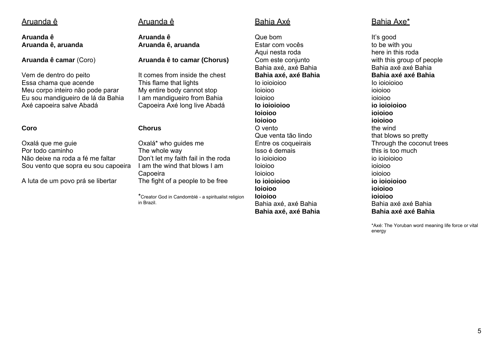### Aruanda ê

**Aruanda ê Aruanda ê, aruanda** 

**Aruanda ê camar** (Coro)

Vem de dentro do peito Essa chama que acende Meu corpo inteiro não pode parar Eu sou mandigueiro de lá da Bahia Axé capoeira salve Abadá

#### **Coro**

Oxalá que me guie Por todo caminho Não deixe na roda a fé me faltar Sou vento que sopra eu sou capoeira

A luta de um povo prá se libertar

## Aruanda ê

**Aruanda ê Aruanda ê, aruanda** 

#### **Aruanda ê to camar (Chorus)**

It comes from inside the chest This flame that lights My entire body cannot stop I am mandigueiro from Bahia Capoeira Axé long live Abadá

#### **Chorus**

Oxalá\* who guides me The whole way Don't let my faith fail in the roda I am the wind that blows I am Capoeira The fight of a people to be free

\*Creator God in Candomblé - a spiritualist religion in Brazil.

## Bahia Axé

Que bomEstar com vocês Aqui nesta roda Com este conjunto Bahia axé, axé Bahia **Bahia axé, axé Bahia**  Io ioioioiooIoioioo Ioioioo **Io ioioioioo Ioioioo Ioioioo** O vento Que venta tão lindo Entre os coqueirais Isso é demais Io ioioioioo Ioioioo Ioioioo **Io ioioioioo Ioioioo Ioioioo** Bahia axé, axé Bahia **Bahia axé, axé Bahia** 

## Bahia Axe\*

It's good to be with you here in this roda with this group of people Bahia axé axé Bahia **Bahia axé axé Bahia**Io ioioioioo ioioioo ioioioo **io ioioioioo ioioioo ioioioo** the wind that blows so pretty Through the coconut trees this is too much io ioioioioo ioioioo ioioioo **io ioioioioo ioioioo ioioioo**Bahia axé axé Bahia **Bahia axé axé Bahia**

\*Axé: The Yoruban word meaning life force or vital energy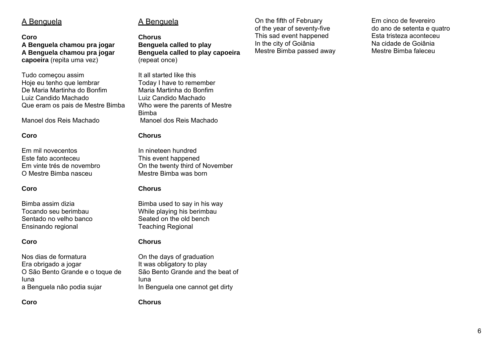## A Benguela

#### **Coro**

**A Benguela chamou pra jogar A Benguela chamou pra jogar capoeira** (repita uma vez)

Tudo começou assim Hoje eu tenho que lembrar De Maria Martinha do Bonfim Luiz Candido Machado Que eram os pais de Mestre Bimba

Manoel dos Reis Machado

#### **Coro**

Em mil novecentos Este fato aconteceu Em vinte trés de novembro O Mestre Bimba nasceu

#### **Coro**

Bimba assim dizia Tocando seu berimbau Sentado no velho banco Ensinando regional

#### **Coro**

Nos dias de formatura Era obrigado a jogar O São Bento Grande e o toque de Iuna a Benguela nâo podia sujar

**Coro**

# A Benguela

**ChorusBenguela called to play Benguela called to play capoeira** (repeat once)

It all started like this Today I have to remember Maria Martinha do Bonfim Luiz Candido Machado Who were the parents of Mestre Bimba Manoel dos Reis Machado

#### **Chorus**

In nineteen hundred This event happened On the twenty third of November Mestre Bimba was born

#### **Chorus**

Bimba used to say in his way While playing his berimbau Seated on the old bench Teaching Regional

#### **Chorus**

On the days of graduation It was obligatory to play São Bento Grande and the beat of Iuna In Benguela one cannot get dirty

**Chorus**

On the fifth of February of the year of seventy-five This sad event happened In the city of Goiânia Mestre Bimba passed away

Em cinco de fevereiro do ano de setenta e quatro Esta tristeza aconteceu Na cidade de Goiânia Mestre Bimba faleceu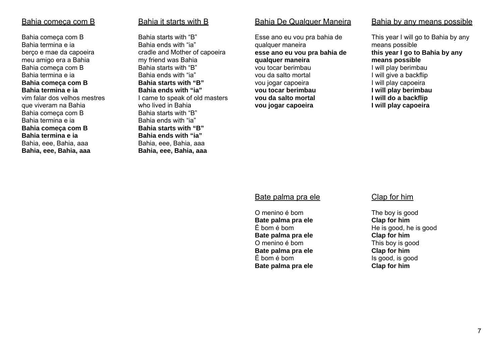### Bahia começa com B

Bahia começa com B Bahia termina e ia berço e mae da capoeira meu amigo era a Bahia Bahia começa com B Bahia termina e ia **Bahia começa com B Bahia termina e ia** vim falar dos velhos mestres que viveram na Bahia Bahia começa com B Bahia termina e ia **Bahia começa com B Bahia termina e ia** Bahia, eee, Bahia, aaa **Bahia, eee, Bahia, aaa** 

### Bahia it starts with B

Bahia starts with "B" Bahia ends with "ia" cradle and Mother of capoeira my friend was Bahia Bahia starts with "B" Bahia ends with "ia" **Bahia starts with "B" Bahia ends with "ia"** I came to speak of old masters who lived in Bahia Bahia starts with "B" Bahia ends with "ia" **Bahia starts with "B" Bahia ends with "ia"** Bahia, eee, Bahia, aaa **Bahia, eee, Bahia, aaa** 

### Bahia De Qualquer Maneira

Esse ano eu vou pra bahia de qualquer maneira **esse ano eu vou pra bahia de qualquer maneira** vou tocar berimbau vou da salto mortal vou jogar capoeira **vou tocar berimbau vou da salto mortal vou jogar capoeira**

#### Bahia by any means possible

This year I will go to Bahia by any means possible **this year I go to Bahia by any means possible** I will play berimbau I will give a backflip I will play capoeira **I will play berimbau I will do a backflip I will play capoeira**

#### Bate palma pra ele

O menino é bom **Bate palma pra ele**  É bom é bom **Bate palma pra ele**  O menino é bom **Bate palma pra ele**  É bom é bom **Bate palma pra ele** 

#### Clap for him

The boy is good **Clap for him**  He is good, he is good **Clap for him**  This boy is good **Clap for him**  Is good, is good **Clap for him**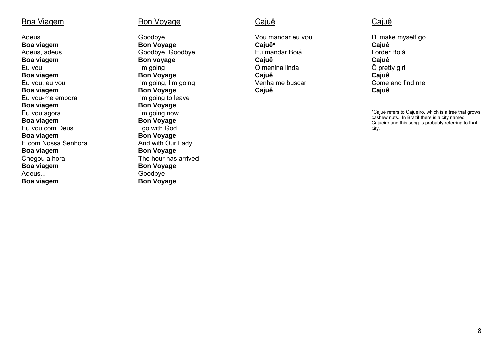### Boa Viagem

Adeus **Boa viagem**  Adeus, adeus **Boa viagem**  Eu vou **Boa viagem**  Eu vou, eu vou **Boa viagem**  Eu vou-me embora **Boa viagem**  Eu vou agora **Boa viagem**  Eu vou com Deus **Boa viagem**  E com Nossa Senhora **Boa viagem**  Chegou a hora **Boa viagem**  Adeus... **Boa viagem** 

### Bon Voyage

Goodbye **Bon Voyage**  Goodbye, Goodbye **Bon voyage**  I'm going **Bon Voyage**  I'm going, I'm going **Bon Voyage**  I'm going to leave **Bon Voyage**  I'm going now **Bon Voyage**  I go with God **Bon Voyage**  And with Our Lady **Bon Voyage**  The hour has arrived**Bon Voyage Goodbye Bon Voyage** 

## Caiuê

Vou mandar eu vou **Cajuê\***  Eu mandar Boiá **Cajuê**  Ô menina linda **Cajuê**  Venha me buscar **Cajuê** 

## **Cajuê**

I'll make myself go **Cajuê**  I order Boiá **Cajuê** Ô pretty girl **Cajuê**  Come and find me **Cajuê**

\*Cajuê refers to Cajueiro, which is a tree that grows cashew nuts., In Brazil there is a city named Cajueiro and this song is probably referring to that city.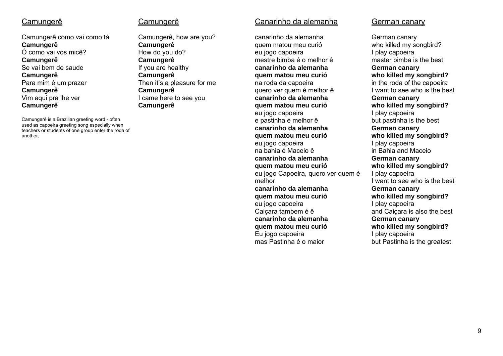## Camungerê

Camungerê como vai como tá **Camungerê**  Ô como vai vos micê? **Camungerê**  Se vai bem de saude **Camungerê**  Para mim é um prazer **Camungerê**  Vim aqui pra lhe ver **Camungerê** 

Camungerê is a Brazilian greeting word - often used as capoeira greeting song especially when teachers or students of one group enter the roda of another.

### Camungerê

Camungerê, how are you? **Camungerê**  How do you do? **Camungerê**  If you are healthy **Camungerê**  Then it's a pleasure for me **Camungerê**  I came here to see you **Camungerê** 

### Canarinho da alemanha

canarinho da alemanha quem matou meu curió eu jogo capoeira mestre bimba é o melhor ê **canarinho da alemanha quem matou meu curió** na roda da capoeira quero ver quem é melhor ê **canarinho da alemanha quem matou meu curió** eu jogo capoeira e pastinha é melhor ê **canarinho da alemanha quem matou meu curió** eu jogo capoeira na bahia é Maceio ê **canarinho da alemanha quem matou meu curió** eu jogo Capoeira, quero ver quem é melhor **canarinho da alemanha quem matou meu curió** eu jogo capoeira Caiçara tambem é ê **canarinho da alemanha quem matou meu curió** Eu jogo capoeira mas Pastinha é o maior

### German canary

German canary who killed my songbird? I play capoeira master bimba is the best **German canary who killed my songbird?** in the roda of the capoeira I want to see who is the best **German canary who killed my songbird?** I play capoeira but pastinha is the best **German canary who killed my songbird?** I play capoeira in Bahia and Maceio **German canary who killed my songbird?** I play capoeira I want to see who is the best **German canary who killed my songbird?** I play capoeira and Caiçara is also the best **German canary who killed my songbird?** I play capoeira but Pastinha is the greatest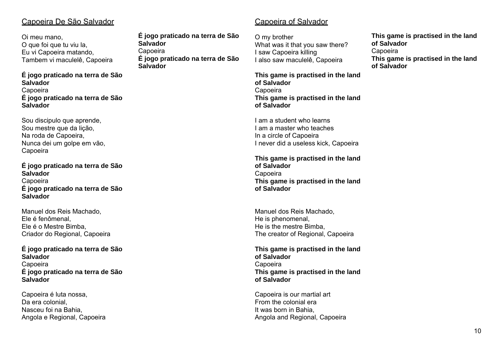## Capoeira De São Salvador

Oi meu mano, O que foi que tu viu la, Eu vi Capoeira matando, Tambem vi maculelê, Capoeira

#### **É jogo praticado na terra de São Salvador**Capoeira **É jogo praticado na terra de São Salvador**

Sou discipulo que aprende, Sou mestre que da lição, Na roda de Capoeira, Nunca dei um golpe em vão, Capoeira

#### **É jogo praticado na terra de São Salvador**Capoeira **É jogo praticado na terra de São Salvador**

Manuel dos Reis Machado, Ele é fenômenal, Ele é o Mestre Bimba, Criador do Regional, Capoeira

#### **É jogo praticado na terra de São Salvador**Capoeira **É jogo praticado na terra de São Salvador**

Capoeira é luta nossa, Da era colonial, Nasceu foi na Bahia, Angola e Regional, Capoeira **É jogo praticado na terra de São Salvador** Capoeira **É jogo praticado na terra de São Salvador**

# Capoeira of Salvador

O my brother What was it that you saw there? I saw Capoeira killing I also saw maculelê, Capoeira

**This game is practised in the land of Salvador**Capoeira **This game is practised in the land of Salvador** 

I am a student who learns I am a master who teaches In a circle of Capoeira I never did a useless kick, Capoeira

**This game is practised in the land of Salvador**Capoeira **This game is practised in the land of Salvador**

Manuel dos Reis Machado, He is phenomenal, He is the mestre Bimba, The creator of Regional, Capoeira

**This game is practised in the land of Salvador**Capoeira **This game is practised in the land of Salvador**

Capoeira is our martial art From the colonial era It was born in Bahia, Angola and Regional, Capoeira **This game is practised in the land of Salvador**Capoeira **This game is practised in the land of Salvador**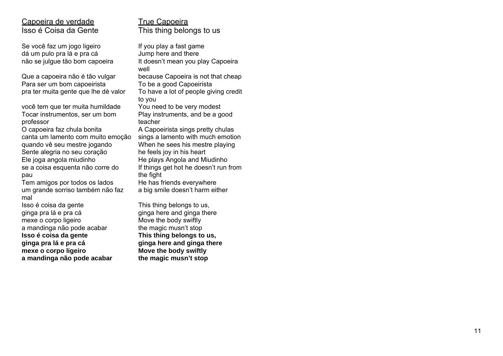## Capoeira de verdade Isso é Coisa da Gente

Se você faz um jogo ligeiro dá um pulo pra lá e pra cá não se julgue tão bom capoeira

Que a capoeira não é tão vulgar Para ser um bom capoeirista pra ter muita gente que lhe dè valor

você tem que ter muita humildade Tocar instrumentos, ser um bom professor

O capoeira faz chula bonita canta um lamento com muito emoção quando vê seu mestre jogando Sente alegria no seu coração Ele joga angola miudinho se a coisa esquenta não corre do pau

Tem amigos por todos os lados um grande sorriso também não faz mal

Isso é coisa da gente ginga pra lá e pra cá mexe o corpo ligeiro a mandinga não pode acabar **Isso é coisa da gente ginga pra lá e pra cá mexe o corpo ligeiro a mandinga não pode acabar**  True Capoeira This thing belongs to us

If you play a fast game Jump here and there It doesn't mean you play Capoeira well because Capoeira is not that cheap To be a good Capoeirista To have a lot of people giving credit to you You need to be very modest Play instruments, and be a good teacher A Capoeirista sings pretty chulas sings a lamento with much emotion When he sees his mestre playing he feels joy in his heart He plays Angola and Miudinho If things get hot he doesn't run from the fight He has friends everywhere a big smile doesn't harm either

This thing belongs to us, ginga here and ginga there Move the body swiftly the magic musn't stop **This thing belongs to us, ginga here and ginga there Move the body swiftly the magic musn't stop**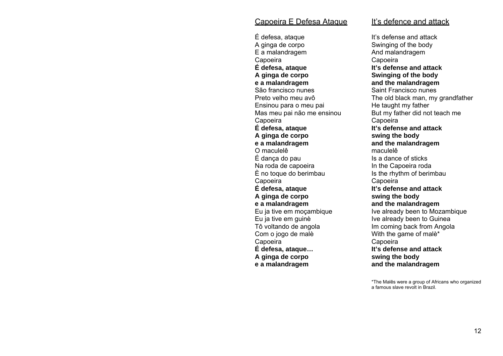### Capoeira E Defesa Ataque

É defesa, ataque A ginga de corpo E a malandragem Capoeira **É defesa, ataque A ginga de corpo e a malandragem**  São francisco nunes Preto velho meu avô Ensinou para o meu pai Mas meu pai não me ensinou Capoeira **É defesa, ataque A ginga de corpo e a malandragem**  O maculelê É dança do pau Na roda de capoeira È no toque do berimbau Capoeira **É defesa, ataque A ginga de corpo e a malandragem**  Eu ja tive em moçambique Eu ja tive em guinè Tô voltando de angola Com o jogo de malè Capoeira **É defesa, ataque… A ginga de corpo e a malandragem** 

### <u>It's defence and attack</u>

It's defense and attackSwinging of the body And malandragem Capoeira **It's defense and attack Swinging of the body and the malandragem**  Saint Francisco nunes The old black man, my grandfather He taught my father But my father did not teach me Capoeira **It's defense and attack swing the body and the malandragem**  maculelê Is a dance of sticks In the Capoeira roda Is the rhythm of berimbau Capoeira **It's defense and attack swing the body and the malandragem**  Ive already been to Mozambique Ive already been to Guinea Im coming back from Angola With the game of malè\* Capoeira **It's defense and attack swing the body and the malandragem** 

\*The Malês were a group of Africans who organized a famous slave revolt in Brazil.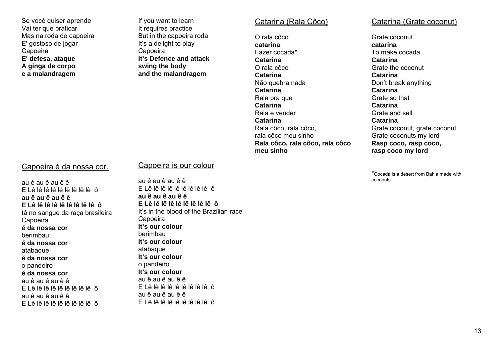Se você quiser aprende Vai ter que praticar Mas na roda de capoeira E' gostoso de jogar Capoeira **E' defesa, ataque A ginga de corpo e a malandragem** 

If you want to learn It requires practice But in the capoeira roda It's a delight to play Capoeira **It's Defence and attack swing the body and the malandragem** 

#### Catarina (Rala Côco)

O rala côco **catarina**Fazer cocada\* **Catarina** O rala côco**Catarina** Não quebra nada **Catarina** Rala pra que **Catarina** Rala e vender**Catarina** Rala côco, rala côco, rala côco meu sinho **Rala côco, rala côco, rala côco meu sinho**

### Catarina (Grate coconut)

Grate coconut **catarina**To make cocada **Catarina** Grate the coconut**Catarina** Don't break anything **Catarina** Grate so that**Catarina** Grate and sell**Catarina** Grate coconut, grate coconut Grate coconuts my lord **Rasp coco, rasp coco, rasp coco my lord** 

\*Cocada is a desert from Bahia made with coconuts.

### Capoeira é da nossa cor.

au ê au ê au ê ê E Lê lê lê lê lê lê lê lê lê ô **au ê au ê au ê ê E Lê lê lê lê lê lê lê lê lê ô**tá no sangue da raça brasileira Capoeira **é da nossa cor**berimbau **é da nossa cor**atabaque **é da nossa cor**o pandeiro **é da nossa cor**au ê au ê au ê ê E Lê lê lê lê lê lê lê lê lê ô au ê au ê au ê ê E Lê lê lê lê lê lê lê lê lê ô

### Capoeira is our colour

au ê au ê au ê ê E Lê lê lê lê lê lê lê lê lê ô **au ê au ê au ê ê E Lê lê lê lê lê lê lê lê lê ô**It's in the blood of the Brazilian race Capoeira **It's our colour**berimbau **It's our colour**atabaque **It's our colour**o pandeiro **It's our colour**au ê au ê au ê ê E Lê lê lê lê lê lê lê lê lê ô au ê au ê au ê ê E Lê lê lê lê lê lê lê lê lê ô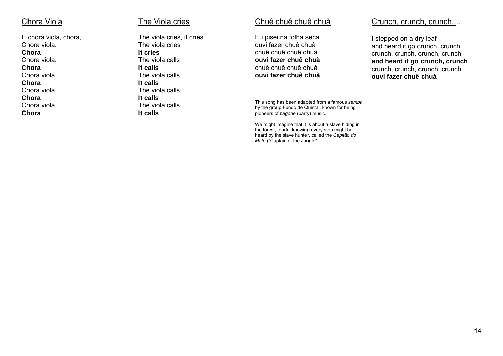### <u>Chora Viola</u>

E chora viola, chora, Chora viola. **Chora** Chora viola. **Chora** Chora viola. **Chora** Chora viola. **Chora** Chora viola. **Chora** 

#### The Viola cries

The viola cries, it cries The viola cries **It cries** The viola calls **It calls** The viola calls **It calls** The viola calls **It calls** The viola calls **It calls** 

### <u>Chuê chuê chuê chuà</u>

Eu pisei na folha seca ouvi fazer chuê chuà chuê chuê chuê chuà **ouvi fazer chuê chuà** chuê chuê chuê chuà **ouvi fazer chuê chuà** 

This song has been adapted from a famous *samba* by the group Fundo de Quintal, known for being pioneers of *pagode* (party) music.

We might imagine that it is about a slave hiding in the forest, fearful knowing every step might be heard by the slave hunter, called the *Capitão do Mato* ("Captain of the Jungle").

### Crunch, crunch, crunch....

I stepped on a dry leaf and heard it go crunch, crunch crunch, crunch, crunch, crunch **and heard it go crunch, crunch**  crunch, crunch, crunch, crunch **ouvi fazer chuê chuà**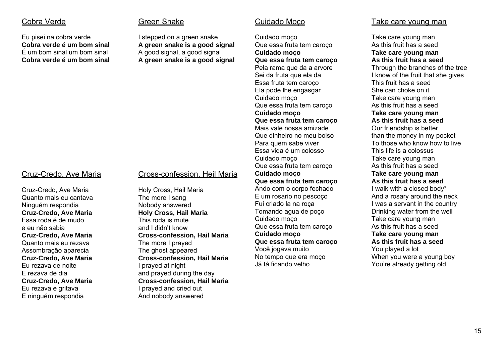## Cobra Verde

Eu pisei na cobra verde **Cobra verde é um bom sinal** É um bom sinal um bom sinal **Cobra verde é um bom sinal** 

## Cruz-Credo, Ave Maria

Cruz-Credo, Ave Maria Quanto mais eu cantava Ninguém respondia **Cruz-Credo, Ave Maria**  Essa roda é de mudo e eu não sabia **Cruz-Credo, Ave Maria**  Quanto mais eu rezava Assombração aparecia **Cruz-Credo, Ave Maria**  Eu rezava de noite E rezava de dia **Cruz-Credo, Ave Maria**  Eu rezava e gritava E ninguém respondia

## Green Snake

I stepped on a green snake **A green snake is a good signal**  A good signal, a good signal **A green snake is a good signal** 

Cross-confession, Heil Maria

**Cross-confession, Hail Maria** 

**Cross-confession, Hail Maria** 

and prayed during the day **Cross-confession, Hail Maria** 

I prayed and cried out And nobody answered

Holy Cross, Hail Maria The more I sang Nobody answered **Holy Cross, Hail Maria**  This roda is mute and I didn't know

The more I prayed The ghost appeared

I prayed at night

### Cuidado moço

Cuidado Moço

Que essa fruta tem caroço **Cuidado moço Que essa fruta tem caroço**  Pela rama que da a arvore Sei da fruta que ela da Essa fruta tem caroço Ela pode lhe engasgar Cuidado moço Que essa fruta tem caroço **Cuidado moço Que essa fruta tem caroço**  Mais vale nossa amizadeQue dinheiro no meu bolso Para quem sabe viver Essa vida é um colosso Cuidado moço Que essa fruta tem caroço **Cuidado moço Que essa fruta tem caroço**  Ando com o corpo fechado E um rosario no pescoço Fui criado la na roça Tomando agua de poço Cuidado moço Que essa fruta tem caroço **Cuidado moço Que essa fruta tem caroço**  Você jogava muito No tempo que era moço Já tá ficando velho

### Take care young man

Take care young man As this fruit has a seed **Take care young man As this fruit has a seed** Through the branches of the tree I know of the fruit that she gives This fruit has a seed She can choke on it Take care young man As this fruit has a seed **Take care young man As this fruit has a seed** Our friendship is better than the money in my pocket To those who know how to live This life is a colossus Take care young man As this fruit has a seed **Take care young man As this fruit has a seed** I walk with a closed body\* And a rosary around the neck I was a servant in the country Drinking water from the well Take care young man As this fruit has a seed **Take care young man As this fruit has a seed** You played a lot When you were a young boy You're already getting old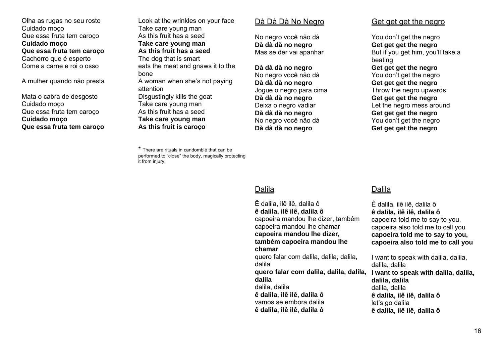Olha as rugas no seu rosto Cuidado moço Que essa fruta tem caroço **Cuidado moço Que essa fruta tem caroço**  Cachorro que é esperto Come a carne e roi o osso

A mulher quando não presta

Mata o cabra de desgosto Cuidado moço Que essa fruta tem caroço **Cuidado moço Que essa fruta tem caroço** 

Look at the wrinkles on your face Take care young man As this fruit has a seed **Take care young man As this fruit has a seed** The dog that is smart eats the meat and gnaws it to the bone A woman when she's not paying attention Disgustingly kills the goat Take care young man As this fruit has a seed **Take care young man As this fruit is caroço** 

\* There are rituals in candomblé that can be performed to "close" the body, magically protecting it from injury.

#### Dà Dà Dà No Negro

No negro você não dà **Dà dà dà no negro**  Mas se der vai apanhar

**Dà dà dà no negro**  No negro você não dà **Dà dà dà no negro**  Jogue o negro para cima **Dà dà dà no negro**  Deixa o negro vadiar **Dà dà dà no negro**  No negro você não dà **Dà dà dà no negro** 

### Get get get the negro

You don't get the negro **Get get get the negro**  But if you get him, you'll take a beating **Get get get the negro**  You don't get the negro **Get get get the negro**  Throw the negro upwards **Get get get the negro**  Let the negro mess around **Get get get the negro**  You don't get the negro **Get get get the negro** 

### Dalila

Ê dalila, ilê ilê, dalila ô **ê dalila, ilê ilê, dalila ô** capoeira told me to say to you, capoeira also told me to call you **capoeira told me to say to you, capoeira also told me to call you**

I want to speak with dalila, dalila, dalila, dalila **I want to speak with dalila, dalila, dalila, dalila** dalila, dalila **ê dalila, ilê ilê, dalila ô** let's go dalila **ê dalila, ilê ilê, dalila ô**

## Dalila

Ê dalila, ilê ilê, dalila ô **ê dalila, ilê ilê, dalila ô** capoeira mandou lhe dizer, também capoeira mandou lhe chamar **capoeira mandou lhe dizer, também capoeira mandou lhe chamar**quero falar com dalila, dalila, dalila, dalila **quero falar com dalila, dalila, dalila, dalila**dalila, dalila **ê dalila, ilê ilê, dalila ô** vamos se embora dalila **ê dalila, ilê ilê, dalila ô**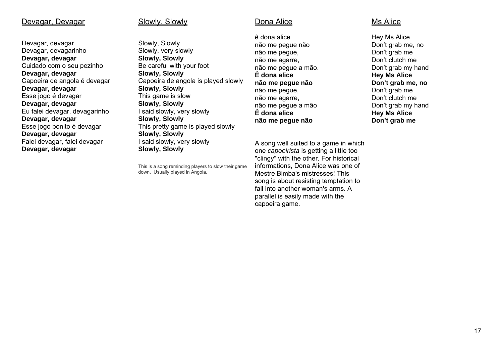### Devagar, Devagar

Devagar, devagar Devagar, devagarinho **Devagar, devagar**  Cuidado com o seu pezinho **Devagar, devagar**  Capoeira de angola é devagar **Devagar, devagar**  Esse jogo é devagar **Devagar, devagar**  Eu falei devagar, devagarinho **Devagar, devagar**  Esse jogo bonito é devagar **Devagar, devagar**  Falei devagar, falei devagar **Devagar, devagar** 

#### Slowly, Slowly

Slowly, Slowly Slowly, very slowly **Slowly, Slowly**  Be careful with your foot **Slowly, Slowly**  Capoeira de angola is played slowly **Slowly, Slowly**  This game is slow **Slowly, Slowly**  I said slowly, very slowly **Slowly, Slowly**  This pretty game is played slowly **Slowly, Slowly**  I said slowly, very slowly **Slowly, Slowly** 

This is a song reminding players to slow their game down. Usually played in Angola.

### <u>Dona Alice</u>

ê dona alice não me pegue não não me pegue, não me agarre, não me pegue a mão. **Ê dona alice não me pegue não** não me pegue, não me agarre, não me pegue a mão **Ê dona alice não me pegue não** 

A song well suited to a game in which one *capoeirista* is getting a little too "clingy" with the other. For historical informations, Dona Alice was one of Mestre Bimba's mistresses! This song is about resisting temptation to fall into another woman's arms. A parallel is easily made with the capoeira game.

### Ms Alice

Hey Ms Alice Don't grab me, no Don't grab me Don't clutch me Don't grab my hand **Hey Ms Alice Don't grab me, no** Don't grab me Don't clutch me Don't grab my hand **Hey Ms Alice Don't grab me**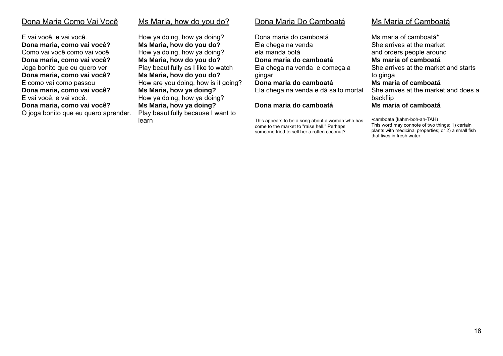### Dona Maria Como Vai Você

E vai você, e vai você. **Dona maria, como vai você?**  Como vai você como vai você**Dona maria, como vai você?**  Joga bonito que eu quero ver **Dona maria, como vai você?**  E como vai como passou **Dona maria, como vai você?**  E vai você, e vai você. **Dona maria, como vai você?**  O joga bonito que eu quero aprender. Ms Maria, how do you do?

How ya doing, how ya doing? **Ms Maria, how do you do?**  How ya doing, how ya doing? **Ms Maria, how do you do?**  Play beautifully as I like to watch **Ms Maria, how do you do?**  How are you doing, how is it going? **Ms Maria, how ya doing?**  How ya doing, how ya doing? **Ms Maria, how ya doing?**  Play beautifully because I want to learn

### Dona Maria Do Camboatá

Dona maria do camboatáEla chega na venda ela manda botá **Dona maria do camboatá** Ela chega na venda e começa a gingar **Dona maria do camboatá** Ela chega na venda e dá salto mortal **Dona maria do camboatá** 

This appears to be a song about a woman who has come to the market to "raise hell." Perhaps someone tried to sell her a rotten coconut?

## Ms Maria of Camboatá

Ms maria of camboatá\*She arrives at the market and orders people around **Ms maria of camboatá** She arrives at the market and starts to ginga **Ms maria of camboatá** She arrives at the market and does a backflip **Ms maria of camboatá** 

•camboatá (kahm-boh-ah-TAH) This word may connote of two things: 1) certain plants with medicinal properties; or 2) a small fish that lives in fresh water.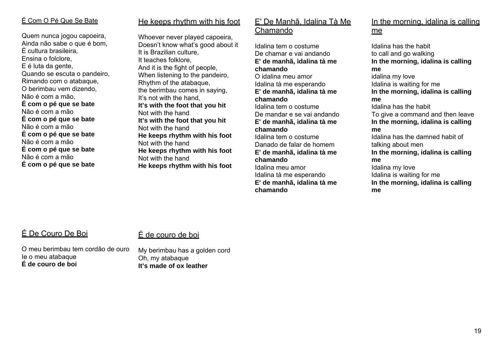## É Com O Pé Que Se Bate

Quem nunca jogou capoeira, Ainda não sabe o que é bom, É cultura brasileira, Ensina o folclore, E é luta da gente, Quando se escuta o pandeiro, Rimando com o atabaque, O berimbau vem dizendo, Não é com a mão, **É com o pé que se bate**  Não é com a mão**É com o pé que se bate**  Não é com a mão **É com o pé que se bate**  Não é com a mão**É com o pé que se bate**  Não é com a mão**É com o pé que se bate** 

## He keeps rhythm with his foot

Whoever never played capoeira, Doesn't know what's good about it It is Brazilian culture, It teaches folklore, And it is the fight of people, When listening to the pandeiro, Rhythm of the atabaque, the berimbau comes in saying, It's not with the hand, **It's with the foot that you hit**  Not with the hand **It's with the foot that you hit**  Not with the hand **He keeps rhythm with his foot**  Not with the hand **He keeps rhythm with his foot**  Not with the hand **He keeps rhythm with his foot** 

## E' De Manhã, Idalina Tà Me <u>Chamando</u>

Idalina tem o costumeDe chamar e vai andando **E' de manhã, idalina tà me chamando** O idalina meu amor Idalina tà me esperando **E' de manhã, idalina tà me chamando** Idalina tem o costume De mandar e se vai andando **E' de manhã, idalina tà me chamando** Idalina tem o costume Danado de falar de homem **E' de manhã, idalina tà me chamando** Idalina meu amor Idalina tà me esperando **E' de manhã, idalina tà me chamando** 

# In the morning, idalina is calling <u>me</u>

Idalina has the habitto call and go walking **In the morning, idalina is calling me** idalina my love Idalina is waiting for me **In the morning, idalina is calling me** Idalina has the habit To give a command and then leave **In the morning, idalina is calling me** Idalina has the damned habit of talking about men **In the morning, idalina is calling me** Idalina my love Idalina is waiting for me **In the morning, idalina is calling me** 

# É De Couro De Boi

## É de couro de boi

O meu berimbau tem cordão de ouro Ie o meu atabaque **É de couro de boi** 

My berimbau has a golden cord Oh, my atabaque **It's made of ox leather**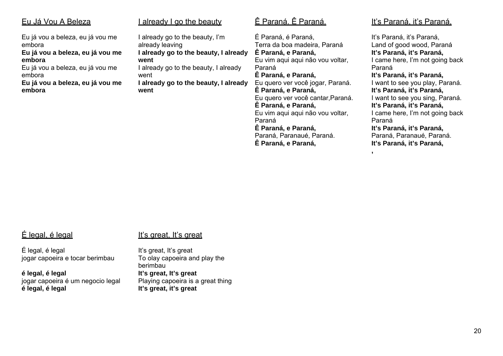| Eu Já Vou A Beleza                                                                                                                                                                   | <u>I already I go the beauty</u>                                                                                                                                                                      | <u>Ê Paraná. Ê Parar</u>                                                                                                                                                                                                                                                                                    |
|--------------------------------------------------------------------------------------------------------------------------------------------------------------------------------------|-------------------------------------------------------------------------------------------------------------------------------------------------------------------------------------------------------|-------------------------------------------------------------------------------------------------------------------------------------------------------------------------------------------------------------------------------------------------------------------------------------------------------------|
| Eu já vou a beleza, eu já vou me<br>embora<br>Eu já vou a beleza, eu já vou me<br>embora<br>Eu já vou a beleza, eu já vou me<br>embora<br>Eu já vou a beleza, eu já vou me<br>embora | I already go to the beauty, I'm<br>already leaving<br>I already go to the beauty, I already<br>went<br>I already go to the beauty, I already<br>went<br>I already go to the beauty, I already<br>went | É Paraná, é Paraná,<br>Terra da boa madeira<br>Ê Paraná, e Paraná,<br>Eu vim agui agui não<br>Paraná<br>Ê Paraná, e Paraná,<br>Eu quero ver você joc<br>Ê Paraná, e Paraná,<br>Eu quero ver você ca<br>Ê Paraná, e Paraná,<br>Eu vim aqui aqui não<br>Paraná<br>Ê Paraná, e Paraná,<br>Paraná, Paranaué, Pa |

## <u>Ê Paraná. Ê Paraná.</u>

a, Paraná vou voltar, gar, Paraná. antar, Paraná. vou voltar, araná. **Ê Paraná, e Paraná,** 

## It's Paraná, it's Paraná,

It's Paraná, it's Paraná, Land of good wood, Paraná **It's Paraná, it's Paraná,**  I came here, I'm not going back Paraná **It's Paraná, it's Paraná,**  I want to see you play, Paraná. **It's Paraná, it's Paraná,**  I want to see you sing, Paraná. **It's Paraná, it's Paraná,**  I came here, I'm not going back Paraná **It's Paraná, it's Paraná,**  Paraná, Paranaué, Paraná. **It's Paraná, it's Paraná,** 

**,** 

# É legal, é legal

## It's great, It's great

É legal, é legal jogar capoeira e tocar berimbau

**é legal, é legal** jogar capoeira é um negocio legal **é legal, é legal**

#### It's great, It's great To olay capoeira and play the berimbau **It's great, It's great**  Playing capoeira is a great thing **It's great, it's great**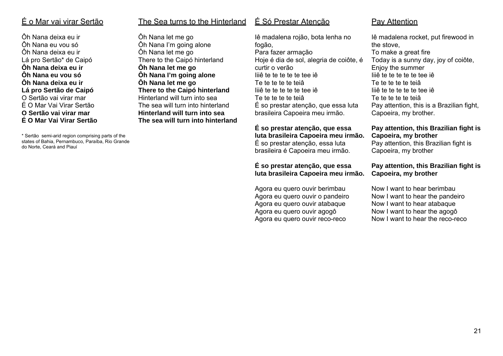# É o Mar vai virar Sertão

Ôh Nana deixa eu irÔh Nana eu vou só Ôh Nana deixa eu ir Lá pro Sertão\* de Caipó **Ôh Nana deixa eu ir Ôh Nana eu vou só Ôh Nana deixa eu ir Lá pro Sertão de Caipó**  O Sertão vai virar marÉ O Mar Vai Virar Sertão **O Sertão vai virar mar É O Mar Vai Virar Sertão** 

\* Sertão semi-arid region comprising parts of the states of Bahia, Pernambuco, Paraíba, Rio Grande do Norte, Ceará and Piauí

### The Sea turns to the Hinterland

Ôh Nana let me go Ôh Nana I'm going alone Ôh Nana let me go There to the Caipó hinterland **Ôh Nana let me go Ôh Nana I'm going alone Ôh Nana let me go There to the Caipó hinterland**  Hinterland will turn into seaThe sea will turn into hinterland **Hinterland will turn into sea The sea will turn into hinterland** 

## É Só Prestar Atenção

Iê madalena rojão, bota lenha no fogão, Para fazer armação Hoje é dia de sol, alegria de coiôte, é curtir o verão Iiiê te te te te te tee iê Te te te te te teiâ Iiiê te te te te te tee iê Te te te te te teiâ É so prestar atenção, que essa luta brasileira Capoeira meu irmão.

**É so prestar atenção, que essa luta brasileira Capoeira meu irmão.**  É so prestar atenção, essa luta brasileira é Capoeira meu irmão.

#### **É so prestar atenção, que essa luta brasileira Capoeira meu irmão.**

Agora eu quero ouvir berimbau Agora eu quero ouvir o pandeiro Agora eu quero ouvir atabaque Agora eu quero ouvir agogô Agora eu quero ouvir reco-reco

## Pay Attention

Iê madalena rocket, put firewood in the stove, To make a great fire Today is a sunny day, joy of coiôte, Enjoy the summer Iiiê te te te te te tee iê Te te te te te teiâ Iiiê te te te te te tee iê Te te te te te teiâ Pay attention, this is a Brazilian fight, Capoeira, my brother.

#### **Pay attention, this Brazilian fight is Capoeira, my brother**

Pay attention, this Brazilian fight is Capoeira, my brother

### **Pay attention, this Brazilian fight is Capoeira, my brother**

Now I want to hear berimbau Now I want to hear the pandeiro Now I want to hear atabaque Now I want to hear the agogô Now I want to hear the reco-reco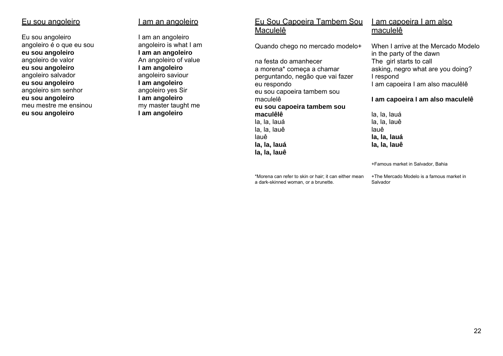### Eu sou angoleiro

Eu sou angoleiro angoleiro é o que eu sou **eu sou angoleiro** angoleiro de valor **eu sou angoleiro** angoleiro salvador **eu sou angoleiro** angoleiro sim senhor **eu sou angoleiro** meu mestre me ensinou **eu sou angoleiro**

### I am an angoleiro

I am an angoleiro angoleiro is what I am **I am an angoleiro** An angoleiro of value **I am angoleiro** angoleiro saviour **I am angoleiro** angoleiro yes Sir **I am angoleiro** my master taught me **I am angoleiro**

## Eu Sou Capoeira Tambem Sou <u>Maculelê</u>

Quando chego no mercado modelo+

na festa do amanhecer a morena\* começa a chamar perguntando, negão que vai fazer eu respondo eu sou capoeira tambem sou maculelê **eu sou capoeira tambem sou maculêlê**la, la, lauá la, la, lauê lauê **la, la, lauá la, la, lauê**

# I am capoeira I am also <u>maculelê</u>

When I arrive at the Mercado Modelo in the party of the dawn The girl starts to call asking, negro what are you doing? I respond I am capoeira I am also maculêlê

#### **I am capoeira I am also maculelê**

la, la, lauá la, la, lauê lauê **la, la, lauá la, la, lauê** 

+Famous market in Salvador, Bahia

\*Morena can refer to skin or hair; it can either mean a dark-skinned woman, or a brunette.

+The Mercado Modelo is a famous market in Salvador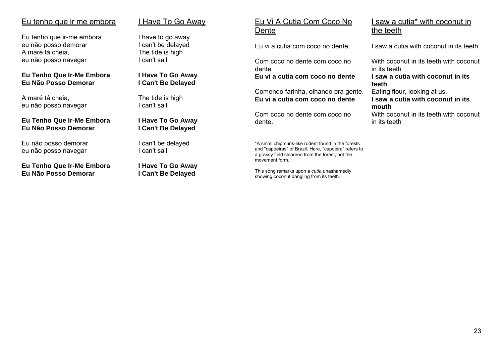### Eu tenho que ir me embora

Eu tenho que ir-me embora eu não posso demorar A maré tá cheia, eu não posso navegar

#### **Eu Tenho Que Ir-Me Embora Eu Não Posso Demorar**

A maré tá cheia, eu não posso navegar

#### **Eu Tenho Que Ir-Me Embora Eu Não Posso Demorar**

Eu não posso demorar eu não posso navegar

#### **Eu Tenho Que Ir-Me Embora Eu Não Posso Demorar**

## I Have To Go Away

I have to go away I can't be delayed The tide is high I can't sail

**I Have To Go Away I Can't Be Delayed**

The tide is high I can't sail

**I Have To Go Away I Can't Be Delayed**

I can't be delayed I can't sail

**I Have To Go Away I Can't Be Delayed** 

## Eu Vi A Cutia Com Coco No <u>Dente</u>

Eu vi a cutia com coco no dente,

Com coco no dente com coco no dente **Eu vi a cutia com coco no dente** 

Comendo farinha, olhando pra gente. **Eu vi a cutia com coco no dente** 

Com coco no dente com coco no dente.

\*A small chipmunk-like rodent found in the forests and "capoeiras" of Brazil. Here, "capoeira" refers to a grassy field clearned from the forest, not the movement form.

This song remarks upon a *cutia* unashamedly showing coconut dangling from its teeth.

## I saw a cutia\* with coconut in <u>the teeth</u>

I saw a cutia with coconut in its teeth

With coconut in its teeth with coconut in its teeth

**I saw a cutia with coconut in its teeth** 

Eating flour, looking at us. **I saw a cutia with coconut in its mouth** 

With coconut in its teeth with coconut in its teeth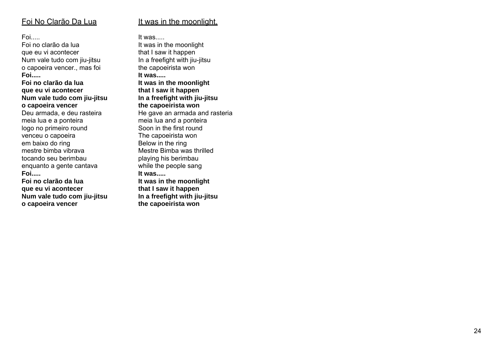## Foi No Clarão Da Lua

Foi.....

Foi no clarão da lua que eu vi acontecer Num vale tudo com jiu-jitsu o capoeira vencer., mas foi **Foi.....** 

**Foi no clarão da lua que eu vi acontecer Num vale tudo com jiu-jitsu o capoeira vencer**

Deu armada, e deu rasteira meia lua e a ponteira logo no primeiro round venceu o capoeira em baixo do ring mestre bimba vibrava tocando seu berimbauenquanto a gente cantava **Foi.....** 

**Foi no clarão da lua que eu vi acontecer Num vale tudo com jiu-jitsu o capoeira vencer** 

It was in the moonlight,

It was.....

It was in the moonlight that I saw it happen In a freefight with jiu-jitsu the capoeirista won **It was..... It was in the moonlight that I saw it happen In a freefight with jiu-jitsu the capoeirista won** He gave an armada and rasteria meia lua and a ponteira Soon in the first round The capoeirista won Below in the ring Mestre Bimba was thrilled playing his berimbau while the people sang **It was.....It was in the moonlight that I saw it happen In a freefight with jiu-jitsu the capoeirista won**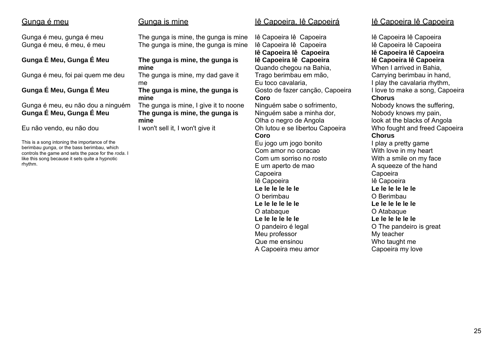## Gunga é meu

Gunga é meu, gunga é meu Gunga é meu, é meu, é meu

### **Gunga É Meu, Gunga É Meu**

Gunga é meu, foi pai quem me deu

### **Gunga É Meu, Gunga É Meu**

Gunga é meu, eu não dou a ninguém **Gunga É Meu, Gunga É Meu** 

Eu não vendo, eu não dou

This is a song intoning the importance of the berimbau *gunga*, or the bass berimbau, which controls the game and sets the pace for the *roda*. I like this song because it sets quite a hypnotic rhythm.

### Gunga is mine

The gunga is mine, the gunga is mine The gunga is mine, the gunga is mine

#### **The gunga is mine, the gunga is mine**

The gunga is mine, my dad gave it me

#### **The gunga is mine, the gunga is mine**

The gunga is mine, I give it to noone **The gunga is mine, the gunga is mine** 

I won't sell it, I won't give it

### Iê Capoeira, Iê Capoeirá

Iê Capoeira Iê Capoeira Iê Capoeira Iê Capoeira **Iê Capoeira Iê Capoeira Iê Capoeira Iê Capoeira**  Quando chegou na Bahia, Trago berimbau em mão, Eu toco cavalaria, Gosto de fazer canção, Capoeira **Coro** Ninguém sabe o sofrimento, Ninguém sabe a minha dor, Olha o negro de Angola Oh lutou e se libertou Capoeira **Coro** 

#### Eu jogo um jogo bonito Com amor no coracao Com um sorriso no rosto E um aperto de mao Capoeira Iê Capoeira **Le le le le le le** O berimbau**Le le le le le le** O atabaque **Le le le le le le** O pandeiro é legal Meu professor Que me ensinou A Capoeira meu amor

## Iê Capoeira Iê Capoeira

Iê Capoeira Iê Capoeira Iê Capoeira Iê Capoeira **Iê Capoeira Iê Capoeira Iê Capoeira Iê Capoeira**  When I arrived in Bahia, Carrying berimbau in hand, I play the cavalaria rhythm, I love to make a song, Capoeira **Chorus** Nobody knows the suffering, Nobody knows my pain, look at the blacks of Angola Who fought and freed Capoeira **Chorus** I play a pretty game With love in my heart With a smile on my face A squeeze of the hand Capoeira Iê Capoeira **Le le le le le le** O Berimbau**Le le le le le le** O Atabaque **Le le le le le le** O The pandeiro is great My teacher Who taught me Capoeira my love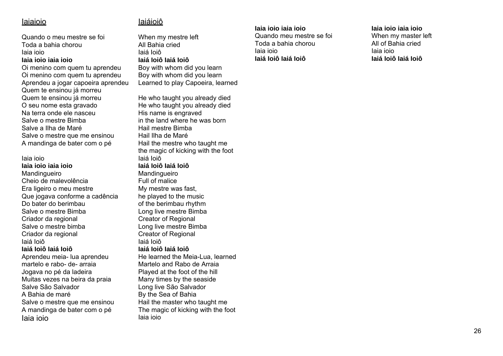## Iaiaioio

Quando o meu mestre se foi Toda a bahia chorou Iaia ioio **Iaia ioio iaia ioio** 

Oi menino com quem tu aprendeu Oi menino com quem tu aprendeu Aprendeu a jogar capoeira aprendeu Quem te ensinou já morreu Quem te ensinou já morreu O seu nome esta gravado Na terra onde ele nasceu Salve o mestre Bimba Salve a Ilha de Maré Salve o mestre que me ensinou A mandinga de bater com o pé

Iaia ioio**Iaia ioio iaia ioio** 

Mandingueiro Cheio de malevolência Era ligeiro o meu mestre Que jogava conforme a cadência Do bater do berimbau Salve o mestre Bimba Criador da regional Salve o mestre bimba Criador da regional Iaiá Ioiô

#### **Iaiá Ioiô Iaiá Ioiô**

Aprendeu meia- lua aprendeu martelo e rabo- de- arraia Jogava no pé da ladeira Muitas vezes na beira da praia Salve São Salvador A Bahia de maré Salve o mestre que me ensinou A mandinga de bater com o pé Iaia ioio

# Iaiáioiô

When my mestre left All Bahia cried Iaiá Ioiô **Iaiá Ioiô Iaiá Ioiô** Boy with whom did you learn Boy with whom did you learn Learned to play Capoeira, learned

He who taught you already died He who taught you already died His name is engraved in the land where he was born Hail mestre Bimba Hail Ilha de Maré Hail the mestre who taught me the magic of kicking with the foot Iaiá Ioiô **Iaiá Ioiô Iaiá Ioiô**Mandingueiro Full of malice My mestre was fast, he played to the music of the berimbau rhythm Long live mestre Bimba Creator of Regional Long live mestre Bimba Creator of Regional Iaiá Ioiô **Iaiá Ioiô Iaiá Ioiô**He learned the Meia-Lua, learned Martelo and Rabo de Arraia Played at the foot of the hill Many times by the seaside Long live São Salvador By the Sea of Bahia Hail the master who taught me The magic of kicking with the foot Iaia ioio

### **Iaia ioio iaia ioio**

Quando meu mestre se foi Toda a bahia chorou Iaia ioio **Iaiá Ioiô Iaiá Ioiô** 

#### **Iaia ioio iaia ioio**

When my master left All of Bahia cried Iaia ioio **Iaiá Ioiô Iaiá Ioiô**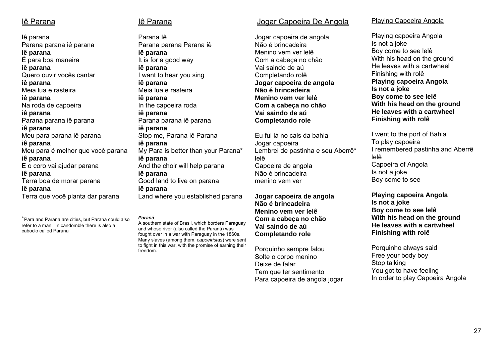## <u>lê Parana</u>

Iê parana Parana parana iê parana **iê parana** É para boa maneira **iê parana** Quero ouvir vocês cantar **iê parana** Meia lua e rasteira **iê parana** Na roda de capoeira **iê parana** Parana parana iê parana **iê parana**  Meu para parana iê parana **iê parana**  Meu para é melhor que você parana **iê parana** E o coro vai ajudar parana **iê parana** Terra boa de morar parana **iê parana** Terra que você planta dar parana

\*Para and Parana are cities, but Parana could also refer to a man. In candomble there is also a caboclo called Parana

# Iê Parana

Parana IêParana parana Parana iê **iê parana** It is for a good way **iê parana** I want to hear you sing **iê parana** Meia lua e rasteira **iê parana** In the capoeira roda **iê parana** Parana parana iê parana **iê parana** Stop me, Parana iê Parana **iê parana**  My Para is better than your Parana\* **iê parana**  And the choir will help parana **iê parana** Good land to live on parana **iê parana**  Land where you established parana

#### *Paraná*

A southern state of Brasil, which borders Paraguay and whose river (also called the Paraná) was fought over in a war with Paraguay in the 1860s. Many slaves (among them, *capoeiristas*) were sent to fight in this war, with the promise of earning their freedom.

### Jogar Capoeira De Angola

Jogar capoeira de angola Não é brincadeira Menino vem ver lelê Com a cabeça no chão Vai saindo de aú Completando rolê **Jogar capoeira de angola Não é brincadeira Menino vem ver lelê Com a cabeça no chão Vai saindo de aú Completando role** 

Eu fui lá no cais da bahiaJogar capoeira Lembrei de pastinha e seu Aberrê\* lelê Capoeira de angola Não é brincadeira menino vem ver

**Jogar capoeira de angola Não é brincadeira Menino vem ver lelê Com a cabeça no chão Vai saindo de aú Completando role** 

Porquinho sempre falou Solte o corpo menino Deixe de falar Tem que ter sentimento Para capoeira de angola jogar

#### Playing Capoeira Angola

Playing capoeira Angola Is not a joke Boy come to see lelê With his head on the ground He leaves with a cartwheel Finishing with rolê **Playing capoeira Angola Is not a joke Boy come to see lelê With his head on the ground He leaves with a cartwheel Finishing with rolê** 

I went to the port of Bahia To play capoeira I remembered pastinha and Aberrê lelê Capoeira of Angola Is not a joke Boy come to see

**Playing capoeira Angola Is not a joke Boy come to see lelê With his head on the ground He leaves with a cartwheel Finishing with rolê** 

Porquinho always said Free your body boy Stop talking You got to have feeling In order to play Capoeira Angola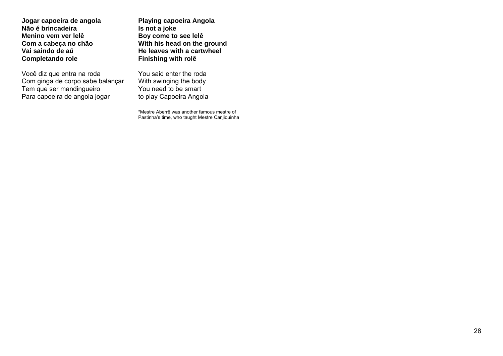**Jogar capoeira de angola Não é brincadeira Menino vem ver lelê Com a cabeça no chão Vai saindo de aú Completando role** 

Você diz que entra na roda Com ginga de corpo sabe balançar Tem que ser mandingueiro Para capoeira de angola jogar

**Playing capoeira Angola Is not a joke Boy come to see lelê With his head on the ground He leaves with a cartwheel Finishing with rolê** 

You said enter the roda With swinging the body You need to be smart to play Capoeira Angola

\*Mestre Aberrê was another famous mestre of Pastinha's time, who taught Mestre Canjiquinha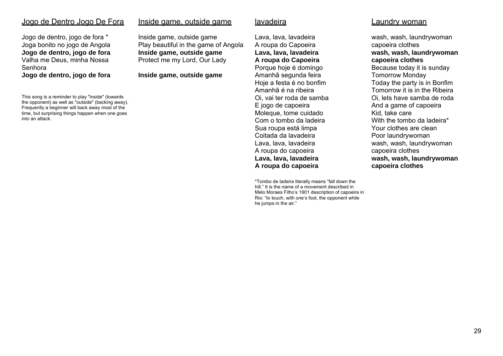### Jogo de Dentro Jogo De Fora

Jogo de dentro, jogo de fora \* Joga bonito no jogo de Angola **Jogo de dentro, jogo de fora** Valha me Deus, minha Nossa Senhora **Jogo de dentro, jogo de fora**

This song is a reminder to play "inside" (towards the opponent) as well as "outside" (backing away). Frequently a beginner will back away most of the time, but surprising things happen when one goes *into* an attack.

#### Inside game, outside game

Inside game, outside game Play beautiful in the game of Angola **Inside game, outside game** Protect me my Lord, Our Lady

**Inside game, outside game** 

#### <u>lavadeira</u>

Lava, lava, lavadeira A roupa do Capoeira **Lava, lava, lavadeira A roupa do Capoeira**  Porque hoje é domingo Amanhã segunda feira Hoje a festa é no bonfim Amanhã é na ribeira Oi, vai ter roda de samba E jogo de capoeira Moleque, tome cuidado Com o tombo da ladeira Sua roupa está limpa Coitada da lavadeira Lava, lava, lavadeira A roupa do capoeira **Lava, lava, lavadeira A roupa do capoeira** 

\*Tombo de ladeira literally means "fall down the hill." It is the name of a movement described in Melo Moraes Filho's 1901 description of capoeira in Rio: "to touch, with one's foot, the opponent while he jumps in the air."

#### Laundry woman

wash, wash, laundrywoman capoeira clothes **wash, wash, laundrywoman capoeira clothes**  Because today it is sunday Tomorrow Monday Today the party is in Bonfim Tomorrow it is in the Ribeira Oi, lets have samba de roda And a game of capoeira Kid, take care With the tombo da ladeira\* Your clothes are clean Poor laundrywoman wash, wash, laundrywoman capoeira clothes **wash, wash, laundrywoman capoeira clothes**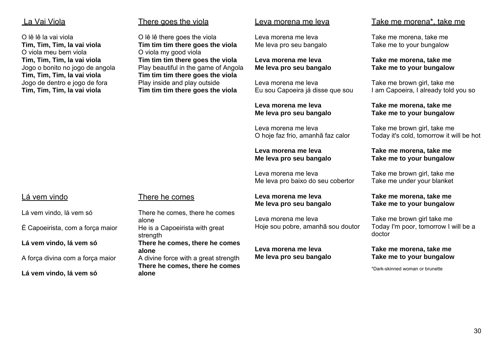## La Vai Viola

O lê lê la vai viola **Tim, Tim, Tim, la vai viola**  O viola meu bem viola **Tim, Tim, Tim, la vai viola** Jogo o bonito no jogo de angola **Tim, Tim, Tim, la vai viola**  Jogo de dentro e jogo de fora **Tim, Tim, Tim, la vai viola** 

## There goes the viola

O lê lê there goes the viola **Tim tim tim there goes the viola**  O viola my good viola **Tim tim tim there goes the viola**  Play beautiful in the game of Angola **Tim tim tim there goes the viola**  Play inside and play outside **Tim tim tim there goes the viola** 

### Leva morena me leva

Leva morena me leva Me leva pro seu bangalo

#### **Leva morena me leva Me leva pro seu bangalo**

Leva morena me leva Eu sou Capoeira já disse que sou

#### **Leva morena me leva Me leva pro seu bangalo**

Leva morena me leva O hoje faz frio, amanhã faz calor

#### **Leva morena me leva Me leva pro seu bangalo**

Leva morena me leva Me leva pro baixo do seu cobertor

#### **Leva morena me leva Me leva pro seu bangalo**

Leva morena me leva Hoje sou pobre, amanhã sou doutor

**Leva morena me leva Me leva pro seu bangalo** 

# Take me morena\*, take me

Take me morena, take me Take me to your bungalow

**Take me morena, take me Take me to your bungalow** 

Take me brown girl, take me I am Capoeira, I already told you so

#### **Take me morena, take me Take me to your bungalow**

Take me brown girl, take me Today it's cold, tomorrow it will be hot

### **Take me morena, take me Take me to your bungalow**

Take me brown girl, take me Take me under your blanket

### **Take me morena, take me Take me to your bungalow**

Take me brown girl take me Today I'm poor, tomorrow I will be a doctor

### **Take me morena, take me Take me to your bungalow**

\*Dark-skinned woman or brunette

# Lá vem vindo

Lá vem vindo, lá vem só

É Capoeirista, com a força maior

**Lá vem vindo, lá vem só** 

A força divina com a força maior

**Lá vem vindo, lá vem só** 

## There he comes

There he comes, there he comes alone He is a Capoeirista with great strength **There he comes, there he comes alone** A divine force with a great strength **There he comes, there he comes alone**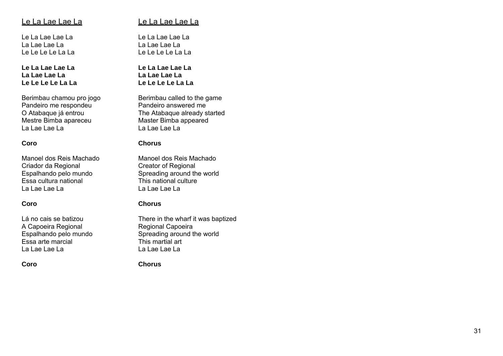## <u>Le La Lae Lae La</u>

Le La Lae Lae La La Lae Lae La Le Le Le Le La La

**Le La Lae Lae La La Lae Lae La Le Le Le Le La La** 

Berimbau chamou pro jogo Pandeiro me respondeu O Atabaque já entrou Mestre Bimba apareceu La Lae Lae La

#### **Coro**

Manoel dos Reis Machado Criador da Regional Espalhando pelo mundo Essa cultura national La Lae Lae La

#### **Coro**

Lá no cais se batizou A Capoeira Regional Espalhando pelo mundo Essa arte marcial La Lae Lae La

**Coro** 

## Le La Lae Lae La

Le La Lae Lae La La Lae Lae La Le Le Le Le La La

**Le La Lae Lae La La Lae Lae La Le Le Le Le La La** 

Berimbau called to the game Pandeiro answered me The Atabaque already started Master Bimba appeared La Lae Lae La

#### **Chorus**

Manoel dos Reis Machado Creator of Regional Spreading around the world This national culture La Lae Lae La

#### **Chorus**

There in the wharf it was baptized Regional Capoeira Spreading around the world This martial art La Lae Lae La

**Chorus**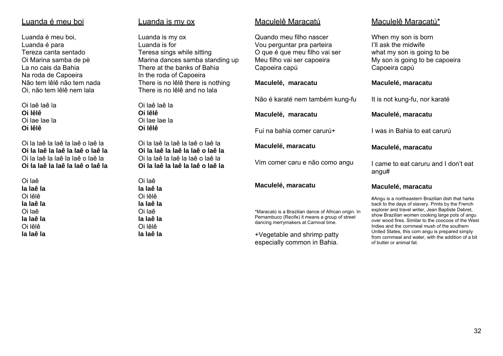#### Luanda é meu boi

Luanda é meu boi, Luanda é para Tereza canta sentado Oi Marina samba de pè La no cais da Bahia Na roda de Capoeira Não tem lêlê não tem nada Oi, não tem lêlê nem lala

Oi laê laê la **Oi lêlê** Oi lae lae la **Oi lêlê** 

Oi la laê la laê la laê o laê la **Oi la laê la laê la laê o laê la** Oi la laê la laê la laê o laê la **Oi la laê la laê la laê o laê la** 

Oi laê **la laê la** Oi lêlê **la laê la** Oi laê **la laê la** Oi lêlê **la laê la** 

#### Luanda is my ox

Luanda is my ox Luanda is for Teresa sings while sitting Marina dances samba standing up There at the banks of Bahia In the roda of Capoeira There is no lêlê there is nothing There is no lêlê and no lala

Oi laê laê la **Oi lêlê** Oi lae lae la **Oi lêlê** 

Oi la laê la laê la laê o laê la **Oi la laê la laê la laê o laê la** Oi la laê la laê la laê o laê la **Oi la laê la laê la laê o laê la** 

Oi laê **la laê la** Oi lêlê **la laê la** Oi laê **la laê la** Oi lêlê **la laê la** 

#### Maculelê Maracatú

Quando meu filho nascer Vou perguntar pra parteira O que é que meu filho vai ser Meu filho vai ser capoeira Capoeira capú

#### **Maculelé, maracatu**

Não é karaté nem também kung-fu

#### **Maculelé, maracatu**

Fui na bahia comer carurú+

**Maculelé, maracatu** 

Vim comer caru e não como angu

#### **Maculelé, maracatu**

\*Maracatú is a Brazilian dance of African origin. In Pernambuco (Recife) it means a group of street dancing merrymakers at Carnival time.

+Vegetable and shrimp patty especially common in Bahia.

### Maculelê Maracatú\*

When my son is born I'll ask the midwife what my son is going to be My son is going to be capoeira Capoeira capú

#### **Maculelé, maracatu**

It is not kung-fu, nor karaté

#### **Maculelé, maracatu**

I was in Bahia to eat carurú

#### **Maculelé, maracatu**

I came to eat caruru and I don't eat angu#

#### **Maculelé, maracatu**

#Angu is a northeastern Brazilian dish that harks back to the days of slavery. Prints by the French explorer and travel writer, Jean Baptiste Debret, show Brazilian women cooking large pots of angu over wood fires. Similar to the coocoos of the West Indies and the cornmeal mush of the southern United States, this corn angu is prepared simply from cornmeal and water, with the addition of a bit of butter or animal fat.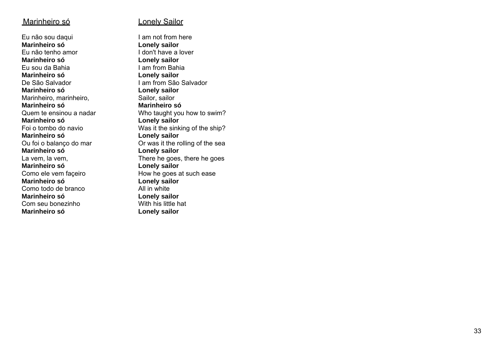#### <u>Marinheiro só</u>

Eu não sou daqui **Marinheiro só** Eu não tenho amor **Marinheiro só** Eu sou da Bahia **Marinheiro só** De São Salvador **Marinheiro só** Marinheiro, marinheiro, **Marinheiro só** Quem te ensinou a nadar **Marinheiro só** Foi o tombo do navio **Marinheiro só** Ou foi o balanço do mar **Marinheiro só**La vem, la vem, **Marinheiro só** Como ele vem façeiro **Marinheiro só** Como todo de branco **Marinheiro só** Com seu bonezinho **Marinheiro só** 

#### Lonely Sailor

I am not from here **Lonely sailor**  I don't have a lover **Lonely sailor**  I am from Bahia **Lonely sailor**  I am from São Salvador **Lonely sailor** Sailor, sailor **Marinheiro só** Who taught you how to swim? **Lonely sailor**  Was it the sinking of the ship? **Lonely sailor**  Or was it the rolling of the sea **Lonely sailor** There he goes, there he goes **Lonely sailor**  How he goes at such ease **Lonely sailor**  All in white **Lonely sailor**  With his little hat **Lonely sailor**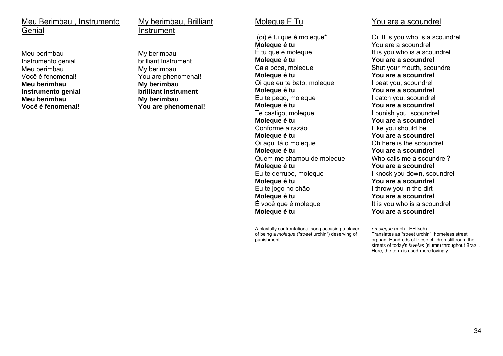#### Meu Berimbau , Instrumento **Genial**

Meu berimbauInstrumento genial Meu berimbau Você é fenomenal! **Meu berimbau Instrumento genial Meu berimbau Você é fenomenal!**

#### My berimbau, Brilliant Instrument

My berimbau brilliant Instrument My berimbau You are phenomenal! **My berimbau brilliant Instrument My berimbau You are phenomenal!** 

#### Molegue E Tu

 (oi) é tu que é moleque\* **Moleque é tu**  É tu que é moleque **Moleque é tu**  Cala boca, moleque **Moleque é tu**  Oi que eu te bato, moleque **Moleque é tu**  Eu te pego, moleque **Moleque é tu**  Te castigo, moleque **Moleque é tu**  Conforme a razão**Moleque é tu**  Oi aqui tá o moleque **Moleque é tu**  Quem me chamou de moleque **Moleque é tu**  Eu te derrubo, moleque **Moleque é tu**  Eu te jogo no chão **Moleque é tu**  É você que é moleque **Moleque é tu** 

A playfully confrontational song accusing a player of being a *moleque* ("street urchin") deserving of punishment.

#### You are a scoundrel

Oi, It is you who is a scoundrel You are a scoundrel It is you who is a scoundrel **You are a scoundrel** Shut your mouth, scoundrel **You are a scoundrel** I beat you, scoundrel **You are a scoundrel**  I catch you, scoundrel **You are a scoundrel** I punish you, scoundrel **You are a scoundrel** Like you should be **You are a scoundrel** Oh here is the scoundrel**You are a scoundrel** Who calls me a scoundrel? **You are a scoundrel** I knock you down, scoundrel **You are a scoundrel** I throw you in the dirt **You are a scoundrel** It is you who is a scoundrel **You are a scoundrel** 

*• moleque* (moh-LEH-keh) Translates as "street urchin"; homeless street orphan. Hundreds of these children still roam the streets of today's *favelas* (slums) throughout Brazil. Here, the term is used more lovingly.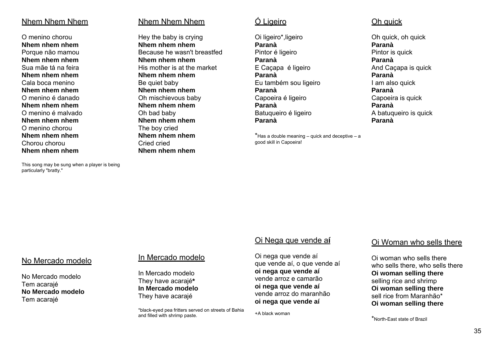### Nhem Nhem Nhem

O menino chorou **Nhem nhem nhem** Porque não mamou **Nhem nhem nhem** Sua mãe tá na feira **Nhem nhem nhem** Cala boca menino **Nhem nhem nhem** O menino é danado **Nhem nhem nhem** O menino é malvado **Nhem nhem nhem** O menino chorou **Nhem nhem nhem** Chorou chorou **Nhem nhem nhem**

particularly "bratty."

## Nhem Nhem Nhem

Hey the baby is crying **Nhem nhem nhem** Because he wasn't breastfed **Nhem nhem nhem** His mother is at the market **Nhem nhem nhem** Be quiet baby **Nhem nhem nhem**  Oh mischievous baby **Nhem nhem nhem** Oh bad baby **Nhem nhem nhem** The boy cried **Nhem nhem nhem** Cried cried **Nhem nhem nhem**

## Ó Ligeiro

Oi ligeiro\*,ligeiro **Paranà** Pintor é ligeiro **Paranà** E Caçapa é ligeiro **Paranà** Eu também sou ligeiro **Paranà** Capoeira é ligeiro **Paranà** Batuqueiro é ligeiro **Paranà**

 $*$ Has a double meaning – quick and deceptive – a good skill in Capoeira!

## Oh quick

Oh quick, oh quick **Paranà** Pintor is quick **Paranà** And Caçapa is quick **Paranà** I am also quick **Paranà** Capoeira is quick **Paranà** A batuqueiro is quick **Paranà** 

## This song may be sung when a player is being

#### No Mercado modelo

No Mercado modeloTem acarajé **No Mercado modelo** Tem acarajé

## In Mercado modelo

In Mercado modeloThey have acarajé**\* In Mercado modelo** They have acarajé

\*black-eyed pea fritters served on streets of Bahia and filled with shrimp paste.

## Oi Nega que vende a**í**

Oi nega que vende aí que vende aí, o que vende aí **oi nega que vende aí** vende arroz e camarão **oi nega que vende aí** vende arroz do maranhão **oi nega que vende aí**

+A black woman

#### Oi Woman who sells there

Oi woman who sells there who sells there, who sells there **Oi woman selling there**  selling rice and shrimp **Oi woman selling there** sell rice from Maranhão\* **Oi woman selling there**

\*North-East state of Brazil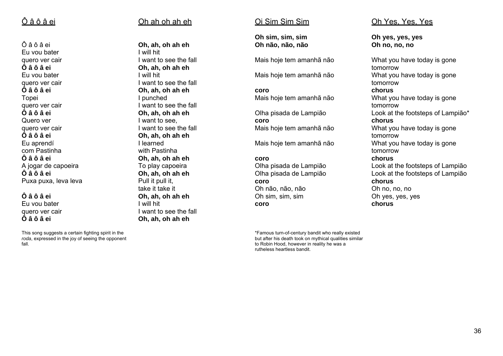## Ô â ô â ei

Ô â ô â ei Eu vou bater quero ver cair **Ô â ô â ei**Eu vou bater quero ver cair **Ô â ô â ei** Topei quero ver cair **Ô â ô â ei**Quero ver quero ver cair **Ô â ô â ei**Eu aprendí com Pastinha **Ô â ô â ei**A jogar de capoeira **Ô â ô â ei**Puxa puxa, leva leva

#### **Ô â ô â ei**

Eu vou bater quero ver cair **Ô â ô â ei**

This song suggests a certain fighting spirit in the *roda*, expressed in the joy of seeing the opponent fall.

## Oh ah oh ah eh

**Oh, ah, oh ah eh** I will hit I want to see the fall **Oh, ah, oh ah eh** I will hit I want to see the fall **Oh, ah, oh ah eh** I punched I want to see the fall **Oh, ah, oh ah eh** I want to see, I want to see the fall **Oh, ah, oh ah eh** I learned with Pastinha **Oh, ah, oh ah eh** To play capoeira **Oh, ah, oh ah eh** Pull it pull it, take it take it **Oh, ah, oh ah eh** I will hit I want to see the fall **Oh, ah, oh ah eh**

## Oi Sim Sim Sim

**Oh sim, sim, sim Oh não, não, não** 

Mais hoje tem amanhã não

Mais hoje tem amanhã não

**coro**Mais hoje tem amanhã não

Olha pisada de Lampião **coro** Mais hoje tem amanhã não

Mais hoje tem amanhã não

#### **coro**

Olha pisada de Lampião Olha pisada de Lampião **coro** Oh não, não, não Oh sim, sim, sim **coro**

\*Famous turn-of-century bandit who really existed but after his death took on mythical qualities similar to Robin Hood, however in reality he was a rutheless heartless bandit.

## Oh Yes, Yes, Yes

**Oh yes, yes, yes Oh no, no, no** 

What you have today is gone tomorrow What you have today is gone tomorrow **chorus**What you have today is gone tomorrow Look at the footsteps of Lampião\* **chorus**What you have today is gone tomorrow What you have today is gone tomorrow **chorus**Look at the footsteps of Lampião Look at the footsteps of Lampião **chorus** Oh no, no, no Oh yes, yes, yes **chorus**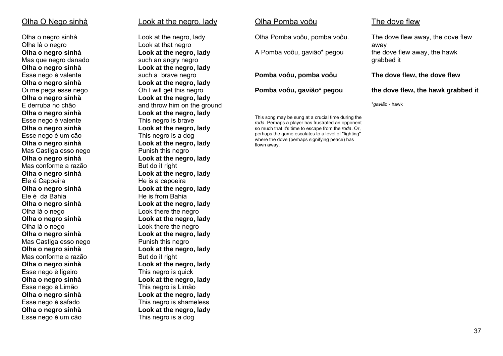### Olha O Nego sinhà

Olha o negro sinhà Olha là o negro **Olha o negro sinhà**  Mas que negro danado **Olha o negro sinhà**  Esse nego è valente **Olha o negro sinhà**  Oi me pega esse nego **Olha o negro sinhà**  E derruba no chão **Olha o negro sinhà**  Esse nego è valente **Olha o negro sinhà**  Esse nego è um cão **Olha o negro sinhà**  Mas Castiga esso nego **Olha o negro sinhà**  Mas conforme a razão **Olha o negro sinhà** Ele é Capoeira **Olha o negro sinhà**  Ele é da Bahia **Olha o negro sinhà** Olha là o nego **Olha o negro sinhà**  Olha là o nego **Olha o negro sinhà**  Mas Castiga esso nego **Olha o negro sinhà**  Mas conforme a razão**Olha o negro sinhà**  Esse nego è ligeiro **Olha o negro sinhà**  Esse nego è Limão **Olha o negro sinhà**  Esse nego è safado **Olha o negro sinhà**  Esse nego è um cão

## Look at the negro, lady

Look at the negro, lady Look at that negro **Look at the negro, lady**  such an angry negro **Look at the negro, lady** such a brave negro **Look at the negro, lady** Oh I will get this negro **Look at the negro, lady**  and throw him on the ground **Look at the negro, lady**  This negro is brave **Look at the negro, lady** This negro is a dog **Look at the negro, lady** Punish this negro **Look at the negro, lady**  But do it right **Look at the negro, lady** He is a capoeira **Look at the negro, lady** He is from Bahia **Look at the negro, lady**  Look there the negro **Look at the negro, lady**  Look there the negro **Look at the negro, lady**  Punish this negro **Look at the negro, lady**  But do it right **Look at the negro, lady**  This negro is quick **Look at the negro, lady**  This negro is Limão **Look at the negro, lady**  This negro is shameless **Look at the negro, lady**  This negro is a dog

#### Olha Pomba voôu

flown away.

Olha Pomba voôu, pomba voôu.

A Pomba voôu, gavião\* pegou

**Pomba voôu, pomba voôu** 

**Pomba voôu, gavião\* pegou** 

This song may be sung at a crucial time during the *roda*. Perhaps a player has frustrated an opponent so much that it's time to escape from the *roda*. Or, perhaps the game escalates to a level of "fighting" where the dove (perhaps signifying peace) has

**the dove flew, the hawk grabbed it** 

**The dove flew, the dove flew** 

\**gavião* - hawk

The dove flew

The dove flew away, the dove flew away the dove flew away, the hawk grabbed it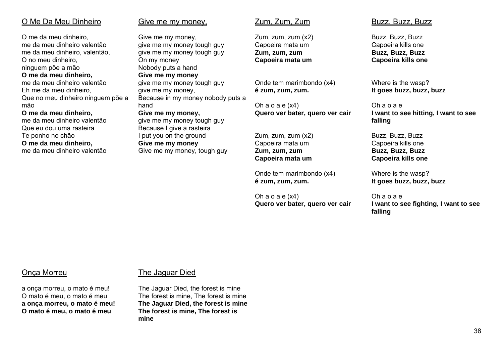## O Me Da Meu Dinheiro

O me da meu dinheiro, me da meu dinheiro valentão me da meu dinheiro, valentão, O no meu dinheiro, ninguem põe a mão **O me da meu dinheiro,** me da meu dinheiro valentão Eh me da meu dinheiro, Que no meu dinheiro ninguem põe a mão

#### **O me da meu dinheiro,**

me da meu dinheiro valentão Que eu dou uma rasteira Te ponho no chão **O me da meu dinheiro,** me da meu dinheiro valentão

#### Give me my money,

Give me my money, give me my money tough guy give me my money tough guy On my money Nobody puts a hand **Give me my money** give me my money tough guy give me my money, Because in my money nobody puts a hand **Give me my money,**

give me my money tough guy Because I give a rasteira I put you on the ground **Give me my money**  Give me my money, tough guy

#### Zum, Zum, Zum

Zum, zum, zum (x2) Capoeira mata um **Zum, zum, zum Capoeira mata um** 

Onde tem marimbondo (x4) **é zum, zum, zum.**

Oh  $a$  o  $a \in (x4)$ **Quero ver bater, quero ver cair** 

Zum, zum, zum (x2) Capoeira mata um **Zum, zum, zum Capoeira mata um** 

Onde tem marimbondo (x4) **é zum, zum, zum.**

Oh a o a e (x4) **Quero ver bater, quero ver cair** 

#### Buzz, Buzz, Buzz

Buzz, Buzz, Buzz Capoeira kills one **Buzz, Buzz, Buzz Capoeira kills one**

Where is the wasp? **It goes buzz, buzz, buzz** 

Oh a o a e **I want to see hitting, I want to see falling** 

Buzz, Buzz, Buzz Capoeira kills one **Buzz, Buzz, Buzz Capoeira kills one**

Where is the wasp? **It goes buzz, buzz, buzz** 

Oh a o a e **I want to see fighting, I want to see falling** 

#### Onça Morreu

a onça morreu, o mato é meu! O mato é meu, o mato é meu **a onça morreu, o mato é meu! O mato é meu, o mato é meu** 

## The Jaguar Died

The Jaguar Died, the forest is mine The forest is mine, The forest is mine **The Jaguar Died, the forest is mine The forest is mine, The forest is mine**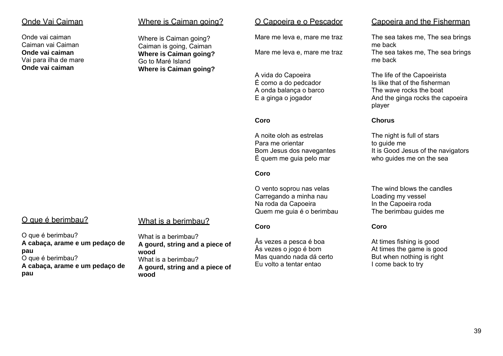#### Onde Vai Caiman

Onde vai caimanCaiman vai Caiman **Onde vai caiman** Vai para ilha de mare **Onde vai caiman** 

#### Where is Caiman going?

Where is Caiman going? Caiman is going, Caiman **Where is Caiman going?**  Go to Maré Island**Where is Caiman going?** 

#### O Capoeira e o Pescador

Mare me leva e, mare me traz

Mare me leva e, mare me traz

A vida do Capoeira Ė como a do pedcador A onda balança o barco E a ginga o jogador

#### **Coro**

A noite oloh as estrelasPara me orientar Bom Jesus dos navegantes Ė quem me guia pelo mar

#### **Coro**

O vento soprou nas velas Carregando a minha nau Na roda da Capoeira Quem me guia é o berimbau

#### **Coro**

Âs vezes a pesca é boa Âs vezes o jogo é bom Mas quando nada dá certo Eu volto a tentar entao

#### Capoeira and the Fisherman

The sea takes me, The sea brings me back The sea takes me, The sea brings me back

The life of the Capoeirista Is like that of the fisherman The wave rocks the boat And the ginga rocks the capoeira player

#### **Chorus**

The night is full of stars to guide me It is Good Jesus of the navigators who guides me on the sea

The wind blows the candlesLoading my vessel In the Capoeira roda The berimbau guides me

#### **Coro**

At times fishing is good At times the game is good But when nothing is right I come back to try

## O que é berimbau?

## What is a berimbau?

O que é berimbau? **A cabaça, arame e um pedaço de pau**  O que é berimbau? **A cabaça, arame e um pedaço de pau** 

What is a berimbau? **A gourd, string and a piece of wood** What is a berimbau? **A gourd, string and a piece of wood**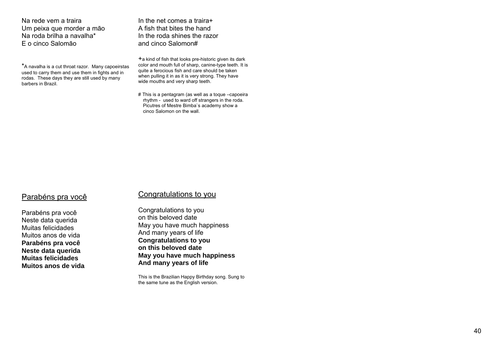Na rede vem a traira Um peixa que morder a mā<sup>o</sup> Na roda brilha a navalha\* E o cinco Salomāo

\*A navalha is a cut throat razor. Many capoeirstas used to carry them and use them in fights and in rodas. These days they are still used by many barbers in Brazil.

In the net comes a traira+ A fish that bites the hand In the roda shines the razor and cinco Salomon#

 $+a$  kind of fish that looks pre-historic given its dark color and mouth full of sharp, canine-type teeth. It is quite a ferocious fish and care should be taken when pulling it in as it is very strong. They have wide mouths and very sharp teeth.

# This is a pentagram (as well as a toque –capoeira rhythm - used to ward off strangers in the roda. Picutres of Mestre Bimba`s academy show a cinco Salomon on the wall.

#### Parabéns pra você

Parabéns pra você Neste data querida Muitas felicidades Muitos anos de vida **Parabéns pra você Neste data querida Muitas felicidades Muitos anos de vida** 

#### Congratulations to you

Congratulations to you on this beloved date May you have much happiness And many years of life **Congratulations to you on this beloved date May you have much happiness And many years of life** 

This is the Brazilian Happy Birthday song. Sung to the same tune as the English version.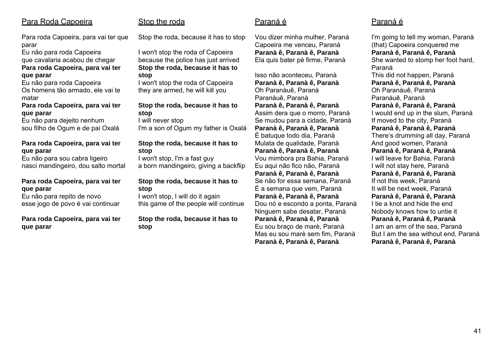## Para Roda Capoeira

Para roda Capoeira, para vai ter que parar

Eu não para roda Capoeira que cavalaria acabou de chegar **Para roda Capoeira, para vai ter que parar** 

Eu não para roda Capoeira Os homens tão armado, ele vai te matar

#### **Para roda Capoeira, para vai ter que parar**

Eu não para dejeito nenhum sou filho de Ogum e de pai Oxalá

#### **Para roda Capoeira, para vai ter que parar**

Eu não para sou cabra ligeiro nasci mandingeiro, dou salto mortal

#### **Para roda Capoeira, para vai ter que parar**

Eu não para repito de novo esse jogo de povo é vai continuar

#### **Para roda Capoeira, para vai ter que parar**

## Stop the roda

Stop the roda, because it has to stop

I won't stop the roda of Capoeira because the police has just arrived **Stop the roda, because it has to stop** 

I won't stop the roda of Capoeira they are armed, he will kill you

#### **Stop the roda, because it has to stop**

I will never stop I'm a son of Ogum my father is Oxalá

#### **Stop the roda, because it has to stop**

I won't stop, I'm a fast guy a born mandingeiro, giving a backflip

#### **Stop the roda, because it has to stop**

I won't stop, I will do it again this game of the people will continue

**Stop the roda, because it has to stop** 

## Paraná é

Vou dizer minha mulher, Paranà Capoeira me venceu, Paranà **Paranà ê, Paranà ê, Paranà**  Ela quis bater pè firme, Paranà

Isso não aconteceu, Paranà **Paranà ê, Paranà ê, Paranà**  Oh Paranàuê, Paranà Paranàuê, Paranà **Paranà ê, Paranà ê, Paranà**  Assim dera que o morro, Paranà Se mudou para a cidade, Paranà **Paranà ê, Paranà ê, Paranà**  É batuque todo dia, Paranà Mulata de qualidade, Paranà **Paranà ê, Paranà ê, Paranà**  Vou mimbora pra Bahia, Paranà Eu aqui não fico não, Paranà **Paranà ê, Paranà ê, Paranà**  Se não for essa semana, Paranà É a semana que vem, Paranà **Paranà ê, Paranà ê, Paranà**  Dou nó e escondo a ponta, Paranà Ninguem sabe desatar, Paranà **Paranà ê, Paranà ê, Paranà**  Eu sou braço de marè, Paranà Mas eu sou marè sem fim, Paranà **Paranà ê, Paranà ê, Paranà** 

## Paraná é

I'm going to tell my woman, Paranà (that) Capoeira conquered me **Paranà ê, Paranà ê, Paranà**  She wanted to stomp her foot hard, Paranà This did not happen, Paranà **Paranà ê, Paranà ê, Paranà**  Oh Paranàuê, Paranà Paranàuê, Paranà **Paranà ê, Paranà ê, Paranà**  I would end up in the slum, Paraná If moved to the city, Paranà **Paranà ê, Paranà ê, Paranà**  There's drumming all day, Paraná And good women, Paraná **Paranà ê, Paranà ê, Paranà**  I will leave for Bahia, Paranà I will not stay here, Paranà **Paranà ê, Paranà ê, Paranà**  If not this week, Paranà It will be next week, Paranà **Paranà ê, Paranà ê, Paranà**  I tie a knot and hide the end Nobody knows how to untie it **Paranà ê, Paranà ê, Paranà**  I am an arm of the sea, Paranà But I am the sea without end, Paranà **Paranà ê, Paranà ê, Paranà**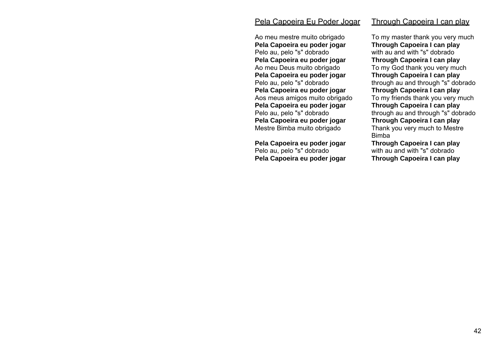#### Pela Capoeira Eu Poder Jogar

Ao meu mestre muito obrigado **Pela Capoeira eu poder jogar**  Pelo au, pelo "s" dobrado **Pela Capoeira eu poder jogar**  Ao meu Deus muito obrigado **Pela Capoeira eu poder jogar**  Pelo au, pelo "s" dobrado **Pela Capoeira eu poder jogar**  Aos meus amigos muito obrigado **Pela Capoeira eu poder jogar**  Pelo au, pelo "s" dobrado **Pela Capoeira eu poder jogar**  Mestre Bimba muito obrigado

**Pela Capoeira eu poder jogar**  Pelo au, pelo "s" dobrado **Pela Capoeira eu poder jogar**  To my master thank you very much **Through Capoeira I can play**  with au and with "s" dobrado **Through Capoeira I can play**  To my God thank you very much **Through Capoeira I can play**  through au and through "s" dobrado

Through Capoeira I can play

**Through Capoeira I can play**  To my friends thank you very much **Through Capoeira I can play**  through au and through "s" dobrado **Through Capoeira I can play**  Thank you very much to Mestre Bimba

**Through Capoeira I can play**  with au and with "s" dobrado **Through Capoeira I can play**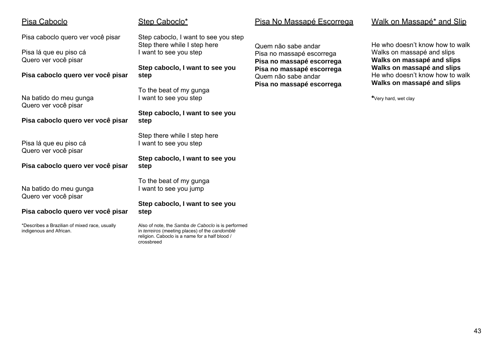| <u>Pisa Caboclo</u>                                                      | Step Caboclo*                                                                                        | <u>Pisa No Massapé Escorrega</u>                       |
|--------------------------------------------------------------------------|------------------------------------------------------------------------------------------------------|--------------------------------------------------------|
| Pisa caboclo quero ver você pisar                                        | Step caboclo, I want to see you step                                                                 |                                                        |
| Pisa lá que eu piso cá<br>Quero ver você pisar                           | Step there while I step here<br>I want to see you step                                               | Quem não sabe andar<br>Pisa no massapé escorrega       |
|                                                                          | Step caboclo, I want to see you                                                                      | Pisa no massapé escorrega<br>Pisa no massapé escorrega |
| Pisa caboclo quero ver você pisar                                        | step                                                                                                 | Quem não sabe andar<br>Pisa no massapé escorrega       |
|                                                                          | To the beat of my gunga                                                                              |                                                        |
| Na batido do meu gunga<br>Quero ver você pisar                           | I want to see you step                                                                               |                                                        |
| Pisa caboclo quero ver você pisar                                        | Step caboclo, I want to see you<br>step                                                              |                                                        |
|                                                                          |                                                                                                      |                                                        |
|                                                                          | Step there while I step here                                                                         |                                                        |
| Pisa lá que eu piso cá<br>Quero ver você pisar                           | I want to see you step                                                                               |                                                        |
|                                                                          | Step caboclo, I want to see you                                                                      |                                                        |
| Pisa caboclo quero ver você pisar                                        | step                                                                                                 |                                                        |
|                                                                          | To the beat of my gunga                                                                              |                                                        |
| Na batido do meu gunga<br>Quero ver você pisar                           | I want to see you jump                                                                               |                                                        |
|                                                                          | Step caboclo, I want to see you                                                                      |                                                        |
| Pisa caboclo quero ver você pisar                                        | step                                                                                                 |                                                        |
| *Describes a Brazilian of mixed race, usually<br>indigenous and African. | Also of note, the Samba de Caboclo is is performed<br>in terreiros (meeting places) of the candomblé |                                                        |
|                                                                          | religion. Caboclo is a name for a half blood /<br>crossbreed                                         |                                                        |

## Step Caboclo\*

Pisa No Massapé Escorrega

## Walk on Massapé\* and Slip

He who doesn't know how to walk Walks on massapé and slips **Walks on massapé and slips Walks on massapé and slips**  He who doesn't know how to walk **Walks on massapé and slips** 

**\***Very hard, wet clay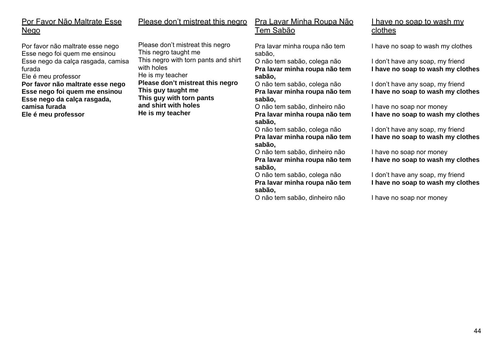## Por Favor Não Maltrate Esse Nego

Por favor não maltrate esse nego Esse nego foi quem me ensinou Esse nego da calça rasgada, camisa furada Ele é meu professor **Por favor não maltrate esse nego Esse nego foi quem me ensinou** 

**camisa furada** 

**Ele é meu professor**

**Esse nego da calça rasgada,**  This negro with torn pants and shirt with holes He is my teacher **Please don't mistreat this negro This guy taught me This guy with torn pants and shirt with holesHe is my teacher** 

Please don't mistreat this negro

This negro taught me

#### Please don't mistreat this negro Pra Lavar Minha Roupa Não <u>Tem Sabão</u>

Pra lavar minha roupa não tem sabão,

O não tem sabão, colega não **Pra lavar minha roupa não tem sabão,**

O não tem sabão, colega não **Pra lavar minha roupa não tem sabão,**

O não tem sabão, dinheiro não **Pra lavar minha roupa não tem sabão,**

O não tem sabão, colega não **Pra lavar minha roupa não tem sabão,**

O não tem sabão, dinheiro não **Pra lavar minha roupa não tem sabão,**

O não tem sabão, colega não **Pra lavar minha roupa não tem sabão,**

O não tem sabão, dinheiro não

## I have no soap to wash my clothes

I have no soap to wash my clothes

I don't have any soap, my friend **I have no soap to wash my clothes**

I don't have any soap, my friend **I have no soap to wash my clothes**

I have no soap nor money **I have no soap to wash my clothes**

I don't have any soap, my friend **I have no soap to wash my clothes**

I have no soap nor money **I have no soap to wash my clothes**

I don't have any soap, my friend **I have no soap to wash my clothes**

I have no soap nor money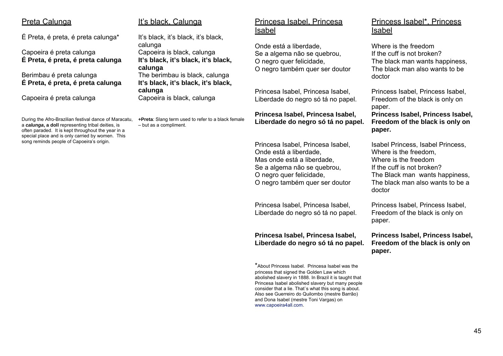#### Preta Calunga

É Preta, é preta, é preta calunga\*

Capoeira é preta calunga **É Preta, é preta, é preta calunga**

Berimbau é preta calunga **É Preta, é preta, é preta calunga**

Capoeira é preta calunga

During the Afro-Brazilian festival dance of Maracatu, <sup>a</sup>*calunga***, a doll** representing tribal deities, is often paraded. It is kept throughout the year in a special place and is only carried by women. This song reminds people of Capoeira's origin.

#### It's black, Calunga

It's black, it's black, it's black, calunga Capoeira is black, calunga **It's black, it's black, it's black, calunga**  The berimbau is black, calunga **It's black, it's black, it's black, calunga**  Capoeira is black, calunga

**+Preta**: Slang term used to refer to a black female – but as a compliment.

## Princesa Isabel, Princesa <u>Isabel</u>

Onde está a liberdade, Se a algema não se quebrou, O negro quer felicidade, O negro também quer ser doutor

Princesa Isabel, Princesa Isabel, Liberdade do negro só tá no papel.

#### **Princesa Isabel, Princesa Isabel, Liberdade do negro só tá no papel.**

Princesa Isabel, Princesa Isabel, Onde está a liberdade, Mas onde está a liberdade, Se a algema não se quebrou, O negro quer felicidade, O negro também quer ser doutor

Princesa Isabel, Princesa Isabel, Liberdade do negro só tá no papel.

#### **Princesa Isabel, Princesa Isabel, Liberdade do negro só tá no papel.**

\*About Princess Isabel. Princesa Isabel was the princess that signed the Golden Law which abolished slavery in 1888. In Brazil it is taught that Princesa Isabel abolished slavery but many people consider that a lie. That`s what this song is about. Also see Guerreiro do Quilombo (mestre Barrão) and Dona Isabel (mestre Toni Vargas) on www.capoeira4all.com.

## Princess Isabel\*, Princess <u>Isabel</u>

Where is the freedom If the cuff is not broken? The black man wants happiness, The black man also wants to be doctor

Princess Isabel, Princess Isabel, Freedom of the black is only on paper.

**Princess Isabel, Princess Isabel, Freedom of the black is only on paper.** 

Isabel Princess, Isabel Princess, Where is the freedom, Where is the freedom If the cuff is not broken? The Black man wants happiness, The black man also wants to be a doctor

Princess Isabel, Princess Isabel, Freedom of the black is only on paper.

**Princess Isabel, Princess Isabel, Freedom of the black is only on paper.**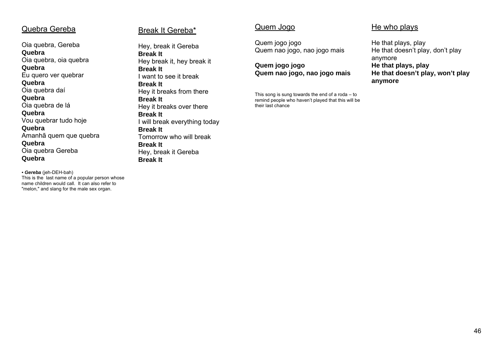#### Quebra Gereba

Oia quebra, Gereba **Quebra** Oia quebra, oia quebra **Quebra** Eu quero ver quebrar **Quebra** Oia quebra daí **Quebra** Oia quebra de lá **Quebra** Vou quebrar tudo hoje **Quebra** Amanhã quem que quebra **Quebra** Oia quebra Gereba **Quebra** 

*• Gereba* (jeh-DEH-bah) This is the last name of a popular person whose name children would call. It can also refer to "melon," and slang for the male sex organ.

#### Break It Gereba\*

Hey, break it Gereba **Break It**Hey break it, hey break it **Break It** I want to see it break **Break It** Hey it breaks from there **Break It**Hey it breaks over there **Break It** I will break everything today **Break It**Tomorrow who will break **Break It** Hey, break it Gereba **Break It** 

## Quem Jogo

Quem jogo jogo Quem nao jogo, nao jogo mais

**Quem jogo jogo Quem nao jogo, nao jogo mais** 

This song is sung towards the end of a roda  $-$  to remind people who haven't played that this will be their last chance

#### He who plays

He that plays, play He that doesn't play, don't play anymore **He that plays, play He that doesn't play, won't play anymore**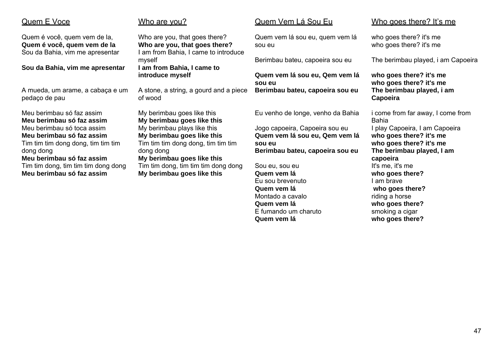## Quem E Voce

Quem é você, quem vem de la, **Quem é você, quem vem de la** Sou da Bahia, vim me apresentar

**Sou da Bahia, vim me apresentar** 

A mueda, um arame, a cabaça e um pedaço de pau

Meu berimbau só faz assim**Meu berimbau só faz assim**Meu berimbau só toca assim**Meu berimbau só faz assim**Tim tim tim dong dong, tim tim tim dong dong **Meu berimbau só faz assim**Tim tim dong, tim tim tim dong dong **Meu berimbau só faz assim** 

#### Who are you?

Who are you, that goes there? **Who are you, that goes there?** I am from Bahia, I came to introduce myself **I am from Bahia, I came to introduce myself**

A stone, a string, a gourd and a piece of wood

My berimbau goes like this **My berimbau goes like this** My berimbau plays like this **My berimbau goes like this** Tim tim tim dong dong, tim tim tim dong dong **My berimbau goes like this** Tim tim dong, tim tim tim dong dong **My berimbau goes like this** 

## Quem Vem Lá Sou Eu

Quem vem lá sou eu, quem vem lá sou eu

Berimbau bateu, capoeira sou eu

**Quem vem lá sou eu, Qem vem lá sou eu Berimbau bateu, capoeira sou eu** 

Eu venho de longe, venho da Bahia

Jogo capoeira, Capoeira sou eu **Quem vem lá sou eu, Qem vem lá sou eu Berimbau bateu, capoeira sou eu** 

Sou eu, sou eu **Quem vem lá** Eu sou brevenuto **Quem vem lá**  Montado a cavalo**Quem vem lá**  E fumando um charuto**Quem vem lá** 

#### Who goes there? It's me

who goes there? it's me who goes there? it's me

The berimbau played, i am Capoeira

**who goes there? it's me who goes there? it's me The berimbau played, i am Capoeira** 

i come from far away, I come from Bahia I play Capoeira, I am Capoeira **who goes there? it's me who goes there? it's me The berimbau played, I am capoeira** It's me, it's me **who goes there?** I am brave **who goes there?** riding a horse **who goes there?** smoking a cigar **who goes there?**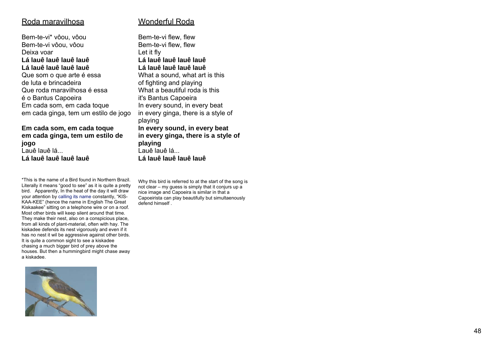#### Roda maravilhosa

#### Wonderful Roda

Bem-te-vi\* vôou, vôou Bem-te-vi vôou, vôou Deixa voar **Lá lauê lauê lauê lauê Lá lauê lauê lauê lauê** Que som o que arte é essa de luta e brincadeira Que roda maravilhosa é essa é o Bantus Capoeira Em cada som, em cada toque em cada ginga, tem um estilo de jogo

**Em cada som, em cada toque em cada ginga, tem um estilo de jogo**  Lauê lauê lá... **Lá lauê lauê lauê lauê**

\*This is the name of a Bird found in Northern Brazil. Literally it means "good to see" as it is quite a pretty bird. Apparently, In the heat of the day it will draw your attention by calling its name constantly, "KIS-KAA-KEE" (hence the name in English The Great Kiskaakee" sitting on a telephone wire or on a roof. Most other birds will keep silent around that time. They make their nest, also on a conspicious place, from all kinds of plant-material, often with hay. The kiskadee defends its nest vigorously and even if it has no nest it wil be aggressive against other birds. It is quite a common sight to see a kiskadee chasing a much bigger bird of prey above the houses. But then a hummingbird might chase away a kiskadee.



Bem-te-vi flew, flew Bem-te-vi flew, flew Let it fly **Lá lauê lauê lauê lauê Lá lauê lauê lauê lauê** What a sound, what art is this of fighting and playing What a beautiful roda is this it's Bantus Capoeira In every sound, in every beat in every ginga, there is a style of playing **In every sound, in every beat in every ginga, there is a style of playing**  Lauê lauê lá... **Lá lauê lauê lauê lauê**

Why this bird is referred to at the start of the song is not clear – my guess is simply that it conjurs up a nice image and Capoeira is similar in that a Capoeirista can play beautifully but simultaenously defend himself .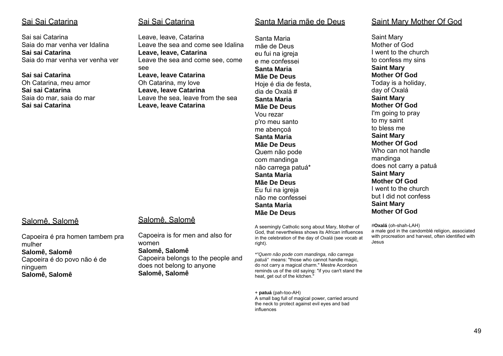#### <u>Sai Sai Catarina</u>

Sai sai Catarina Saia do mar venha ver Idalina **Sai sai Catarina** Saia do mar venha ver venha ver

**Sai sai Catarina** Oh Catarina, meu amor **Sai sai Catarina** Saia do mar, saia do mar **Sai sai Catarina** 

## <u>Sai Sai Catarina</u>

Leave, leave, Catarina Leave the sea and come see Idalina **Leave, leave, Catarina**  Leave the sea and come see, come see **Leave, leave Catarina** 

Oh Catarina, my love **Leave, leave Catarina**  Leave the sea, leave from the sea **Leave, leave Catarina** 

## Santa Maria mãe de Deus

Santa Maria mãe de Deus eu fui na igreja e me confessei **Santa Maria Mãe De Deus**Hoje é dia de festa. dia de Oxalá # **Santa Maria Mãe De Deus**Vou rezar p'ro meu santo me abençoá **Santa Maria Mãe De Deus**Quem não pode com mandinga não carrega patuá\* **Santa Maria Mãe De Deus**Eu fui na igreja não me confessei **Santa Maria Mãe De Deus**

A seemingly Catholic song about Mary, Mother of God, that nevertheless shows its African influences in the celebration of the day of *Oxalá* (see vocab at right).

*\*"Quem não pode com mandinga, não carrega patuá"* means: "those who cannot handle magic, do not carry a magical charm." Mestre Acordeon reminds us of the old saying: "if you can't stand the heat, get out of the kitchen."

<sup>+</sup>**patuá** (pah-too-AH) A small bag full of magical power, carried around the neck to protect against evil eyes and bad influences

Saint Mary Mother Of God

Saint Mary Mother of God I went to the church to confess my sins **Saint Mary Mother Of God**Today is a holiday, day of Oxalá **Saint Mary Mother Of God**I'm going to pray to my saint to bless me **Saint Mary Mother Of God**Who can not handle mandinga does not carry a patuá **Saint Mary Mother Of God**I went to the church but I did not confess **Saint Mary Mother Of God**

*#***Oxalá** (oh-shah-LAH) a male god in the candomblé religion, associated with procreation and harvest, often identified with Jesus

## Salomê, Salomê

Capoeira é pra homen tambem pra mulher **Salomê, Salomê** Capoeira é do povo não é de ninguem **Salomê, Salomê** 

## Salomê, Salomê

**Salomê, Salomê** 

Capoeira is for men and also for women **Salomê, Salomê**  Capoeira belongs to the people and does not belong to anyone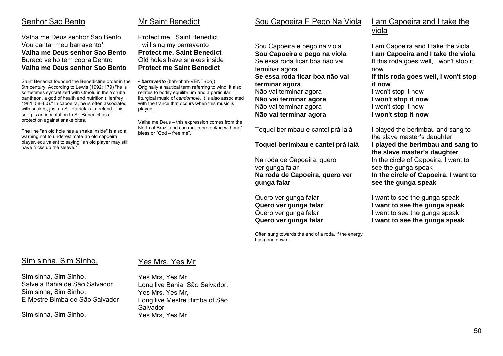#### Senhor Sao Bento

Valha me Deus senhor Sao BentoVou cantar meu barravento\* **Valha me Deus senhor Sao Bento** Buraco velho tem cobra Dentro **Valha me Deus senhor Sao Bento** 

Saint Benedict founded the Benedictine order in the 6th century. According to Lewis (1992: 179) "he is sometimes syncretized with Omolu in the Yoruba pantheon, a god of health and nutrition (Henfrey 1981: 58–60)." In capoeira, he is often associated with snakes, just as St. Patrick is in Ireland. This song is an incantation to St. Benedict as a protection against snake bites.

The line "an old hole has a snake inside" is also a warning not to underestimate an old capoeira player, equivalent to saying "an old player may still have tricks up the sleeve."

## Mr Saint Benedict

Protect me, Saint Benedict I will sing my barravento **Protect me, Saint Benedict**  Old holes have snakes inside **Protect me Saint Benedict** 

*• barravento* (bah-hhah-VENT-(oo)) Originally a nautical term referring to wind, it also relates to bodily equilibrium and a particular liturgical music of *candomblé*. It is also associated with the trance that occurs when this music is played.

Valha me Deus – this expression comes from the North of Brazil and can mean protect/be with me/ bless or "God – free me".

## Sou Capoeira E Pego Na Viola

Sou Capoeira e pego na viola **Sou Capoeira e pego na viola**  Se essa roda ficar boa não vai terminar agora **Se essa roda ficar boa não vai terminar agora**  Não vai terminar agora **Não vai terminar agora**  Não vai terminar agora **Não vai terminar agora** 

Toquei berimbau e cantei prá iaiá

#### **Toquei berimbau e cantei prá iaiá**

Na roda de Capoeira, quero ver gunga falar **Na roda de Capoeira, quero ver gunga falar**

Quero ver gunga falar **Quero ver gunga falar** Quero ver gunga falar **Quero ver gunga falar**

Often sung towards the end of a roda, if the energy has gone down.

## I am Capoeira and I take the <u>viola</u>

I am Capoeira and I take the viola **I am Capoeira and I take the viola**  If this roda goes well, I won't stop it now **If this roda goes well, I won't stop it now** I won't stop it now **I won't stop it now**  I won't stop it now

**I won't stop it now** 

I played the berimbau and sang to the slave master's daughter **I played the berimbau and sang to the slave master's daughter** In the circle of Capoeira, I want to see the gunga speak **In the circle of Capoeira, I want to see the gunga speak** 

I want to see the gunga speak **I want to see the gunga speak**  I want to see the gunga speak **I want to see the gunga speak** 

#### Sim sinha, Sim Sinho,

Yes Mrs, Yes Mr

Sim sinha, Sim Sinho, Salve a Bahia de São Salvador. Sim sinha, Sim Sinho, E Mestre Bimba de São Salvador

Sim sinha, Sim Sinho,

Yes Mrs, Yes Mr Long live Bahia, São Salvador. Yes Mrs, Yes Mr, Long live Mestre Bimba of São Salvador Yes Mrs, Yes Mr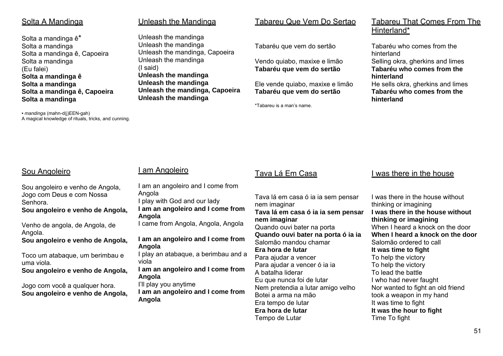#### Solta A Mandinga

Solta a mandinga ê\* Solta a mandinga Solta a mandinga ê, Capoeira Solta a mandinga (Eu falei) **Solta a mandinga ê Solta a mandinga Solta a mandinga ê, Capoeira Solta a mandinga** 

*• mandinga* (mahn-d(j)EEN-gah) A magical knowledge of rituals, tricks, and cunning.

#### Unleash the Mandinga

Unleash the mandinga Unleash the mandinga Unleash the mandinga, Capoeira Unleash the mandinga (I said) **Unleash the mandinga Unleash the mandinga Unleash the mandinga, Capoeira Unleash the mandinga** 

## Tabareu Que Vem Do Sertao

Tabaréu que vem do sertão

Vendo quiabo, maxixe e limão **Tabaréu que vem do sertão** 

Ele vende quiabo, maxixe e limão **Tabaréu que vem do sertão** 

\*Tabareu is a man's name.

### Tabareu That Comes From The Hinterland\*

Tabaréu who comes from the hinterland Selling okra, gherkins and limes **Tabaréu who comes from the hinterland** He sells okra, gherkins and limes **Tabaréu who comes from the hinterland** 

## Sou Angoleiro

Sou angoleiro e venho de Angola, Jogo com Deus e com Nossa Senhora.

**Sou angoleiro e venho de Angola,**

Venho de angola, de Angola, de Angola.

**Sou angoleiro e venho de Angola,**

Toco um atabaque, um berimbau e uma viola.

**Sou angoleiro e venho de Angola,**

Jogo com você a qualquer hora. **Sou angoleiro e venho de Angola,**

# I am Angoleiro

I am an angoleiro and I come from Angola I play with God and our lady **I am an angoleiro and I come from Angola**  I came from Angola, Angola, Angola **I am an angoleiro and I come from Angola**  I play an atabaque, a berimbau and a viola **I am an angoleiro and I come from Angola**  I'll play you anytime **I am an angoleiro and I come from Angola** 

## Tava Lá Em Casa

Tava lá em casa ó ia ia sem pensar nem imaginar **Tava lá em casa ó ia ia sem pensar nem imaginar** Quando ouvi bater na porta **Quando ouvi bater na porta ó ia ia** Salomão mandou chamar **Era hora de lutar**Para ajudar a vencer Para ajudar a vencer ó ia ia A batalha liderar Eu que nunca foi de lutar Nem pretendia a lutar amigo velho Botei a arma na mão Era tempo de lutar **Era hora de lutar**Tempo de Lutar

#### I was there in the house

I was there in the house without thinking or imagining **I was there in the house withoutthinking or imagining** When I heard a knock on the door **When I heard a knock on the door**Salomão ordered to call **It was time to fight** To help the victory To help the victory To lead the battle I who had never faught Nor wanted to fight an old friend took a weapon in my hand It was time to fight **It was the hour to fight** Time To fight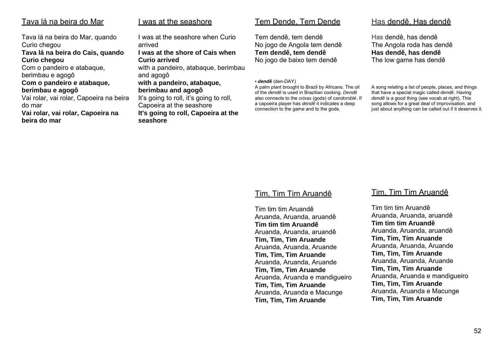#### Tava lá na beira do Mar

Tava lá na beira do Mar, quando Curio chegou **Tava lá na beira do Cais, quando Curio chegou**  Com o pandeiro e atabaque, berimbau e agogô **Com o pandeiro e atabaque, berimbau e agogô**  Vai rolar, vai rolar, Capoeira na beira do mar **Vai rolar, vai rolar, Capoeira na beira do mar** 

#### <u>I was at the seashore</u>

I was at the seashore when Curio arrived **I was at the shore of Cais when Curio arrived** with a pandeiro, atabaque, berimbau and agogô **with a pandeiro, atabaque, berimbau and agogô**  It's going to roll, it's going to roll, Capoeira at the seashore **It's going to roll, Capoeira at the seashore** 

#### Tem Dende, Tem Dende

Tem dendê, tem dendê No jogo de Angola tem dendê **Tem dendê, tem dendê** No jogo de baixo tem dendê

#### *• dendê* (den-DAY)

A palm plant brought to Brazil by Africans. The oil of the *dendê* is used in Brazilian cooking. *Dendê* also connects to the *orixas* (gods) of *candomblé*. If a capoeira player has *dendê* it indicates a deep connection to the game and to the gods.

#### Has dendê, Has dendê

Has dendê, has dendê The Angola roda has dendê **Has dendê, has dendê** The low game has dendê

A song relating a list of people, places, and things that have a special magic called *dendê*. Having *dendê* is a good thing (see vocab at right). This song allows for a great deal of improvisation, and just about anything can be called out if it deserves it.

#### Tim, Tim Tim Aruandê

Tim tim tim AruandêAruanda, Aruanda, aruandê **Tim tim tim Aruandê** Aruanda, Aruanda, aruandê **Tim, Tim, Tim Aruande**  Aruanda, Aruanda, Aruande **Tim, Tim, Tim Aruande** Aruanda, Aruanda, Aruande **Tim, Tim, Tim Aruande** Aruanda, Aruanda e mandigueiro **Tim, Tim, Tim Aruande** Aruanda, Aruanda e Macunge **Tim, Tim, Tim Aruande**

#### Tim, Tim Tim Aruandê

Tim tim tim AruandêAruanda, Aruanda, aruandê **Tim tim tim Aruandê** Aruanda, Aruanda, aruandê **Tim, Tim, Tim Aruande**  Aruanda, Aruanda, Aruande **Tim, Tim, Tim Aruande** Aruanda, Aruanda, Aruande **Tim, Tim, Tim Aruande** Aruanda, Aruanda e mandigueiro **Tim, Tim, Tim Aruande** Aruanda, Aruanda e Macunge **Tim, Tim, Tim Aruande**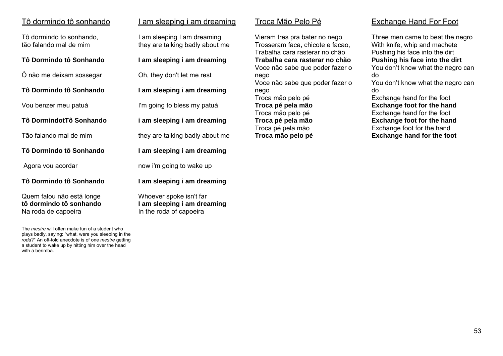## <u>Tô dormindo tô sonhando</u>

Tô dormindo to sonhando, tão falando mal de mim

#### **Tô Dormindo tô Sonhando**

Ô não me deixam sossegar

**Tô Dormindo tô Sonhando** 

Vou benzer meu patuá

**Tô DormindotTô Sonhando**

Tão falando mal de mim

**Tô Dormindo tô Sonhando** 

Agora vou acordar

#### **Tô Dormindo tô Sonhando**

Quem falou não está longe **tô dormindo tô sonhando** Na roda de capoeira

The *mestre* will often make fun of a student who plays badly, saying: "what, were you sleeping in the *roda*?" An oft-told anecdote is of one *mestre* getting a student to wake up by hitting him over the head with a berimba.

|  | am sleeping i am dreaming |
|--|---------------------------|
|  |                           |

I am sleeping I am dreaming they are talking badly about me

#### **I am sleeping i am dreaming**

Oh, they don't let me rest

**I am sleeping i am dreaming** 

I'm going to bless my patuá

**i am sleeping i am dreaming**

they are talking badly about me

**I am sleeping i am dreaming** 

now i'm going to wake up

**I am sleeping i am dreaming**

Whoever spoke isn't far **I am sleeping i am dreaming** In the roda of capoeira

Vieram tres pra bater no nego Trosseram faca, chicote e facao, Trabalha cara rasterar no chão **Trabalha cara rasterar no chão** Voce não sabe que poder fazer o nego Voce não sabe que poder fazer o nego Troca mão pelo pé **Troca pé pela mão**  Troca mão pelo pé **Troca pé pela mão**  Troca pé pela mão **Troca mão pelo pé** 

## Exchange Hand For Foot

Three men came to beat the negro With knife, whip and machete Pushing his face into the dirt **Pushing his face into the dirt**  You don't know what the negro can do You don't know what the negro can

do

Exchange hand for the foot **Exchange foot for the hand**  Exchange hand for the foot **Exchange foot for the hand**  Exchange foot for the hand **Exchange hand for the foot**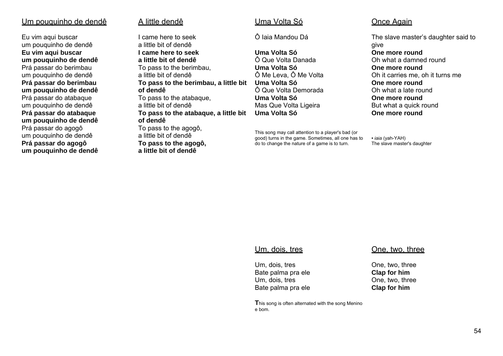#### Um pouquinho de dendê

Eu vim aqui buscar um pouquinho de dendê **Eu vim aqui buscar um pouquinho de dendê**  Prá passar do berimbau um pouquinho de dendê **Prá passar do berimbau um pouquinho de dendê**  Prá passar do atabaque um pouquinho de dendê **Prá passar do atabaque um pouquinho de dendê**  Prá passar do agogô um pouquinho de dendê **Prá passar do agogô um pouquinho de dendê** 

#### A little dendê

**a little bit of dendê** 

I came here to seek a little bit of dendê **I came here to seek a little bit of dendê** To pass to the berimbau, a little bit of dendê **To pass to the berimbau, a little bit of dendê** To pass to the atabaque, a little bit of dendê **To pass to the atabaque, a little bit of dendê** To pass to the agogô, a little bit of dendê **To pass to the agogô,** 

#### Uma Volta Só

Ô Iaia Mandou Dá

**Uma Volta Só**Ô Que Volta Danada **Uma Volta Só**Ô Me Leva, Ô Me Volta **Uma Volta Só**Ô Que Volta Demorada **Uma Volta Só**Mas Que Volta Ligeira **Uma Volta Só**

This song may call attention to a player's bad (or good) turns in the game. Sometimes, all one has to do to change the nature of a game is to turn.

#### Once Again

The slave master's daughter said to give **One more round**Oh what a damned round **One more round**Oh it carries me, oh it turns me **One more round**Oh what a late round **One more round**But what a quick round **One more round**

*• iaia* (yah-YAH) The slave master's daughter

#### Um, dois, tres

Um, dois, tres Bate palma pra ele Um, dois, tres Bate palma pra ele

#### **T**his song is often alternated with the song Menino e bom.

#### One, two, three

One, two, three **Clap for him**  One, two, three **Clap for him**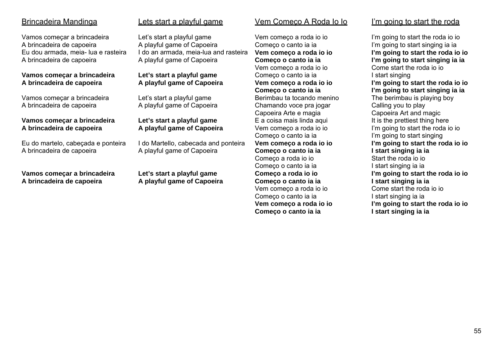## Brincadeira Mandinga

Vamos começar a brincadeira A brincadeira de capoeira Eu dou armada, meia- lua e rasteira A brincadeira de capoeira

#### **Vamos começar a brincadeira A brincadeira de capoeira**

Vamos começar a brincadeira A brincadeira de capoeira

#### **Vamos começar a brincadeira A brincadeira de capoeira**

Eu do martelo, cabeçada e ponteira A brincadeira de capoeira

**Vamos começar a brincadeira A brincadeira de capoeira** 

## Lets start a playful game

Let's start a playful game A playful game of Capoeira I do an armada, meia-lua and rasteira A playful game of Capoeira

#### **Let's start a playful game A playful game of Capoeira**

Let's start a playful game A playful game of Capoeira

#### **Let's start a playful game A playful game of Capoeira**

I do Martello, cabecada and ponteira A playful game of Capoeira

**Let's start a playful game A playful game of Capoeira** 

#### Vem Começo A Roda Io Io

Vem começo a roda io io Começo o canto ia ia **Vem começo a roda io io Começo o canto ia ia**  Vem começo a roda io io Começo o canto ia ia **Vem começo a roda io io Começo o canto ia ia**  Berimbau ta tocando menino Chamando voce pra jogar Capoeira Arte e magia E a coisa mais linda aqui Vem começo a roda io io Começo o canto ia ia **Vem começo a roda io io Começo o canto ia ia**  Começo a roda io io Começo o canto ia ia **Começo a roda io io Começo o canto ia ia**  Vem começo a roda io io Começo o canto ia ia **Vem começo a roda io io Começo o canto ia ia** 

#### I'm going to start the roda

I'm going to start the roda io io I'm going to start singing ia ia **I'm going to start the roda io io I'm going to start singing ia ia** Come start the roda io io I start singing **I'm going to start the roda io io I'm going to start singing ia ia** The berimbau is playing boy Calling you to play Capoeira Art and magic It is the prettiest thing here I'm going to start the roda io io I'm going to start singing **I'm going to start the roda io io I start singing ia ia** Start the roda io io I start singing ia ia **I'm going to start the roda io io I start singing ia ia** Come start the roda io io I start singing ia ia **I'm going to start the roda io io I start singing ia ia**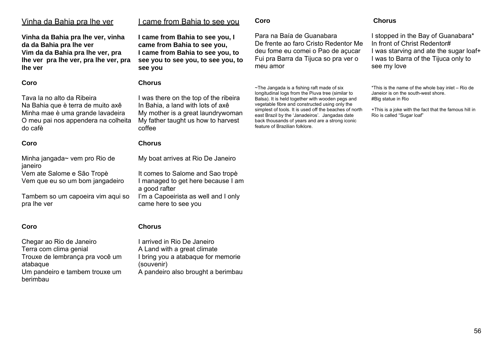I stopped in the Bay of Guanabara\* In front of Christ Redentor# I was starving and ate the sugar loaf+ I was to Barra of the Tijuca only to see my love

**Chorus** 

\*This is the name of the whole bay inlet – Rio de Janeior is on the south-west shore. #Big statue in Rio

+This is a joke with the fact that the famous hill in Rio is called "Sugar loaf"

#### Vinha da Bahia pra lhe ver

**Vinha da Bahia pra lhe ver, vinha da da Bahia pra lhe ver Vim da da Bahia pra lhe ver, pra lhe ver pra lhe ver, pra lhe ver, pra lhe ver** 

#### **Coro**

Tava la no alto da Ribeira Na Bahia que è terra de muito axê Minha mae è uma grande lavadeira O meu pai nos appendera na colheita do cafè

#### **Coro**

Minha jangada~ vem pro Rio de janeiro Vem ate Salome e São Tropè Vem que eu so um bom jangadeiro

Tambem so um capoeira vim aqui so pra lhe ver

#### **Coro**

Chegar ao Rio de Janeiro Terra com clima genial Trouxe de lembrança pra você um atabaque Um pandeiro e tambem trouxe um berimbau

## I came from Bahia to see you

**I came from Bahia to see you, I came from Bahia to see you, I came from Bahia to see you, to see you to see you, to see you, to see you** 

#### **Chorus**

I was there on the top of the ribeira In Bahia, a land with lots of axê My mother is a great laundrywoman My father taught us how to harvest coffee

#### **Chorus**

My boat arrives at Rio De Janeiro

It comes to Salome and Sao tropè I managed to get here because I am a good rafter I'm a Capoeirista as well and I only came here to see you

## **Chorus**

I arrived in Rio De Janeiro A Land with a great climate I bring you a atabaque for memorie (souvenir) A pandeiro also brought a berimbau

**Coro** 

Para na Baía de Guanabara De frente ao faro Cristo Redentor Me deu fome eu comei o Pao de açucar Fui pra Barra da Tijuca so pra ver o meu amor

~The Jangada is a fishing raft made of six longitudinal logs from the Piuva tree (similar to Balsa). It is held together with wooden pegs and vegetable fibre and constructed using only the simplest of tools. It is used off the beaches of north east Brazil by the 'Janadeiros'. Jangadas date back thousands of years and are a strong iconic feature of Brazilian folklore.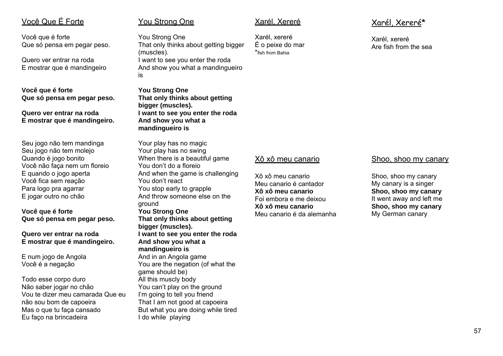## Você Que É Forte

Você que é forte Que só pensa em pegar peso.

Quero ver entrar na roda E mostrar que é mandingeiro

**Você que é forte Que só pensa em pegar peso.** 

#### **Quero ver entrar na roda E mostrar que é mandingeiro.**

Seu jogo não tem mandinga Seu jogo não tem molejo Quando é jogo bonito Você não faça nem um floreio E quando o jogo aperta Você fica sem reação Para logo pra agarrar E jogar outro no chão

**Você que é forte Que só pensa em pegar peso.** 

#### **Quero ver entrar na roda E mostrar que é mandingeiro.**

E num jogo de Angola Você é a negação

Todo esse corpo duro Não saber jogar no chão Vou te dizer meu camarada Que eu não sou bom de capoeira Mas o que tu faça cansado Eu faço na brincadeira

#### You Strong One

You Strong One That only thinks about getting bigger (muscles). I want to see you enter the roda And show you what a mandingueiro is

**You Strong One That only thinks about getting bigger (muscles). I want to see you enter the roda And show you what a mandingueiro is** 

Your play has no magic Your play has no swing When there is a beautiful game You don't do a floreio And when the game is challenging You don't react You stop early to grapple And throw someone else on the ground **You Strong One That only thinks about getting bigger (muscles). I want to see you enter the roda And show you what a mandingueiro is**  And in an Angola game You are the negation (of what the game should be) All this muscly body You can't play on the ground I'm going to tell you friend That I am not good at capoeira But what you are doing while tired I do while playing

### Xarél, Xereré

Xarél, xereré É o peixe do mar \*fish from Bahia

## Xarél, Xereré\*

Xarél, xereré Are fish from the sea

#### Xô xô meu canario

Xô xô meu canarioMeu canario é cantador **Xô xô meu canario** Foi embora e me deixou**Xô xô meu canario** Meu canario é da alemanha

#### Shoo, shoo my canary

Shoo, shoo my canary My canary is a singer **Shoo, shoo my canary**  It went away and left me **Shoo, shoo my canary**  My German canary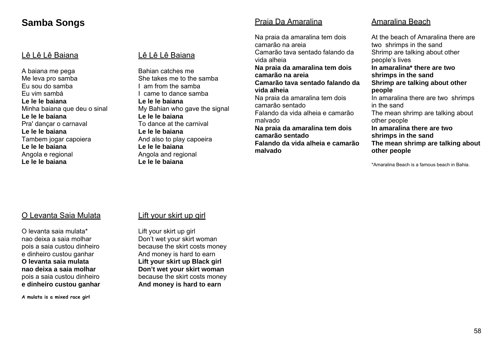## **Samba Songs**

#### Lê Lê Baiana

A baiana me pega Me leva pro samba Eu sou do samba Eu vim sambá **Le le le baiana** Minha baiana que deu o sinal **Le le le baiana** Pra' dançar o carnaval **Le le le baiana** Tambem jogar capoiera **Le le le baiana** Angola e regional **Le le le baiana** 

#### Lê Lê Baiana

Bahian catches meShe takes me to the samba I am from the samba I came to dance samba **Le le le baiana** My Bahian who gave the signal **Le le le baiana** To dance at the carnival**Le le le baiana** And also to play capoeira **Le le le baiana** Angola and regional **Le le le baiana** 

#### Praia Da Amaralina

Na praia da amaralina tem dois camarão na areia Camarão tava sentado falando da vida alheia **Na praia da amaralina tem dois camarão na areia Camarão tava sentado falando da vida alheia** Na praia da amaralina tem dois camarão sentado Falando da vida alheia e camarão malvado **Na praia da amaralina tem dois camarão sentado Falando da vida alheia e camarão malvado** 

## Amaralina Beach

At the beach of Amaralina there are two shrimps in the sand Shrimp are talking about other people's lives **In amaralina\* there are two shrimps in the sand Shrimp are talking about other people** In amaralina there are two shrimps in the sand The mean shrimp are talking about other people **In amaralina there are two shrimps in the sand The mean shrimp are talking about other people** 

\*Amaralina Beach is a famous beach in Bahia.

#### O Levanta Saia Mulata

O levanta saia mulata\* nao deixa a saia molhar pois a saia custou dinheiro e dinheiro custou ganhar **O levanta saia mulata nao deixa a saia molhar** pois a saia custou dinheiro **e dinheiro custou ganhar** 

**A mulata is a mixed race girl**

#### Lift your skirt up girl

Lift your skirt up girl Don't wet your skirt woman because the skirt costs money And money is hard to earn **Lift your skirt up Black girl Don't wet your skirt woman**  because the skirt costs money **And money is hard to earn**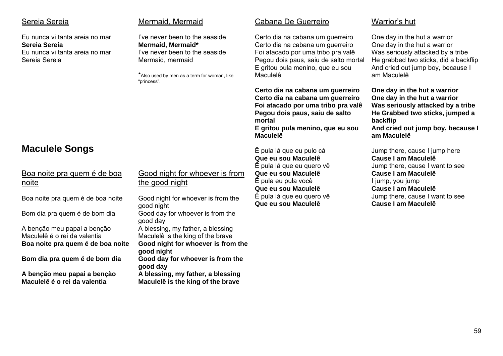#### Sereia Sereia

Eu nunca vi tanta areia no mar**Sereia Sereia** Eu nunca vi tanta areia no marSereia Sereia

#### Mermaid, Mermaid

I've never been to the seaside**Mermaid, Mermaid\***  I've never been to the seasideMermaid, mermaid

\*Also used by men as a term for woman, like "princess".

#### Cabana De Guerreiro

Certo dia na cabana um guerreiro Certo dia na cabana um guerreiro Foi atacado por uma tribo pra valê Pegou dois paus, saiu de salto mortal E gritou pula menino, que eu sou Maculelê

**Certo dia na cabana um guerreiro Certo dia na cabana um guerreiro Foi atacado por uma tribo pra valê Pegou dois paus, saiu de salto mortal** 

**E gritou pula menino, que eu sou Maculelê** 

Ê pula lá que eu pulo cá **Que eu sou Maculelê**  Ê pula lá que eu quero vê **Que eu sou Maculelê**  Ê pula eu pula você **Que eu sou Maculelê**  Ê pula lá que eu quero vê **Que eu sou Maculelê** 

Warrior's hut

One day in the hut a warrior One day in the hut a warrior Was seriously attacked by a tribe He grabbed two sticks, did a backflip And cried out jump boy, because I am Maculelê

**One day in the hut a warrior One day in the hut a warrior Was seriously attacked by a tribe He Grabbed two sticks, jumped a backflip And cried out jump boy, because I am Maculelê** 

Jump there, cause I jump here **Cause I am Maculelê** Jump there, cause I want to see **Cause I am Maculelê** I jump, you jump **Cause I am Maculelê** Jump there, cause I want to see **Cause I am Maculelê** 

## **Maculele Songs**

| Boa noite pra quem é de boa |  |  |
|-----------------------------|--|--|
| <u>noite</u>                |  |  |

Boa noite pra quem é de boa noite

Bom dia pra quem é de bom dia

A benção meu papai a benção Maculelê é o rei da valentia **Boa noite pra quem é de boa noite** 

**Bom dia pra quem é de bom dia** 

**A benção meu papai a benção Maculelê é o rei da valentia** 

Good night for whoever is from the good night

Good night for whoever is from the good night Good day for whoever is from the good day A blessing, my father, a blessing Maculelê is the king of the brave **Good night for whoever is from the good night Good day for whoever is from the good day** 

**A blessing, my father, a blessing Maculelê is the king of the brave**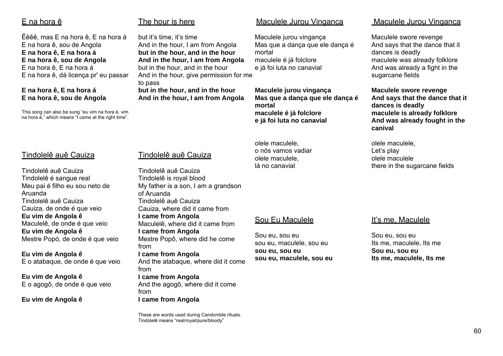## <u>E na hora ê</u>

Êêêê, mas E na hora ê, E na hora á E na hora ê, sou de Angola **E na hora ê, E na hora á E na hora ê, sou de Angola**  E na hora ê, E na hora á E na hora ê, dá licença pr' eu passar

#### **E na hora ê, E na hora á E na hora ê, sou de Angola**

This song can also be sung "eu vim na hora é, vim na hora á," which means "I came at the right time".

## The hour is here

but it's time, it's time And in the hour, I am from Angola **but in the hour, and in the hour And in the hour, I am from Angola**  but in the hour, and in the hour And in the hour, give permission for me to pass **but in the hour, and in the hour And in the hour, I am from Angola** 

#### Maculele Jurou Vinganca

Maculele jurou vingança Mas que a dança que ele dança é mortal maculele é já folclore e já foi luta no canavial

**Maculele jurou vingança Mas que a dança que ele dança é mortal maculele é já folclore e já foi luta no canavial** 

olele maculele, o nós vamos vadiar olele maculele, lá no canavial

## Maculele Jurou Vinganca

Maculele swore revenge And says that the dance that it dances is deadly maculele was already folklore And was already a fight in the sugarcane fields

**Maculele swore revenge And says that the dance that it dances is deadly maculele is already folklore And was already fought in the canival** 

olele maculele, Let's play olele maculele there in the sugarcane fields

## Tindolelê auê Cauiza

Tindolelê auê Cauiza Tindolelê é sangue real Meu pai é filho eu sou neto de Aruanda Tindolelê auê Cauiza Cauiza, de onde é que veio **Eu vim de Angola ê**  Maculelê, de onde é que veio **Eu vim de Angola ê**  Mestre Popó, de onde é que veio

**Eu vim de Angola ê**  E o atabaque, de onde é que veio

**Eu vim de Angola ê**  E o agogô, de onde é que veio

**Eu vim de Angola ê**

## Tindolelê auê Cauiza

Tindolelê auê Cauiza Tindolelê is royal blood My father is a son, I am a grandson of Aruanda Tindolelê auê Cauiza Cauiza, where did it came from **I came from Angola**  Maculelê, where did it came from **I came from Angola**  Mestre Popô, where did he come from **I came from Angola**  And the atabaque, where did it come from **I came from Angola**  And the agogô, where did it come from **I came from Angola**

These are words used during Candomble rituals. Tindolelê means "real/royal/pure/bloody"

## Sou Eu Maculele

Sou eu, sou eu sou eu, maculele, sou eu **sou eu, sou eu sou eu, maculele, sou eu** 

## It's me, Maculele

Sou eu, sou eu Its me, maculele, Its me **Sou eu, sou eu Its me, maculele, Its me**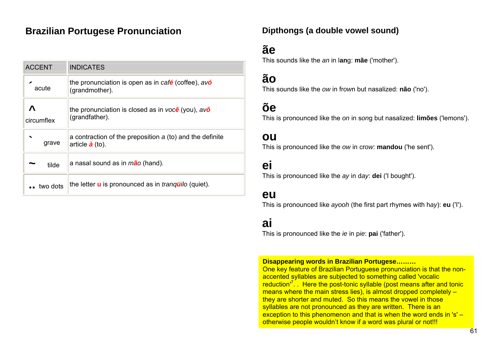## **Brazilian Portugese Pronunciation Mate and Dipthongs (a double vowel sound)**

| <b>ACCENT</b>   | <b>INDICATES</b>                                                                    |
|-----------------|-------------------------------------------------------------------------------------|
| acute           | the pronunciation is open as in café (coffee), avo<br>(grandmother).                |
| Λ<br>circumflex | the pronunciation is closed as in você (you), $av\hat{o}$<br>(grandfather).         |
| ◥<br>grave      | a contraction of the preposition a (to) and the definite<br>article $\dot{a}$ (to). |
| tilde           | a nasal sound as in mão (hand).                                                     |
| two dots        | the letter <b>u</b> is pronounced as in <i>tranguilo</i> (quiet).                   |

## **ãe**

This sounds like the *an* in l**an**g: **mãe** ('mother').

## **ão**

This sounds like the *ow* in fr*ow*n but nasalized: **não** ('no').

## **õe**

This is pronounced like the *on* in s*on*g but nasalized: **limões** ('lemons').

## **ou**

This is pronounced like the *ow* in cr*ow*: **mandou** ('he sent').

## **ei**

This is pronounced like the *ay* in d*ay*: **dei** ('I bought').

## **eu**

This is pronounced like *ayooh* (the first part rhymes with h*ay*): **eu** ('I').

## **ai**

This is pronounced like the *ie* in p*ie*: **pai** ('father').

#### **Disappearing words in Brazilian Portugese………**

One key feature of Brazilian Portuguese pronunciation is that the nonaccented syllables are subjected to something called 'vocalic reduction'7. . Here the post-tonic syllable (post means after and tonic means where the main stress lies), is almost dropped completely – they are shorter and muted. So this means the vowel in those syllables are not pronounced as they are written. There is an exception to this phenomenon and that is when the word ends in 's' – otherwise people wouldn't know if a word was plural or not!!!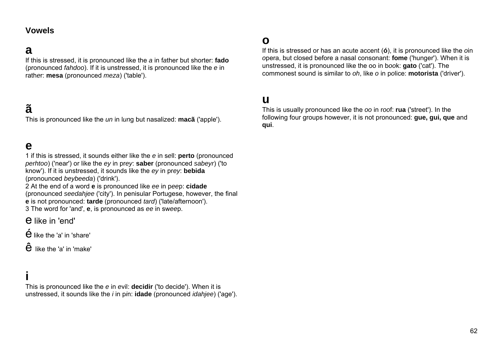## **a**

If this is stressed, it is pronounced like the *a* in f*a*ther but shorter: **fado** (pronounced *fahdoo*). If it is unstressed, it is pronounced like the *e* in rath*e*r: **mesa** (pronounced *meza*) ('table').

## **ã**

This is pronounced like the *un* in l*un*g but nasalized: **macã** ('apple').

## **e**

1 if this is stressed, it sounds either like the *e* in s*e*ll: **perto** (pronounced *perhtoo*) ('near') or like the *ey* in pr*ey*: **saber** (pronounced *sabeyr*) ('to know'). If it is unstressed, it sounds like the *ey* in pr*ey*: **bebida** (pronounced *beybeeda*) ('drink').

2 At the end of a word **e** is pronounced like *ee* in p*ee*p: **cidade** (pronounced *seedahjee* ('city'). In penisular Portugese, however, the final **<sup>e</sup>** is not pronounced: **tarde** (pronounced *tard*) ('late/afternoon'). 3 The word for 'and', **<sup>e</sup>**, is pronounced as *ee* in sw*ee*p.

e like in 'end'

 $\acute{\mathbf{e}}$  like the 'a' in 'share'

 $\mathbf{\hat{e}}$  like the 'a' in 'make'

## **i**

This is pronounced like the *e* in *e*vil: **decidir** ('to decide'). When it is unstressed, it sounds like the *i* in p*i*n: **idade** (pronounced *idahjee*) ('age').

## **o**

If this is stressed or has an acute accent (**ó**), it is pronounced like the *o*in *<sup>o</sup>*pera, but closed before a nasal consonant: **fome** ('hunger'). When it is unstressed, it is pronounced like the oo in b*oo*k: **gato** ('cat'). The commonest sound is similar to *oh*, like *o* in p*o*lice: **motorista** ('driver').

## **u**

This is usually pronounced like the *oo* in r*oo*f: **rua** ('street'). In the following four groups however, it is not pronounced: **gue, gui, que** and **qui**.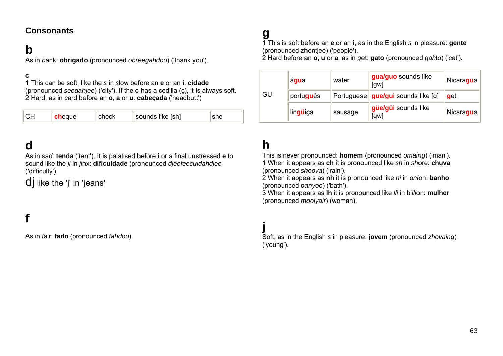## **Consonants**

## **b**

As in *b*ank: **obrigado** (pronounced *obreegahdoo*) ('thank you').

#### **c**

1 This can be soft, like the *s* in *s*low before an **e** or an **i**: **cidade** (pronounced *seedahjee*) ('city'). If the **c** has a cedilla (ç), it is always soft. 2 Hard, as in *c*ard before an **o**, **a** or **u**: **cabeçada** ('headbutt')

| CH | <b>ch</b> eque | check | sounds like [sh] |  |
|----|----------------|-------|------------------|--|
|----|----------------|-------|------------------|--|

## **d**

As in sa*d*: **tenda** ('tent'). It is palatised before **i** or a final unstressed **e** to sound like the *ji* in *ji*nx: **dificuldade** (pronounced *djeefeeculdahdjee* ('difficulty').

dj like the 'j' in 'jeans'

## **f**

As in *f*air: **fado** (pronounced *fahdoo*).

# **g**

1 This is soft before an **e** or an **i**, as in the English *s* in plea*<sup>s</sup>*ure: **gente** (pronounced zhentjee) ('people').

2 Hard before an **o, u** or **a**, as in *g*et: **gato** (pronounced *gah*to) ('cat').

| agua<br>GU.<br>português<br>lingüiça |  | water                                     | gua/guo sounds like<br>[ <sub>gw</sub> ] | Nicaragua |
|--------------------------------------|--|-------------------------------------------|------------------------------------------|-----------|
|                                      |  | Portuguese <b>gue/gui</b> sounds like [g] | get                                      |           |
|                                      |  | sausage                                   | güe/güi sounds like<br>[gw]              | Nicaragua |

# **h**

This is never pronounced: **homem** (pronounced *omaing*) ('man'). 1 When it appears as **ch** it is pronounced like *sh* in *sh*ore: **chuva** (pronounced *shoova*) ('rain').

2 When it appears as **nh** it is pronounced like *ni* in o*ni*on: **banho** (pronounced *banyoo*) ('bath').

3 When it appears as **lh** it is pronounced like *lli* in bi*lli*on: **mulher** (pronounced *moolyair*) (woman).

## **j**

Soft, as in the English *s* in plea*<sup>s</sup>*ure: **jovem** (pronounced *zhovaing*) ('young').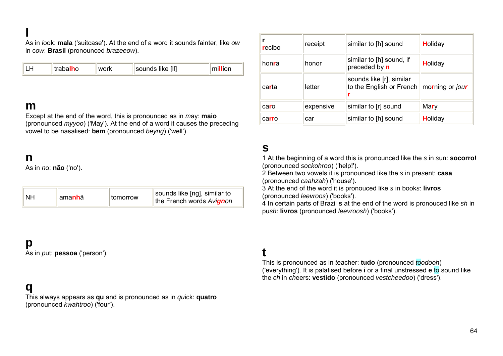As in *l*ook: **mala** ('suitcase'). At the end of a word it sounds fainter, like *ow* in c*ow*: **Brasil** (pronounced *brazeeow*).

| sounds like [II]<br>trabalho<br>work | million |
|--------------------------------------|---------|
|--------------------------------------|---------|

## **m**

Except at the end of the word, this is pronounced as in *<sup>m</sup>*ay: **maio** (pronounced *myyoo*) ('May'). At the end of a word it causes the preceding vowel to be nasalised: **bem** (pronounced *beyng*) ('well').

## **n**

As in *n*o: **não** ('no').

| NΗ<br>±ama <b>nh</b> ã<br>  tomorrow | sounds like [ng], similar to<br>the French words Avignon |
|--------------------------------------|----------------------------------------------------------|
|--------------------------------------|----------------------------------------------------------|

## **p**

As in *p*ut: **pessoa** ('person').

## **q**

This always appears as **qu** and is pronounced as in *qu*ick: **quatro** (pronounced *kwahtroo*) ('four').

| recibo | receipt   | similar to [h] sound                                 | Holiday         |
|--------|-----------|------------------------------------------------------|-----------------|
| honra  | honor     | similar to [h] sound, if<br>preceded by n            | Holiday         |
| carta  | letter    | sounds like [r], similar<br>to the English or French | morning or jour |
| caro   | expensive | similar to [r] sound                                 | Mary            |
| carro  | car       | similar to [h] sound                                 | Holiday         |

## **s**

1 At the beginning of a word this is pronounced like the *s* in *s*un: **socorro!** (pronounced *sockohroo*) ('help!').

2 Between two vowels it is pronounced like the *s* in pre*s*ent: **casa** (pronounced *caahzah*) ('house').

3 At the end of the word it is pronouced like *s* in book*s*: **livros** (pronounced *leevroos*) ('books').

4 In certain parts of Brazil **s** at the end of the word is pronouced like *sh* in pu*sh*: **livros** (pronounced *leevroosh*) ('books').

## **t**

This is pronounced as in *t*eacher: **tudo** (pronounced *toodooh*) ('everything'). It is palatised before **i** or a final unstressed **e** to sound like the *ch* in *ch*eers: **vestido** (pronounced *vestcheedoo*) ('dress').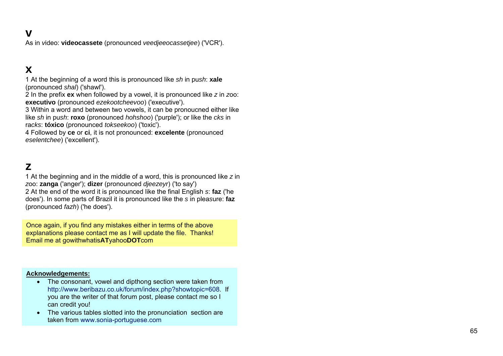## **v**

As in *v*ideo: **videocassete** (pronounced *veedjeeocassetjee*) ('VCR').

## **x**

1 At the beginning of a word this is pronounced like *sh* in pu*sh*: **xale** (pronounced *shal*) ('shawl').

2 In the prefix **ex** when followed by a vowel, it is pronounced like *z* in *z*oo: **executivo** (pronounced *ezekootcheevoo*) ('executive').

3 Within a word and between two vowels, it can be pronoucned either like like *sh* in pu*sh*: **roxo** (pronounced *hohshoo*) ('purple'); or like the *cks* in ra*cks*: **tóxico** (pronounced *tokseekoo*) ('toxic').

4 Followed by **ce** or **ci**, it is not pronounced: **excelente** (pronounced *eselentchee*) ('excellent').

## **z**

1 At the beginning and in the middle of a word, this is pronounced like *z* in *<sup>z</sup>*oo: **zanga** ('anger'); **dizer** (pronounced *djeezeyr*) ('to say') 2 At the end of the word it is pronounced like the final English *<sup>s</sup>*: **faz** ('he does'). In some parts of Brazil it is pronounced like the *s* in plea*<sup>s</sup>*ure: **faz** (pronounced *fazh*) ('he does').

Once again, if you find any mistakes either in terms of the above explanations please contact me as I will update the file. Thanks! Email me at gowithwhatis**AT**yahoo**DOT**com

#### **Acknowledgements:**

- The consonant, vowel and dipthong section were taken from http://www.beribazu.co.uk/forum/index.php?showtopic=608. If you are the writer of that forum post, please contact me so I can credit you!
- The various tables slotted into the pronunciation section are taken from www.sonia-portuguese.com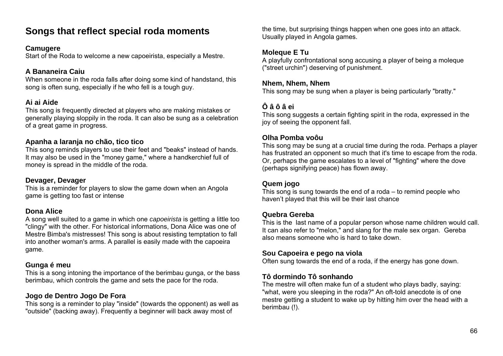## **Songs that reflect special roda moments**

#### **Camugere**

Start of the Roda to welcome a new capoeirista, especially a Mestre.

## **A Bananeira Caiu**

When someone in the roda falls after doing some kind of handstand, this song is often sung, especially if he who fell is a tough guy.

## **Ai ai Aide**

This song is frequently directed at players who are making mistakes or generally playing sloppily in the roda. It can also be sung as a celebration of a great game in progress.

#### **Apanha a laranja no chão, tico tico**

This song reminds players to use their feet and "beaks" instead of hands. It may also be used in the "money game," where a handkerchief full of money is spread in the middle of the roda.

#### **Devager, Devager**

This is a reminder for players to slow the game down when an Angola game is getting too fast or intense

## **Dona Alice**

A song well suited to a game in which one *capoeirista* is getting a little too "clingy" with the other. For historical informations, Dona Alice was one of Mestre Bimba's mistresses! This song is about resisting temptation to fall into another woman's arms. A parallel is easily made with the capoeira game.

## **Gunga é meu**

This is a song intoning the importance of the berimbau gunga, or the bass berimbau, which controls the game and sets the pace for the roda.

## **Jogo de Dentro Jogo De Fora**

This song is a reminder to play "inside" (towards the opponent) as well as "outside" (backing away). Frequently a beginner will back away most of

the time, but surprising things happen when one goes into an attack. Usually played in Angola games.

## **Moleque E Tu**

A playfully confrontational song accusing a player of being a moleque ("street urchin") deserving of punishment.

#### **Nhem, Nhem, Nhem**

This song may be sung when a player is being particularly "bratty."

## **Ô â ô â ei**

This song suggests a certain fighting spirit in the roda, expressed in the joy of seeing the opponent fall.

## **Olha Pomba voôu**

This song may be sung at a crucial time during the roda. Perhaps a player has frustrated an opponent so much that it's time to escape from the roda. Or, perhaps the game escalates to a level of "fighting" where the dove (perhaps signifying peace) has flown away.

## **Quem jogo**

This song is sung towards the end of a roda – to remind people who haven't played that this will be their last chance

## **Quebra Gereba**

This is the last name of a popular person whose name children would call. It can also refer to "melon," and slang for the male sex organ. Gereba also means someone who is hard to take down.

## **Sou Capoeira e pego na viola**

Often sung towards the end of a roda, if the energy has gone down.

## **Tô dormindo Tô sonhando**

The mestre will often make fun of a student who plays badly, saying: "what, were you sleeping in the roda?" An oft-told anecdote is of one mestre getting a student to wake up by hitting him over the head with a berimbau (!).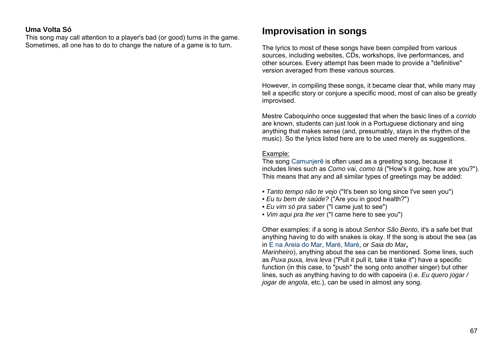#### **Uma Volta Só**

This song may call attention to a player's bad (or good) turns in the game. Sometimes, all one has to do to change the nature of a game is to turn.

## **Improvisation in songs**

The lyrics to most of these songs have been compiled from various sources, including websites, CDs, workshops, live performances, and other sources. Every attempt has been made to provide a "definitive" version averaged from these various sources.

However, in compiling these songs, it became clear that, while many may tell a specific story or conjure a specific mood, most of can also be greatly improvised.

Mestre Caboquinho once suggested that when the basic lines of a *corrido* are known, students can just look in a Portuguese dictionary and sing anything that makes sense (and, presumably, stays in the rhythm of the music). So the lyrics listed here are to be used merely as suggestions.

#### Example:

The song Camunjerê is often used as a greeting song, because it includes lines such as *Como vai, como tá* ("How's it going, how are you?"). This means that any and all similar types of greetings may be added:

- *Tanto tempo não te vejo* ("It's been so long since I've seen you")
- *Eu tu bem de saúde?* ("Are you in good health?")
- *Eu vim só pra saber* ("I came just to see")
- *Vim aqui pra lhe ver* ("I came here to see you")

Other examples: if a song is about *Senhor São Bento*, it's a safe bet that anything having to do with snakes is okay. If the song is about the sea (as in E na Areia do Mar, Maré, Maré, or *Saia do Mar***,** 

*Marinheiro*), anything about the sea can be mentioned. Some lines, such as *Puxa puxa, leva leva* ("Pull it pull it, take it take it") have a specific function (in this case, to "push" the song onto another singer) but other lines, such as anything having to do with capoeira (i.e. *Eu quero jogar / jogar de angola*, etc.), can be used in almost any song.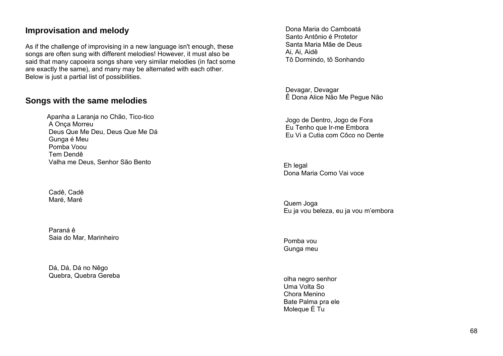#### **Improvisation and melody**

As if the challenge of improvising in a new language isn't enough, these songs are often sung with different melodies! However, it must also be said that many capoeira songs share very similar melodies (in fact some are exactly the same), and many may be alternated with each other. Below is just a partial list of possibilities.

#### **Songs with the same melodies**

Apanha a Laranja no Chão, Tico-tico A Onça Morreu Deus Que Me Deu, Deus Que Me Dá Gunga é Meu Pomba Voou Tem Dendê Valha me Deus, Senhor São Bento

 Cadê, Cadê Maré, Maré

 Paraná ê Saia do Mar, Marinheiro

 Dá, Dá, Dá no Nêgo Quebra, Quebra Gereba

 Dona Maria do Camboatá Santo Antônio é Protetor Santa Maria Mãe de Deus Ai, Ai, Aidê Tô Dormindo, tô Sonhando

 Devagar, Devagar Ê Dona Alice Não Me Pegue Não

 Jogo de Dentro, Jogo de Fora Eu Tenho que Ir-me Embora Eu Vi a Cutia com Côco no Dente

Eh legal Dona Maria Como Vai voce

Quem Joga Eu ja vou beleza, eu ja vou m'embora

Pomba vou Gunga meu

olha negro senhor Uma Volta So Chora Menino Bate Palma pra ele Moleque É Tu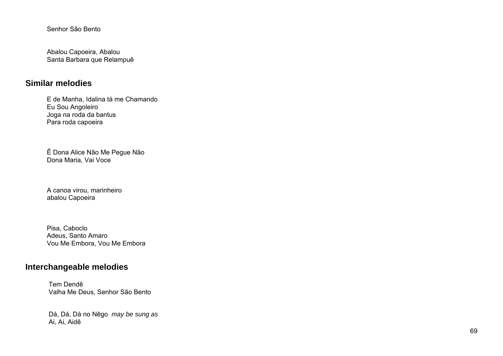Senhor São Bento

Abalou Capoeira, Abalou Santa Barbara que Relampuê

#### **Similar melodies**

E de Manha, Idalina tá me Chamando Eu Sou Angoleiro Joga na roda da bantus Para roda capoeira

Ê Dona Alice Não Me Pegue Não Dona Maria, Vai Voce

A canoa virou, marinheiro abalou Capoeira

Pisa, Caboclo Adeus, Santo Amaro Vou Me Embora, Vou Me Embora

## **Interchangeable melodies**

 Tem Dendê Valha Me Deus, Senhor São Bento

 Dá, Dá, Dá no Nêgo *may be sung as* Ai, Ai, Aidê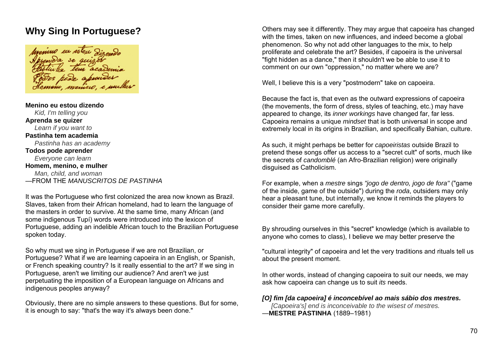# **Why Sing In Portuguese?**

Homone, menino,

**Menino eu estou dizendo***Kid, I'm telling you* **Aprenda se quizer**  *Learn if you want to* **Pastinha tem academia** *Pastinha has an academy* **Todos pode aprender**  *Everyone can learn* **Homem, menino, e mulher**  *Man, child, and woman* —FROM THE *MANUSCRITOS DE PASTINHA*

It was the Portuguese who first colonized the area now known as Brazil. Slaves, taken from their African homeland, had to learn the language of the masters in order to survive. At the same time, many African (and some indigenous Tupí) words were introduced into the lexicon of Portuguese, adding an indelible African touch to the Brazilian Portuguese spoken today.

So why must we sing in Portuguese if we are not Brazilian, or Portuguese? What if we are learning capoeira in an English, or Spanish, or French speaking country? Is it really essential to the art? If we sing in Portuguese, aren't we limiting our audience? And aren't we just perpetuating the imposition of a European language on Africans and indigenous peoples anyway?

Obviously, there are no simple answers to these questions. But for some, it is enough to say: "that's the way it's always been done."

Others may see it differently. They may argue that capoeira has changed with the times, taken on new influences, and indeed become a global phenomenon. So why not add other languages to the mix, to help proliferate and celebrate the art? Besides, if capoeira is the universal "fight hidden as a dance," then it shouldn't we be able to use it to comment on our own "oppression," no matter where we are?

Well, I believe this is a very "postmodern" take on capoeira.

Because the fact is, that even as the outward expressions of capoeira (the movements, the form of dress, styles of teaching, etc.) may have appeared to change, its *inner workings* have changed far, far less. Capoeira remains a unique *mindset* that is both universal in scope and extremely local in its origins in Brazilian, and specifically Bahian, culture.

As such, it might perhaps be better for *capoeiristas* outside Brazil to pretend these songs offer us access to a "secret cult" of sorts, much like the secrets of *candomblé* (an Afro-Brazilian religion) were originally disguised as Catholicism.

For example, when a *mestre* sings *"jogo de dentro, jogo de fora"* ("game of the inside, game of the outside") during the *roda*, outsiders may only hear a pleasant tune, but internally, we know it reminds the players to consider their game more carefully.

By shrouding ourselves in this "secret" knowledge (which is available to anyone who comes to class), I believe we may better preserve the

"cultural integrity" of capoeira and let the very traditions and rituals tell us about the present moment.

In other words, instead of changing capoeira to suit our needs, we may ask how capoeira can change us to suit *its* needs.

#### *[O] fim [da capoeira] é inconcebível ao mais sábio dos mestres.*

*[Capoeira's] end is inconceivable to the wisest of mestres.* —**MESTRE PASTINHA** (1889–1981)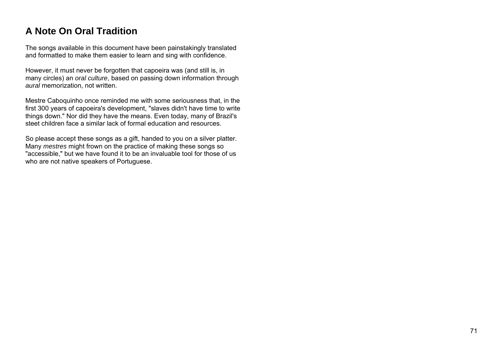# **A Note On Oral Tradition**

The songs available in this document have been painstakingly translated and formatted to make them easier to learn and sing with confidence.

However, it must never be forgotten that capoeira was (and still is, in many circles) an *oral culture*, based on passing down information through *aural* memorization, not written.

Mestre Caboquinho once reminded me with some seriousness that, in the first 300 years of capoeira's development, "slaves didn't have time to write things down." Nor did they have the means. Even today, many of Brazil's steet children face a similar lack of formal education and resources.

So please accept these songs as a gift, handed to you on a silver platter. Many *mestres* might frown on the practice of making these songs so "accessible," but we have found it to be an invaluable tool for those of us who are not native speakers of Portuguese.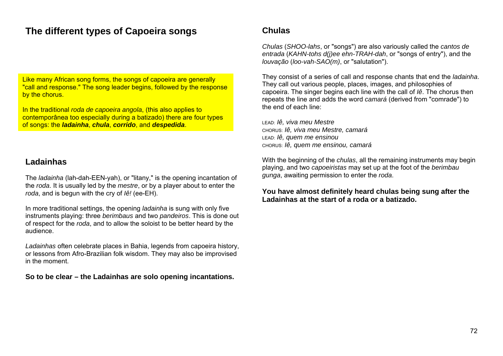# **The different types of Capoeira songs**

Like many African song forms, the songs of capoeira are generally "call and response." The song leader begins, followed by the response by the chorus.

In the traditional *roda de capoeira angola*, (this also applies to contemporânea too especially during a batizado) there are four types of songs: the *ladainha*, *chula*, *corrido*, and *despedida*.

#### **Ladainhas**

The *ladainha* (lah-dah-EEN-yah), or "litany," is the opening incantation of the *roda*. It is usually led by the *mestre*, or by a player about to enter the *roda*, and is begun with the cry of *Iê!* (ee-EH).

In more traditional settings, the opening *ladainha* is sung with only five instruments playing: three *berimbaus* and two *pandeiros*. This is done out of respect for the *roda*, and to allow the soloist to be better heard by the audience.

*Ladainhas* often celebrate places in Bahia, legends from capoeira history, or lessons from Afro-Brazilian folk wisdom. They may also be improvised in the moment.

**So to be clear – the Ladainhas are solo opening incantations.** 

## **Chulas**

*Chulas* (*SHOO-lahs*, or "songs") are also variously called the *cantos de entrada* (*KAHN-tohs d(j)ee ehn-TRAH-dah*, or "songs of entry"), and the *louvação* (*loo-vah-SAO(m)*, or "salutation").

They consist of a series of call and response chants that end the *ladainha*. They call out various people, places, images, and philosophies of capoeira. The singer begins each line with the call of *Iê*. The chorus then repeats the line and adds the word *camará* (derived from "comrade") to the end of each line:

LEAD: *Iê, viva meu Mestre* CHORUS: *Iê, viva meu Mestre, camará*  LEAD: *Iê, quem me ensinou*  CHORUS: *Iê, quem me ensinou, camará* 

With the beginning of the *chulas*, all the remaining instruments may begin playing, and two *capoeiristas* may set up at the foot of the *berimbau gunga*, awaiting permission to enter the *roda*.

**You have almost definitely heard chulas being sung after the Ladainhas at the start of a roda or a batizado.**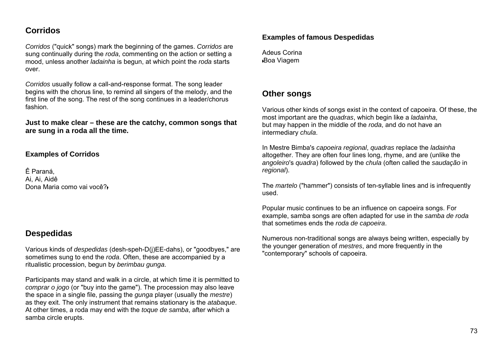## **Corridos**

*Corridos* ("quick" songs) mark the beginning of the games. *Corridos* are sung continually during the *roda*, commenting on the action or setting a mood, unless another *ladainha* is begun, at which point the *roda* starts over.

*Corridos* usually follow a call-and-response format. The song leader begins with the chorus line, to remind all singers of the melody, and the first line of the song. The rest of the song continues in a leader/chorus fashion.

**Just to make clear – these are the catchy, common songs that are sung in a roda all the time.** 

#### **Examples of Corridos**

Ê Paraná, Ai, Ai, Aidê Dona Maria como vai você?

#### **Despedidas**

Various kinds of *despedidas* (desh-speh-D(j)EE-dahs), or "goodbyes," are sometimes sung to end the *roda*. Often, these are accompanied by a ritualistic procession, begun by *berimbau gunga*.

Participants may stand and walk in a circle, at which time it is permitted to *comprar o jogo* (or "buy into the game"). The procession may also leave the space in a single file, passing the *gunga* player (usually the *mestre*) as they exit. The only instrument that remains stationary is the *atabaque*. At other times, a roda may end with the *toque de samba*, after which a samba circle erupts.

#### **Examples of famous Despedidas**

Adeus Corina Boa Viagem

#### **Other songs**

Various other kinds of songs exist in the context of capoeira. Of these, the most important are the *quadras*, which begin like a *ladainha*, but may happen in the middle of the *roda*, and do not have an intermediary *chula*.

In Mestre Bimba's *capoeira regional*, *quadras* replace the *ladainha* altogether. They are often four lines long, rhyme, and are (unlike the *angoleiro*'s *quadra*) followed by the *chula* (often called the *saudação* in *regional*).

The *martelo* ("hammer") consists of ten-syllable lines and is infrequently used.

Popular music continues to be an influence on capoeira songs. For example, samba songs are often adapted for use in the *samba de roda* that sometimes ends the *roda de capoeira*.

Numerous non-traditional songs are always being written, especially by the younger generation of *mestres*, and more frequently in the "contemporary" schools of capoeira.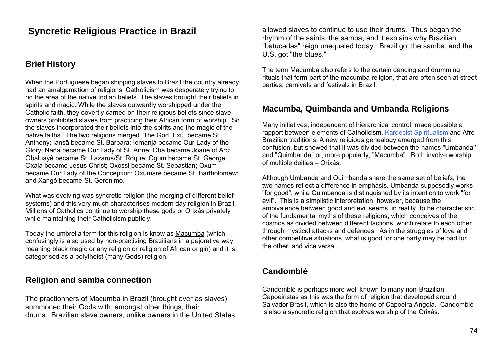# **Syncretic Religious Practice in Brazil**

#### **Brief History**

When the Portuguese began shipping slaves to Brazil the country already had an amalgamation of religions. Catholicism was desperately trying to rid the area of the native Indian beliefs. The slaves brought their beliefs in spirits and magic. While the slaves outwardly worshipped under the Catholic faith, they covertly carried on their religious beliefs since slave owners prohibited slaves from practicing their African form of worship. So the slaves incorporated their beliefs into the spirits and the magic of the native faiths. The two religions merged. The God, Exú, became St. Anthony; Iansã became St. Barbara; Iemanjá became Our Lady of the Glory; Naña became Our Lady of St. Anne; Oba became Joane of Arc; Obaluayê became St. Lazarus/St. Roque; Ogum became St. George; Oxalá became Jesus Christ; Oxossi became St. Sebastian; Oxum became Our Lady of the Conception; Oxumaré became St. Bartholomew; and Xangó became St. Geronimo.

What was evolving was syncretic religion (the merging of different belief systems) and this very much characterises modern day religion in Brazil. Millions of Catholics continue to worship these gods or Orixás privately while maintaining their Catholicism publicly.

Today the umbrella term for this religion is know as Macumba (which confusingly is also used by non-practising Brazilians in a pejorative way, meaning black magic or any religion or religion of African origin) and it is categorised as a polytheist (many Gods) religion.

## **Religion and samba connection**

The practionners of Macumba in Brazil (brought over as slaves) summoned their Gods with, amongst other things, their drums. Brazilian slave owners, unlike owners in the United States, allowed slaves to continue to use their drums. Thus began the rhythm of the saints, the samba, and it explains why Brazilian "batucadas" reign unequaled today. Brazil got the samba, and the U.S. got "the blues."

The term Macumba also refers to the certain dancing and drumming rituals that form part of the macumba religion, that are often seen at street parties, carnivals and festivals in Brazil.

#### **Macumba, Quimbanda and Umbanda Religions**

Many initiatives, independent of hierarchical control, made possible a rapport between elements of Catholicism, Kardecist Spiritualism and Afro-Brazilian traditions. A new religious genealogy emerged from this confusion, but showed that it was divided between the names "Umbanda" and "Quimbanda" or, more popularly, "Macumba". Both involve worship of multiple deities – Orixás.

Although Umbanda and Quimbanda share the same set of beliefs, the two names reflect a difference in emphasis. Umbanda supposedly works "for good", while Quimbanda is distinguished by its intention to work "for evil". This is a simplistic interpretation, however, because the ambivalence between good and evil seems, in reality, to be characteristic of the fundamental myths of these religions, which conceives of the cosmos as divided between different factions, which relate to each other through mystical attacks and defences. As in the struggles of love and other competitive situations, what is good for one party may be bad for the other, and vice versa.

#### **Candomblé**

Candomblé is perhaps more well known to many non-Brazilian Capoeiristas as this was the form of religion that developed around Salvador Brasil, which is also the home of Capoeira Angola. Candomblé is also a syncretic religion that evolves worship of the Orixás.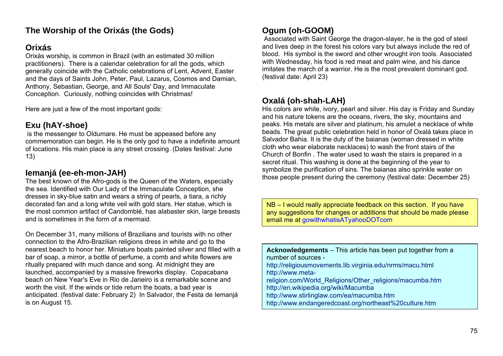# **The Worship of the Orixás (the Gods)**

## **Orixás**

Orixás worship, is common in Brazil (with an estimated 30 million practitioners). There is a calendar celebration for all the gods, which generally coincide with the Catholic celebrations of Lent, Advent, Easter and the days of Saints John, Peter, Paul, Lazarus, Cosmos and Damian, Anthony, Sebastian, George, and All Souls' Day, and Immaculate Conception. Curiously, nothing coincides with Christmas!

Here are just a few of the most important gods:

# **Exu (hAY-shoe)**

 is the messenger to Oldumare. He must be appeased before any commemoration can begin. He is the only god to have a indefinite amount of locations. His main place is any street crossing. (Dates festival: June 13)

#### **Iemanjá (ee-eh-mon-JAH)**

The best known of the Afro-gods is the Queen of the Waters, especially the sea. Identified with Our Lady of the Immaculate Conception, she dresses in sky-blue satin and wears a string of pearls, a tiara, a richly decorated fan and a long white veil with gold stars. Her statue, which is the most common artifact of Candomblé, has alabaster skin, large breasts and is sometimes in the form of a mermaid.

On December 31, many millions of Brazilians and tourists with no other connection to the Afro-Brazilian religions dress in white and go to the nearest beach to honor her. Miniature boats painted silver and filled with a bar of soap, a mirror, a bottle of perfume, a comb and white flowers are ritually prepared with much dance and song. At midnight they are launched, accompanied by a massive fireworks display. Copacabana beach on New Year's Eve in Rio de Janeiro is a remarkable scene and worth the visit. If the winds or tide return the boats, a bad year is anticipated. (festival date: February 2) In Salvador, the Festa de Iemanjá is on August 15.

## **Ogum (oh-GOOM)**

 Associated with Saint George the dragon-slayer, he is the god of steel and lives deep in the forest his colors vary but always include the red of blood. His symbol is the sword and other wrought iron tools. Associated with Wednesday, his food is red meat and palm wine, and his dance imitates the march of a warrior. He is the most prevalent dominant god. (festival date: April 23)

#### **Oxalá (oh-shah-LAH)**

His colors are white, ivory, pearl and silver. His day is Friday and Sunday and his nature tokens are the oceans, rivers, the sky, mountains and peaks. His metals are silver and platinum, his amulet a necklace of white beads. The great public celebration held in honor of Oxalá takes place in Salvador Bahia. It is the duty of the baianas (woman dressed in white cloth who wear elaborate necklaces) to wash the front stairs of the Church of Bonfin . The water used to wash the stairs is prepared in a secret ritual. This washing is done at the beginning of the year to symbolize the purification of sins. The baianas also sprinkle water on those people present during the ceremony (festival date: December 25)

NB – I would really appreciate feedback on this section. If you have any suggestions for changes or additions that should be made please email me at gowithwhatisATyahooDOTcom

| <b>Acknowledgements</b> – This article has been put together from a |
|---------------------------------------------------------------------|
| number of sources -                                                 |
| http://religiousmovements.lib.virginia.edu/nrms/macu.html           |
| http://www.meta-                                                    |
| religion.com/World_Religions/Other_religions/macumba.htm            |
| http://en.wikipedia.org/wiki/Macumba                                |
| http://www.stirlinglaw.com/ea/macumba.htm                           |
| http://www.endangeredcoast.org/northeast%20culture.htm              |
|                                                                     |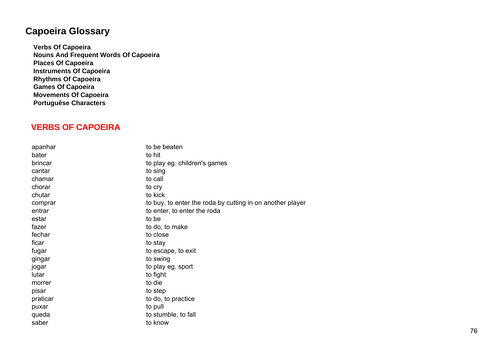# **Capoeira Glossary**

**Verbs Of Capoeira Nouns And Frequent Words Of Capoeira Places Of Capoeira Instruments Of Capoeira Rhythms Of Capoeira Games Of Capoeira Movements Of Capoeira Portuguêse Characters** 

## **VERBS OF CAPOEIRA**

| apanhar  | to be beaten                                              |
|----------|-----------------------------------------------------------|
| bater    | to hit                                                    |
| brincar  | to play eg. children's games                              |
| cantar   | to sing                                                   |
| chamar   | to call                                                   |
| chorar   | to cry                                                    |
| chutar   | to kick                                                   |
| comprar  | to buy, to enter the roda by cutting in on another player |
| entrar   | to enter, to enter the roda                               |
| estar    | to be                                                     |
| fazer    | to do, to make                                            |
| fechar   | to close                                                  |
| ficar    | to stay                                                   |
| fugar    | to escape, to exit                                        |
| gingar   | to swing                                                  |
| jogar    | to play eg. sport                                         |
| lutar    | to fight                                                  |
| morrer   | to die                                                    |
| pisar    | to step                                                   |
| praticar | to do, to practice                                        |
| puxar    | to pull                                                   |
| queda    | to stumble, to fall                                       |
| saber    | to know                                                   |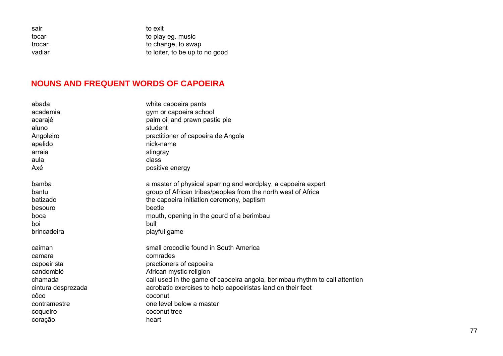| to loiter, to be up to no good |
|--------------------------------|
|                                |

#### **NOUNS AND FREQUENT WORDS OF CAPOEIRA**

| abada              | white capoeira pants                                                        |
|--------------------|-----------------------------------------------------------------------------|
| academia           | gym or capoeira school                                                      |
| acarajé            | palm oil and prawn pastie pie                                               |
| aluno              | student                                                                     |
| Angoleiro          | practitioner of capoeira de Angola                                          |
| apelido            | nick-name                                                                   |
| arraia             | stingray                                                                    |
| aula               | class                                                                       |
| Axé                | positive energy                                                             |
| bamba              | a master of physical sparring and wordplay, a capoeira expert               |
| bantu              | group of African tribes/peoples from the north west of Africa               |
| batizado           | the capoeira initiation ceremony, baptism                                   |
| besouro            | beetle                                                                      |
| boca               | mouth, opening in the gourd of a berimbau                                   |
| boi                | bull                                                                        |
| brincadeira        | playful game                                                                |
| caiman             | small crocodile found in South America                                      |
| camara             | comrades                                                                    |
| capoeirista        | practioners of capoeira                                                     |
| candomblé          | African mystic religion                                                     |
| chamada            | call used in the game of capoeira angola, berimbau rhythm to call attention |
| cintura desprezada | acrobatic exercises to help capoeiristas land on their feet                 |
| côco               | coconut                                                                     |
| contramestre       | one level below a master                                                    |
| coqueiro           | coconut tree                                                                |
| coração            | heart                                                                       |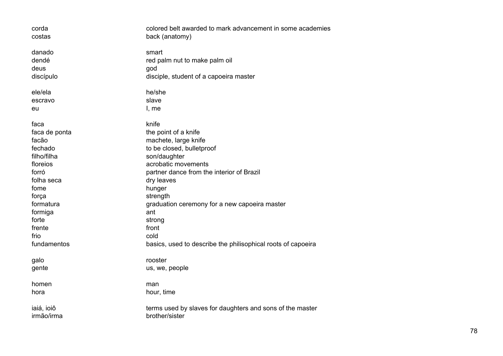| corda<br>costas                      | colored belt awarded to mark advancement in some academies<br>back (anatomy)            |
|--------------------------------------|-----------------------------------------------------------------------------------------|
| danado<br>dendé<br>deus<br>discípulo | smart<br>red palm nut to make palm oil<br>god<br>disciple, student of a capoeira master |
|                                      |                                                                                         |
| ele/ela                              | he/she                                                                                  |
| escravo                              | slave                                                                                   |
| eu                                   | l, me                                                                                   |
| faca                                 | knife                                                                                   |
| faca de ponta                        | the point of a knife                                                                    |
| facão                                | machete, large knife                                                                    |
| fechado                              | to be closed, bulletproof                                                               |
| filho/filha                          | son/daughter                                                                            |
| floreios                             | acrobatic movements                                                                     |
| forró                                | partner dance from the interior of Brazil                                               |
| folha seca                           | dry leaves                                                                              |
| fome                                 | hunger                                                                                  |
| força                                | strength                                                                                |
| formatura                            | graduation ceremony for a new capoeira master                                           |
| formiga                              | ant                                                                                     |
| forte                                | strong                                                                                  |
| frente                               | front                                                                                   |
| frio                                 | cold                                                                                    |
| fundamentos                          | basics, used to describe the philisophical roots of capoeira                            |
| galo                                 | rooster                                                                                 |
| gente                                | us, we, people                                                                          |
| homen                                | man                                                                                     |
| hora                                 | hour, time                                                                              |
| iaiá, ioiô                           | terms used by slaves for daughters and sons of the master                               |
| irmão/irma                           | brother/sister                                                                          |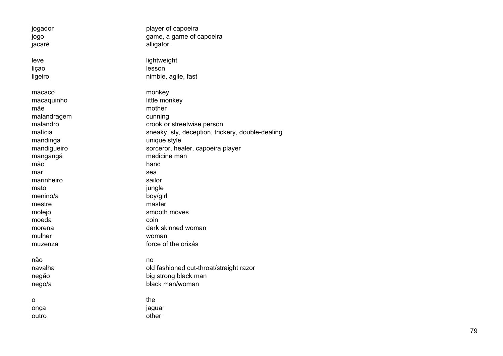jogador player of capoeira jogo game, a game of capoeira jacaré alligator leve lightweight liçao lesson ligeiro nimble, agile, fast macaco monkey macaquinho little monkey mãe mother malandragem cunning malandro crook or streetwise person malícia sneaky, sly, deception, trickery, double-dealing mandinga unique style mandigueiro sorceror, healer, capoeira player mangangá medicine man mão hand mar sea marinheiro sailor mato imato imato imato imato imato imato imato imato imato imato imato imato imato imato imato imato imato imato imato imato imato imato imato imato imato imato imato imato imato imato imato imato imato imato imato imato i menino/a boy/girl mestre master molejo smooth moves moeda coin morena dark skinned woman mulher woman muzenza force of the orixás não no navalha old fashioned cut-throat/straight razor negão big strong black man nego/a black man/woman o the the onça jaguar outro other control other control other control other control other control other control other control other control other control other control other control other control other control other control other control other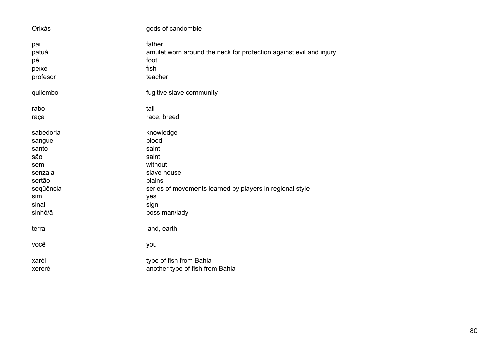| Orixás    | gods of candomble                                                  |
|-----------|--------------------------------------------------------------------|
| pai       | father                                                             |
| patuá     | amulet worn around the neck for protection against evil and injury |
| pé        | foot                                                               |
| peixe     | fish                                                               |
| profesor  | teacher                                                            |
| quilombo  | fugitive slave community                                           |
| rabo      | tail                                                               |
| raça      | race, breed                                                        |
| sabedoria | knowledge                                                          |
| sangue    | blood                                                              |
| santo     | saint                                                              |
| são       | saint                                                              |
| sem       | without                                                            |
| senzala   | slave house                                                        |
| sertão    | plains                                                             |
| seqüência | series of movements learned by players in regional style           |
| sim       | yes                                                                |
| sinal     | sign                                                               |
| sinhô/ã   | boss man/lady                                                      |
| terra     | land, earth                                                        |
| você      | you                                                                |
| xarél     | type of fish from Bahia                                            |
| xererê    | another type of fish from Bahia                                    |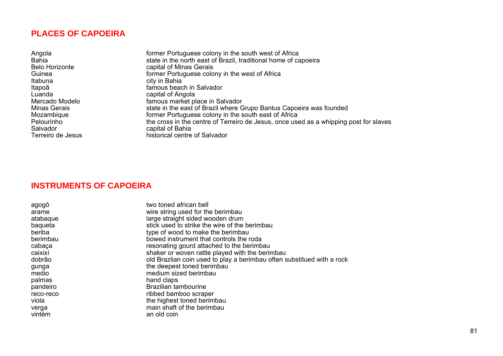#### **PLACES OF CAPOEIRA**

| Angola                | former Portuguese colony in the south west of Africa                                  |
|-----------------------|---------------------------------------------------------------------------------------|
| <b>Bahia</b>          | state in the north east of Brazil, traditional home of capoeira                       |
| <b>Belo Horizonte</b> | capital of Minas Gerais                                                               |
| Guinea                | former Portuguese colony in the west of Africa                                        |
| Itabuna               | city in Bahia                                                                         |
| Itapoã                | famous beach in Salvador                                                              |
| Luanda                | capital of Angola                                                                     |
| Mercado Modelo        | famous market place in Salvador                                                       |
| Minas Gerais          | state in the east of Brazil where Grupo Bantus Capoeira was founded                   |
| Mozambique            | former Portuguese colony in the south east of Africa                                  |
| Pelourinho            | the cross in the centre of Terreiro de Jesus, once used as a whipping post for slaves |
| Salvador              | capital of Bahia                                                                      |
| Terreiro de Jesus     | historical centre of Salvador                                                         |

#### **INSTRUMENTS OF CAPOEIRA**

| agogô<br>arame | two toned african bell<br>wire string used for the berimbau            |
|----------------|------------------------------------------------------------------------|
| atabaque       | large straight sided wooden drum                                       |
| baqueta        | stick used to strike the wire of the berimbau                          |
| beriba         | type of wood to make the berimbau                                      |
| berimbau       | bowed instrument that controls the roda                                |
| cabaça         | resonating gourd attached to the berimbau                              |
| caixixí        | shaker or woven rattle played with the berimbau                        |
| dobrão         | old Brazlian coin used to play a berimbau often substitued with a rock |
| gunga          | the deepest toned berimbau                                             |
| medio          | medium sized berimbau                                                  |
| palmas         | hand claps                                                             |
| pandeiro       | Brazilian tambourine                                                   |
| reco-reco      | ribbed bamboo scraper                                                  |
| viola          | the highest toned berimbau                                             |
| verga          | main shaft of the berimbau                                             |
| vintém         | an old coin                                                            |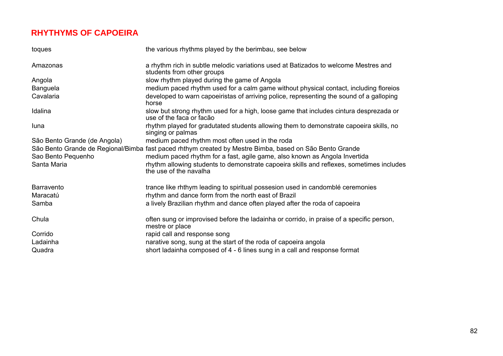## **RHYTHYMS OF CAPOEIRA**

| toques                       | the various rhythms played by the berimbau, see below                                                              |
|------------------------------|--------------------------------------------------------------------------------------------------------------------|
| Amazonas                     | a rhythm rich in subtle melodic variations used at Batizados to welcome Mestres and<br>students from other groups  |
| Angola                       | slow rhythm played during the game of Angola                                                                       |
| <b>Banguela</b>              | medium paced rhythm used for a calm game without physical contact, including floreios                              |
| Cavalaria                    | developed to warn capoeiristas of arriving police, representing the sound of a galloping<br>horse                  |
| Idalina                      | slow but strong rhythm used for a high, loose game that includes cintura desprezada or<br>use of the faca or facão |
| luna                         | rhythm played for gradutated students allowing them to demonstrate capoeira skills, no<br>singing or palmas        |
| São Bento Grande (de Angola) | medium paced rhythm most often used in the roda                                                                    |
|                              | São Bento Grande de Regional/Bimba fast paced rhthym created by Mestre Bimba, based on São Bento Grande            |
| Sao Bento Pequenho           | medium paced rhythm for a fast, agile game, also known as Angola Invertida                                         |
| Santa Maria                  | rhythm allowing students to demonstrate capoeira skills and reflexes, sometimes includes<br>the use of the navalha |
| Barravento                   | trance like rhthym leading to spiritual possesion used in candomblé ceremonies                                     |
| Maracatú                     | rhythm and dance form from the north east of Brazil                                                                |
| Samba                        | a lively Brazilian rhythm and dance often played after the roda of capoeira                                        |
| Chula                        | often sung or improvised before the ladainha or corrido, in praise of a specific person,<br>mestre or place        |
| Corrido                      | rapid call and response song                                                                                       |
| Ladainha                     | narative song, sung at the start of the roda of capoeira angola                                                    |
| Quadra                       | short ladainha composed of 4 - 6 lines sung in a call and response format                                          |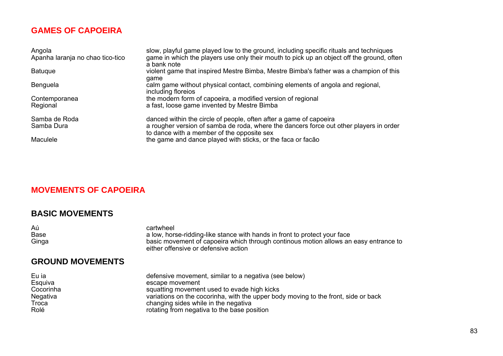## **GAMES OF CAPOEIRA**

| Angola<br>Apanha laranja no chao tico-tico | slow, playful game played low to the ground, including specific rituals and techniques<br>game in which the players use only their mouth to pick up an object off the ground, often<br>a bank note         |
|--------------------------------------------|------------------------------------------------------------------------------------------------------------------------------------------------------------------------------------------------------------|
| <b>Batugue</b>                             | violent game that inspired Mestre Bimba, Mestre Bimba's father was a champion of this<br>qame                                                                                                              |
| Benguela                                   | calm game without physical contact, combining elements of angola and regional,<br>including floreios                                                                                                       |
| Contemporanea<br>Regional                  | the modern form of capoeira, a modified version of regional<br>a fast, loose game invented by Mestre Bimba                                                                                                 |
| Samba de Roda<br>Samba Dura                | danced within the circle of people, often after a game of capoeira<br>a rougher version of samba de roda, where the dancers force out other players in order<br>to dance with a member of the opposite sex |
| Maculele                                   | the game and dance played with sticks, or the faca or facão                                                                                                                                                |

## **MOVEMENTS OF CAPOEIRA**

#### **BASIC MOVEMENTS**

| Aú          | cartwheel                                                                            |
|-------------|--------------------------------------------------------------------------------------|
| <b>Base</b> | a low, horse-ridding-like stance with hands in front to protect your face            |
| Ginga       | basic movement of capoeira which through continous motion allows an easy entrance to |
|             | either offensive or defensive action                                                 |

#### **GROUND MOVEMENTS**

| Eu ia     | defensive movement, similar to a negativa (see below)                              |
|-----------|------------------------------------------------------------------------------------|
| Esquiva   | escape movement                                                                    |
| Cocorinha | squatting movement used to evade high kicks                                        |
| Negativa  | variations on the cocorinha, with the upper body moving to the front, side or back |
| Troca     | changing sides while in the negativa                                               |
| Rolé      | rotating from negativa to the base position                                        |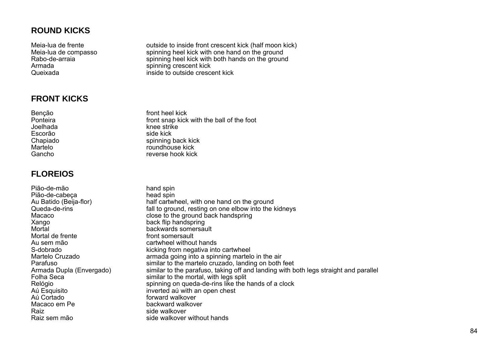## **ROUND KICKS**

## **FRONT KICKS**

Escorão side kick

## **FLOREIOS**

Pião-de-mão hand spin Pião-de-cabeça head spin Au Batido (Beija-flor) half cartwheel, with one hand on the ground<br>Cueda-de-rins half to ground resting on one elbow into the fall to ground, resting on one elbow into the kidneys Macaco close to the ground back handspring Xango back flip handspring backwards somersault Mortal de frente front somersault Au sem mão cartwheel without hands S-dobrado kicking from negativa into cartwheel Martelo Cruzado **armada going into a spinning martelo in the air**<br>Parafuso **armada going into a spinning martelo cruzado**. Ianding on both Parafuso<br>Armada Dupla (Envergado) similar to the martelo cruzado, landing on both feet<br>similar to the parafuso, taking off and landing with b similar to the parafuso, taking off and landing with both legs straight and parallel Folha Seca<br>
Folha Seca<br>
Felógio<br>
Felógio<br>
Spinning on queda-de-rins like the l Relógio spinning on queda-de-rins like the hands of a clock<br>Au Esquisito spinning on queda-de-rins like the hands of a clock Aú Esquisito inverted aú with an open chest<br>Aú Cortado inverted aú with an open chest forward walkover Macaco em Pe Raiz and the side walkover Raiz sem mão side walkover without hands

Meia-lua de frente outside to inside front crescent kick (half moon kick)<br>Meia-lua de compasso outbook spinning heel kick with one hand on the ground spinning heel kick with one hand on the ground Rabo-de-arraia spinning heel kick with both hands on the ground<br>Armada spinning crescent kick spinning crescent kick Queixada inside to outside crescent kick

Benção **front heel kick** Ponteira **Front snap kick with the ball of the foot** Joelhada knee strike Chapiado spinning back kick roundhouse kick Gancho reverse hook kick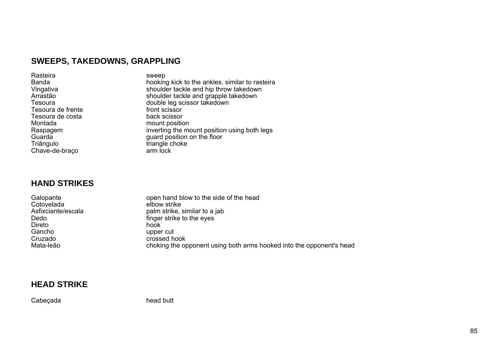# **SWEEPS, TAKEDOWNS, GRAPPLING**

| Rasteira          | sweep                                           |
|-------------------|-------------------------------------------------|
| <b>Banda</b>      | hooking kick to the ankles. similar to rasteira |
| Vingativa         | shoulder tackle and hip throw takedown          |
| Arrastão          | shoulder tackle and grapple takedown            |
| Tesoura           | double leg scissor takedown                     |
| Tesoura de frente | front scissor                                   |
| Tesoura de costa  | back scissor                                    |
| Montada           | mount position                                  |
| Raspagem          | inverting the mount position using both legs    |
| Guarda            | guard position on the floor                     |
| Triângulo         | triangle choke                                  |
| Chave-de-braço    | arm lock                                        |

#### **HAND STRIKES**

| Galopante          | open hand blow to the side of the head                               |
|--------------------|----------------------------------------------------------------------|
| Cotovelada         | elbow strike                                                         |
| Asfixciante/escala | palm strike, similar to a jab                                        |
| Dedo               | finger strike to the eyes                                            |
| Direto             | hook                                                                 |
| Gancho             | upper cut                                                            |
| Cruzado            | crossed hook                                                         |
| Mata-leão          | choking the opponent using both arms hooked into the opponent's head |

#### **HEAD STRIKE**

Cabeçada **head butt**